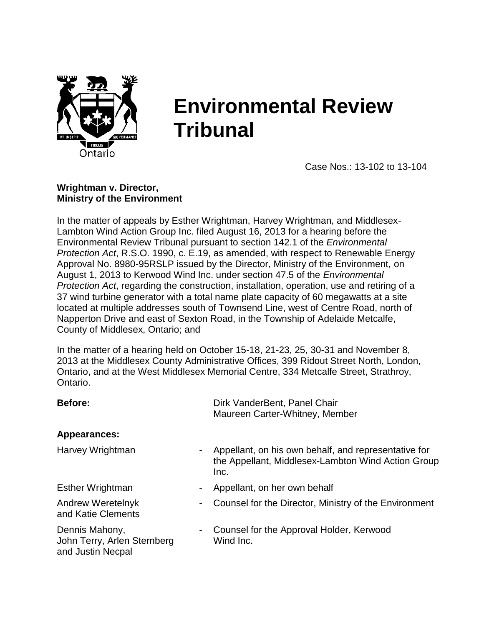

# **Environmental Review Tribunal**

Case Nos.: 13-102 to 13-104

#### **Wrightman v. Director, Ministry of the Environment**

In the matter of appeals by Esther Wrightman, Harvey Wrightman, and Middlesex-Lambton Wind Action Group Inc. filed August 16, 2013 for a hearing before the Environmental Review Tribunal pursuant to section 142.1 of the *Environmental Protection Act*, R.S.O. 1990, c. E.19, as amended, with respect to Renewable Energy Approval No. 8980-95RSLP issued by the Director, Ministry of the Environment, on August 1, 2013 to Kerwood Wind Inc. under section 47.5 of the *Environmental Protection Act*, regarding the construction, installation, operation, use and retiring of a 37 wind turbine generator with a total name plate capacity of 60 megawatts at a site located at multiple addresses south of Townsend Line, west of Centre Road, north of Napperton Drive and east of Sexton Road, in the Township of Adelaide Metcalfe, County of Middlesex, Ontario; and

In the matter of a hearing held on October 15-18, 21-23, 25, 30-31 and November 8, 2013 at the Middlesex County Administrative Offices, 399 Ridout Street North, London, Ontario, and at the West Middlesex Memorial Centre, 334 Metcalfe Street, Strathroy, Ontario.

| <b>Before:</b>                                                     | Dirk VanderBent, Panel Chair<br>Maureen Carter-Whitney, Member                                                     |
|--------------------------------------------------------------------|--------------------------------------------------------------------------------------------------------------------|
| Appearances:                                                       |                                                                                                                    |
| Harvey Wrightman                                                   | Appellant, on his own behalf, and representative for<br>the Appellant, Middlesex-Lambton Wind Action Group<br>Inc. |
| <b>Esther Wrightman</b>                                            | Appellant, on her own behalf                                                                                       |
| Andrew Weretelnyk<br>and Katie Clements                            | Counsel for the Director, Ministry of the Environment                                                              |
| Dennis Mahony,<br>John Terry, Arlen Sternberg<br>and Justin Necpal | Counsel for the Approval Holder, Kerwood<br>Wind Inc.                                                              |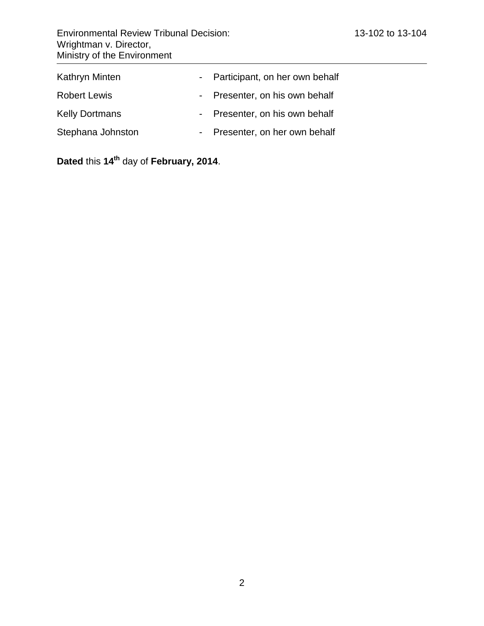| <b>Environmental Review Tribunal Decision:</b><br>Wrightman v. Director,<br>Ministry of the Environment |                                  | 13-102 to 13-104 |
|---------------------------------------------------------------------------------------------------------|----------------------------------|------------------|
| Kathryn Minten                                                                                          | - Participant, on her own behalf |                  |
| <b>Robert Lewis</b>                                                                                     | - Presenter, on his own behalf   |                  |
| <b>Kelly Dortmans</b>                                                                                   | - Presenter, on his own behalf   |                  |
| Stephana Johnston                                                                                       | Presenter, on her own behalf     |                  |

**Dated** this **14 th** day of **February, 2014**.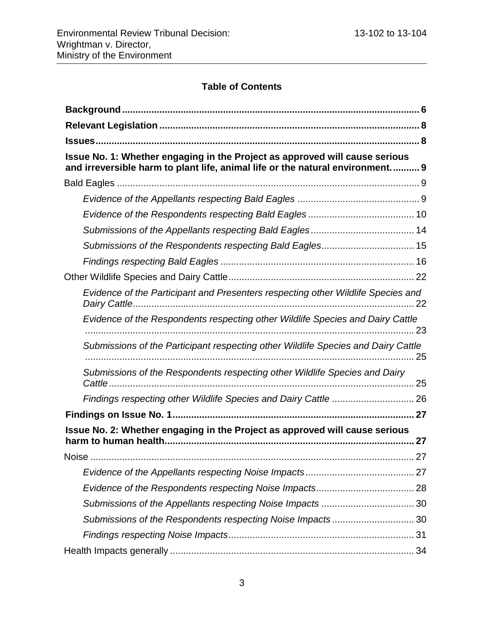# **Table of Contents**

| Issue No. 1: Whether engaging in the Project as approved will cause serious<br>and irreversible harm to plant life, animal life or the natural environment 9 |
|--------------------------------------------------------------------------------------------------------------------------------------------------------------|
|                                                                                                                                                              |
|                                                                                                                                                              |
|                                                                                                                                                              |
|                                                                                                                                                              |
| Submissions of the Respondents respecting Bald Eagles 15                                                                                                     |
|                                                                                                                                                              |
|                                                                                                                                                              |
| Evidence of the Participant and Presenters respecting other Wildlife Species and                                                                             |
| Evidence of the Respondents respecting other Wildlife Species and Dairy Cattle                                                                               |
| Submissions of the Participant respecting other Wildlife Species and Dairy Cattle                                                                            |
| Submissions of the Respondents respecting other Wildlife Species and Dairy                                                                                   |
| Findings respecting other Wildlife Species and Dairy Cattle  26                                                                                              |
|                                                                                                                                                              |
| Issue No. 2: Whether engaging in the Project as approved will cause serious                                                                                  |
|                                                                                                                                                              |
| <b>Noise</b>                                                                                                                                                 |
|                                                                                                                                                              |
|                                                                                                                                                              |
|                                                                                                                                                              |
| Submissions of the Respondents respecting Noise Impacts30                                                                                                    |
|                                                                                                                                                              |
|                                                                                                                                                              |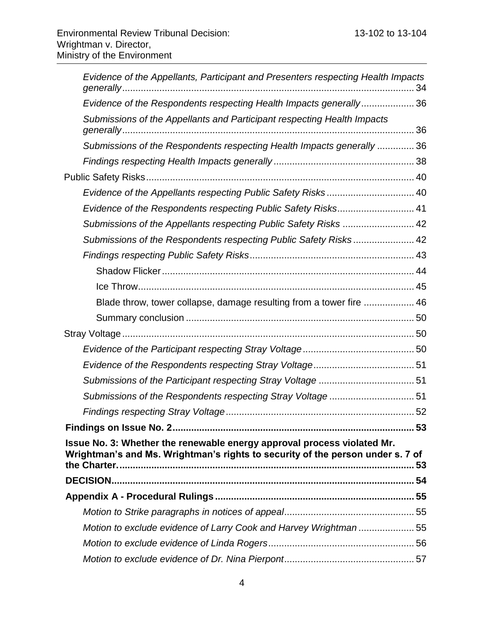| Evidence of the Appellants, Participant and Presenters respecting Health Impacts                                                                          |  |
|-----------------------------------------------------------------------------------------------------------------------------------------------------------|--|
| Evidence of the Respondents respecting Health Impacts generally36                                                                                         |  |
| Submissions of the Appellants and Participant respecting Health Impacts                                                                                   |  |
| Submissions of the Respondents respecting Health Impacts generally  36                                                                                    |  |
|                                                                                                                                                           |  |
|                                                                                                                                                           |  |
| Evidence of the Appellants respecting Public Safety Risks 40                                                                                              |  |
| Evidence of the Respondents respecting Public Safety Risks 41                                                                                             |  |
| Submissions of the Appellants respecting Public Safety Risks  42                                                                                          |  |
| Submissions of the Respondents respecting Public Safety Risks 42                                                                                          |  |
|                                                                                                                                                           |  |
|                                                                                                                                                           |  |
|                                                                                                                                                           |  |
| Blade throw, tower collapse, damage resulting from a tower fire  46                                                                                       |  |
|                                                                                                                                                           |  |
|                                                                                                                                                           |  |
|                                                                                                                                                           |  |
|                                                                                                                                                           |  |
|                                                                                                                                                           |  |
| Submissions of the Respondents respecting Stray Voltage51                                                                                                 |  |
|                                                                                                                                                           |  |
|                                                                                                                                                           |  |
| Issue No. 3: Whether the renewable energy approval process violated Mr.<br>Wrightman's and Ms. Wrightman's rights to security of the person under s. 7 of |  |
|                                                                                                                                                           |  |
|                                                                                                                                                           |  |
|                                                                                                                                                           |  |
| Motion to exclude evidence of Larry Cook and Harvey Wrightman 55                                                                                          |  |
|                                                                                                                                                           |  |
|                                                                                                                                                           |  |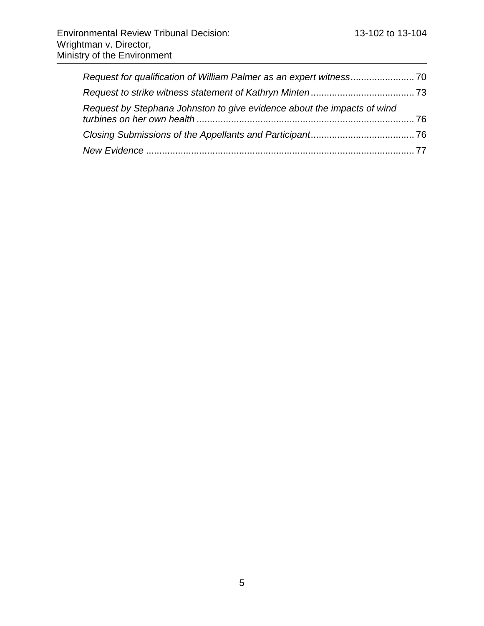| Request by Stephana Johnston to give evidence about the impacts of wind |  |
|-------------------------------------------------------------------------|--|
|                                                                         |  |
|                                                                         |  |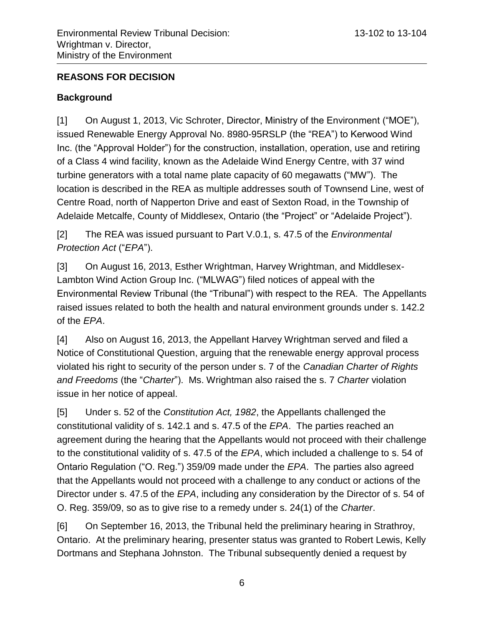## **REASONS FOR DECISION**

## <span id="page-5-0"></span>**Background**

[1] On August 1, 2013, Vic Schroter, Director, Ministry of the Environment ("MOE"), issued Renewable Energy Approval No. 8980-95RSLP (the "REA") to Kerwood Wind Inc. (the "Approval Holder") for the construction, installation, operation, use and retiring of a Class 4 wind facility, known as the Adelaide Wind Energy Centre, with 37 wind turbine generators with a total name plate capacity of 60 megawatts ("MW"). The location is described in the REA as multiple addresses south of Townsend Line, west of Centre Road, north of Napperton Drive and east of Sexton Road, in the Township of Adelaide Metcalfe, County of Middlesex, Ontario (the "Project" or "Adelaide Project").

[2] The REA was issued pursuant to Part V.0.1, s. 47.5 of the *Environmental Protection Act* ("*EPA*").

[3] On August 16, 2013, Esther Wrightman, Harvey Wrightman, and Middlesex-Lambton Wind Action Group Inc. ("MLWAG") filed notices of appeal with the Environmental Review Tribunal (the "Tribunal") with respect to the REA. The Appellants raised issues related to both the health and natural environment grounds under s. 142.2 of the *EPA*.

[4] Also on August 16, 2013, the Appellant Harvey Wrightman served and filed a Notice of Constitutional Question, arguing that the renewable energy approval process violated his right to security of the person under s. 7 of the *Canadian Charter of Rights and Freedoms* (the "*Charter*"). Ms. Wrightman also raised the s. 7 *Charter* violation issue in her notice of appeal.

[5] Under s. 52 of the *Constitution Act, 1982*, the Appellants challenged the constitutional validity of s. 142.1 and s. 47.5 of the *EPA*. The parties reached an agreement during the hearing that the Appellants would not proceed with their challenge to the constitutional validity of s. 47.5 of the *EPA*, which included a challenge to s. 54 of Ontario Regulation ("O. Reg.") 359/09 made under the *EPA*. The parties also agreed that the Appellants would not proceed with a challenge to any conduct or actions of the Director under s. 47.5 of the *EPA*, including any consideration by the Director of s. 54 of O. Reg. 359/09, so as to give rise to a remedy under s. 24(1) of the *Charter*.

[6] On September 16, 2013, the Tribunal held the preliminary hearing in Strathroy, Ontario. At the preliminary hearing, presenter status was granted to Robert Lewis, Kelly Dortmans and Stephana Johnston.The Tribunal subsequently denied a request by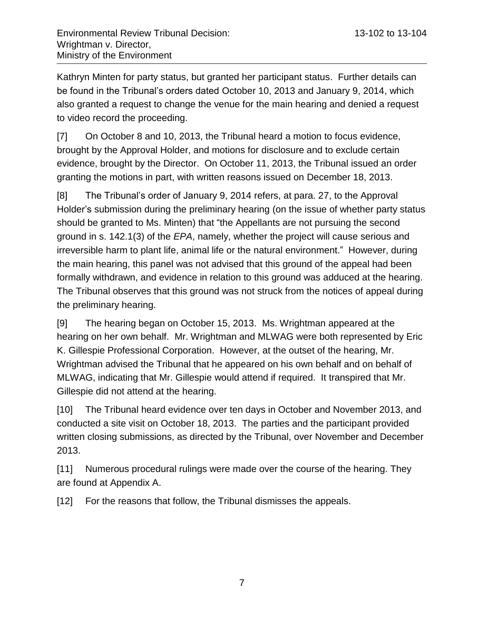Kathryn Minten for party status, but granted her participant status. Further details can be found in the Tribunal's orders dated October 10, 2013 and January 9, 2014, which also granted a request to change the venue for the main hearing and denied a request to video record the proceeding.

[7] On October 8 and 10, 2013, the Tribunal heard a motion to focus evidence, brought by the Approval Holder, and motions for disclosure and to exclude certain evidence, brought by the Director. On October 11, 2013, the Tribunal issued an order granting the motions in part, with written reasons issued on December 18, 2013.

[8] The Tribunal's order of January 9, 2014 refers, at para. 27, to the Approval Holder's submission during the preliminary hearing (on the issue of whether party status should be granted to Ms. Minten) that "the Appellants are not pursuing the second ground in s. 142.1(3) of the *EPA*, namely, whether the project will cause serious and irreversible harm to plant life, animal life or the natural environment." However, during the main hearing, this panel was not advised that this ground of the appeal had been formally withdrawn, and evidence in relation to this ground was adduced at the hearing. The Tribunal observes that this ground was not struck from the notices of appeal during the preliminary hearing.

[9] The hearing began on October 15, 2013. Ms. Wrightman appeared at the hearing on her own behalf. Mr. Wrightman and MLWAG were both represented by Eric K. Gillespie Professional Corporation. However, at the outset of the hearing, Mr. Wrightman advised the Tribunal that he appeared on his own behalf and on behalf of MLWAG, indicating that Mr. Gillespie would attend if required. It transpired that Mr. Gillespie did not attend at the hearing.

[10] The Tribunal heard evidence over ten days in October and November 2013, and conducted a site visit on October 18, 2013. The parties and the participant provided written closing submissions, as directed by the Tribunal, over November and December 2013.

[11] Numerous procedural rulings were made over the course of the hearing. They are found at Appendix A.

[12] For the reasons that follow, the Tribunal dismisses the appeals.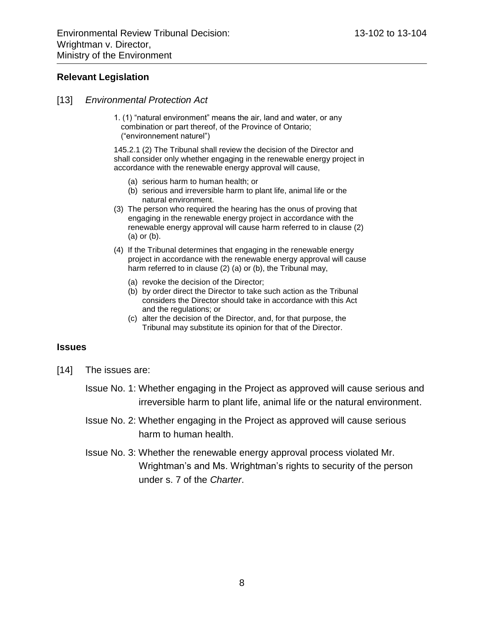#### <span id="page-7-0"></span>**Relevant Legislation**

- [13] *Environmental Protection Act*
	- 1. (1) "natural environment" means the air, land and water, or any combination or part thereof, of the Province of Ontario; ("environnement naturel")

145.2.1 (2) The Tribunal shall review the decision of the Director and shall consider only whether engaging in the renewable energy project in accordance with the renewable energy approval will cause,

- (a) serious harm to human health; or
- (b) serious and irreversible harm to plant life, animal life or the natural environment.
- (3) The person who required the hearing has the onus of proving that engaging in the renewable energy project in accordance with the renewable energy approval will cause harm referred to in clause (2) (a) or (b).
- (4) If the Tribunal determines that engaging in the renewable energy project in accordance with the renewable energy approval will cause harm referred to in clause (2) (a) or (b), the Tribunal may,
	- (a) revoke the decision of the Director;
	- (b) by order direct the Director to take such action as the Tribunal considers the Director should take in accordance with this Act and the regulations; or
	- (c) alter the decision of the Director, and, for that purpose, the Tribunal may substitute its opinion for that of the Director.

#### <span id="page-7-1"></span>**Issues**

- [14] The issues are:
	- Issue No. 1: Whether engaging in the Project as approved will cause serious and irreversible harm to plant life, animal life or the natural environment.
	- Issue No. 2: Whether engaging in the Project as approved will cause serious harm to human health.
	- Issue No. 3: Whether the renewable energy approval process violated Mr. Wrightman's and Ms. Wrightman's rights to security of the person under s. 7 of the *Charter*.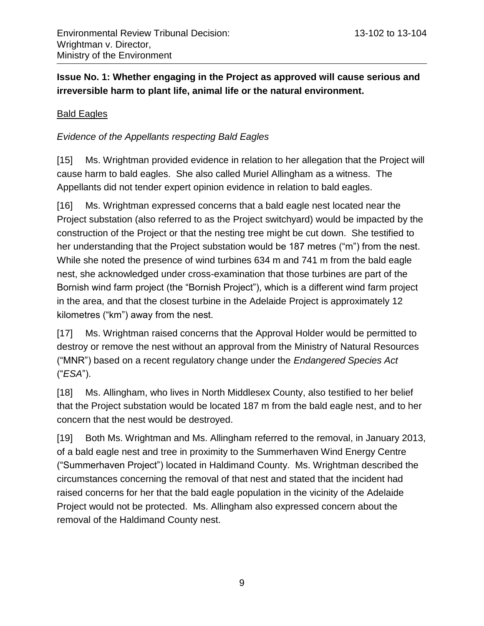## <span id="page-8-0"></span>**Issue No. 1: Whether engaging in the Project as approved will cause serious and irreversible harm to plant life, animal life or the natural environment.**

## <span id="page-8-1"></span>Bald Eagles

## <span id="page-8-2"></span>*Evidence of the Appellants respecting Bald Eagles*

[15] Ms. Wrightman provided evidence in relation to her allegation that the Project will cause harm to bald eagles. She also called Muriel Allingham as a witness. The Appellants did not tender expert opinion evidence in relation to bald eagles.

[16] Ms. Wrightman expressed concerns that a bald eagle nest located near the Project substation (also referred to as the Project switchyard) would be impacted by the construction of the Project or that the nesting tree might be cut down. She testified to her understanding that the Project substation would be 187 metres ("m") from the nest. While she noted the presence of wind turbines 634 m and 741 m from the bald eagle nest, she acknowledged under cross-examination that those turbines are part of the Bornish wind farm project (the "Bornish Project"), which is a different wind farm project in the area, and that the closest turbine in the Adelaide Project is approximately 12 kilometres ("km") away from the nest.

[17] Ms. Wrightman raised concerns that the Approval Holder would be permitted to destroy or remove the nest without an approval from the Ministry of Natural Resources ("MNR") based on a recent regulatory change under the *Endangered Species Act* ("*ESA*").

[18] Ms. Allingham, who lives in North Middlesex County, also testified to her belief that the Project substation would be located 187 m from the bald eagle nest, and to her concern that the nest would be destroyed.

[19] Both Ms. Wrightman and Ms. Allingham referred to the removal, in January 2013, of a bald eagle nest and tree in proximity to the Summerhaven Wind Energy Centre ("Summerhaven Project") located in Haldimand County. Ms. Wrightman described the circumstances concerning the removal of that nest and stated that the incident had raised concerns for her that the bald eagle population in the vicinity of the Adelaide Project would not be protected. Ms. Allingham also expressed concern about the removal of the Haldimand County nest.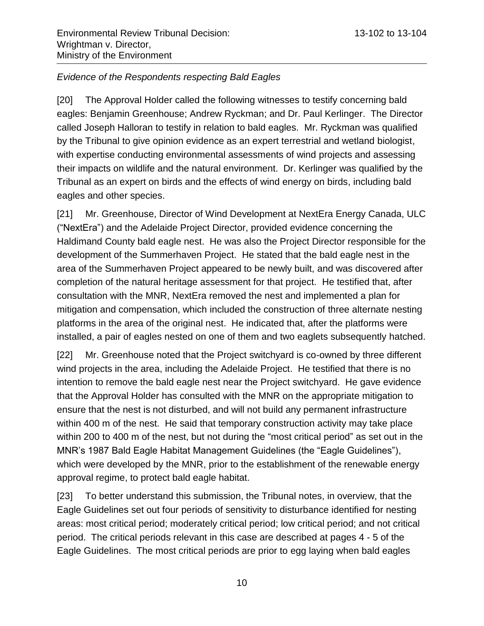#### <span id="page-9-0"></span>*Evidence of the Respondents respecting Bald Eagles*

[20] The Approval Holder called the following witnesses to testify concerning bald eagles: Benjamin Greenhouse; Andrew Ryckman; and Dr. Paul Kerlinger. The Director called Joseph Halloran to testify in relation to bald eagles. Mr. Ryckman was qualified by the Tribunal to give opinion evidence as an expert terrestrial and wetland biologist, with expertise conducting environmental assessments of wind projects and assessing their impacts on wildlife and the natural environment. Dr. Kerlinger was qualified by the Tribunal as an expert on birds and the effects of wind energy on birds, including bald eagles and other species.

[21] Mr. Greenhouse, Director of Wind Development at NextEra Energy Canada, ULC ("NextEra") and the Adelaide Project Director, provided evidence concerning the Haldimand County bald eagle nest. He was also the Project Director responsible for the development of the Summerhaven Project. He stated that the bald eagle nest in the area of the Summerhaven Project appeared to be newly built, and was discovered after completion of the natural heritage assessment for that project. He testified that, after consultation with the MNR, NextEra removed the nest and implemented a plan for mitigation and compensation, which included the construction of three alternate nesting platforms in the area of the original nest. He indicated that, after the platforms were installed, a pair of eagles nested on one of them and two eaglets subsequently hatched.

[22] Mr. Greenhouse noted that the Project switchyard is co-owned by three different wind projects in the area, including the Adelaide Project. He testified that there is no intention to remove the bald eagle nest near the Project switchyard. He gave evidence that the Approval Holder has consulted with the MNR on the appropriate mitigation to ensure that the nest is not disturbed, and will not build any permanent infrastructure within 400 m of the nest. He said that temporary construction activity may take place within 200 to 400 m of the nest, but not during the "most critical period" as set out in the MNR's 1987 Bald Eagle Habitat Management Guidelines (the "Eagle Guidelines"), which were developed by the MNR, prior to the establishment of the renewable energy approval regime, to protect bald eagle habitat.

[23] To better understand this submission, the Tribunal notes, in overview, that the Eagle Guidelines set out four periods of sensitivity to disturbance identified for nesting areas: most critical period; moderately critical period; low critical period; and not critical period. The critical periods relevant in this case are described at pages 4 - 5 of the Eagle Guidelines. The most critical periods are prior to egg laying when bald eagles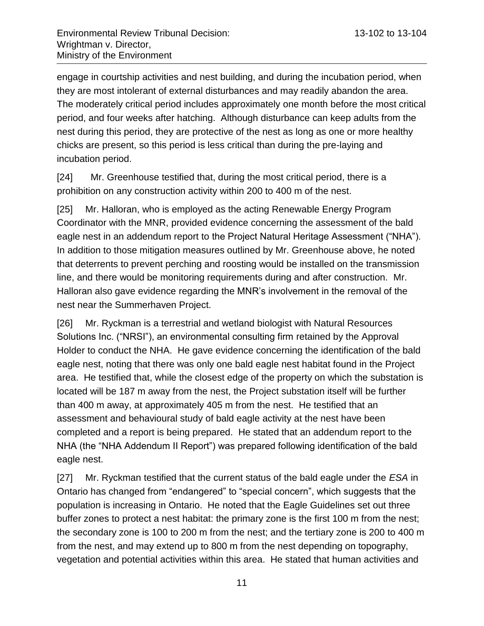engage in courtship activities and nest building, and during the incubation period, when they are most intolerant of external disturbances and may readily abandon the area. The moderately critical period includes approximately one month before the most critical period, and four weeks after hatching. Although disturbance can keep adults from the nest during this period, they are protective of the nest as long as one or more healthy chicks are present, so this period is less critical than during the pre-laying and incubation period.

[24] Mr. Greenhouse testified that, during the most critical period, there is a prohibition on any construction activity within 200 to 400 m of the nest.

[25] Mr. Halloran, who is employed as the acting Renewable Energy Program Coordinator with the MNR, provided evidence concerning the assessment of the bald eagle nest in an addendum report to the Project Natural Heritage Assessment ("NHA"). In addition to those mitigation measures outlined by Mr. Greenhouse above, he noted that deterrents to prevent perching and roosting would be installed on the transmission line, and there would be monitoring requirements during and after construction. Mr. Halloran also gave evidence regarding the MNR's involvement in the removal of the nest near the Summerhaven Project.

[26] Mr. Ryckman is a terrestrial and wetland biologist with Natural Resources Solutions Inc. ("NRSI"), an environmental consulting firm retained by the Approval Holder to conduct the NHA. He gave evidence concerning the identification of the bald eagle nest, noting that there was only one bald eagle nest habitat found in the Project area. He testified that, while the closest edge of the property on which the substation is located will be 187 m away from the nest, the Project substation itself will be further than 400 m away, at approximately 405 m from the nest. He testified that an assessment and behavioural study of bald eagle activity at the nest have been completed and a report is being prepared. He stated that an addendum report to the NHA (the "NHA Addendum II Report") was prepared following identification of the bald eagle nest.

[27] Mr. Ryckman testified that the current status of the bald eagle under the *ESA* in Ontario has changed from "endangered" to "special concern", which suggests that the population is increasing in Ontario. He noted that the Eagle Guidelines set out three buffer zones to protect a nest habitat: the primary zone is the first 100 m from the nest; the secondary zone is 100 to 200 m from the nest; and the tertiary zone is 200 to 400 m from the nest, and may extend up to 800 m from the nest depending on topography, vegetation and potential activities within this area. He stated that human activities and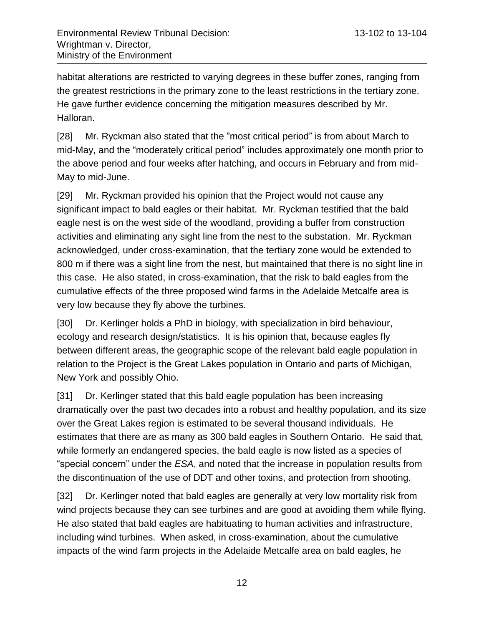habitat alterations are restricted to varying degrees in these buffer zones, ranging from the greatest restrictions in the primary zone to the least restrictions in the tertiary zone. He gave further evidence concerning the mitigation measures described by Mr. Halloran.

[28] Mr. Ryckman also stated that the "most critical period" is from about March to mid-May, and the "moderately critical period" includes approximately one month prior to the above period and four weeks after hatching, and occurs in February and from mid-May to mid-June.

[29] Mr. Ryckman provided his opinion that the Project would not cause any significant impact to bald eagles or their habitat. Mr. Ryckman testified that the bald eagle nest is on the west side of the woodland, providing a buffer from construction activities and eliminating any sight line from the nest to the substation. Mr. Ryckman acknowledged, under cross-examination, that the tertiary zone would be extended to 800 m if there was a sight line from the nest, but maintained that there is no sight line in this case. He also stated, in cross-examination, that the risk to bald eagles from the cumulative effects of the three proposed wind farms in the Adelaide Metcalfe area is very low because they fly above the turbines.

[30] Dr. Kerlinger holds a PhD in biology, with specialization in bird behaviour, ecology and research design/statistics. It is his opinion that, because eagles fly between different areas, the geographic scope of the relevant bald eagle population in relation to the Project is the Great Lakes population in Ontario and parts of Michigan, New York and possibly Ohio.

[31] Dr. Kerlinger stated that this bald eagle population has been increasing dramatically over the past two decades into a robust and healthy population, and its size over the Great Lakes region is estimated to be several thousand individuals. He estimates that there are as many as 300 bald eagles in Southern Ontario. He said that, while formerly an endangered species, the bald eagle is now listed as a species of "special concern" under the *ESA*, and noted that the increase in population results from the discontinuation of the use of DDT and other toxins, and protection from shooting.

[32] Dr. Kerlinger noted that bald eagles are generally at very low mortality risk from wind projects because they can see turbines and are good at avoiding them while flying. He also stated that bald eagles are habituating to human activities and infrastructure, including wind turbines. When asked, in cross-examination, about the cumulative impacts of the wind farm projects in the Adelaide Metcalfe area on bald eagles, he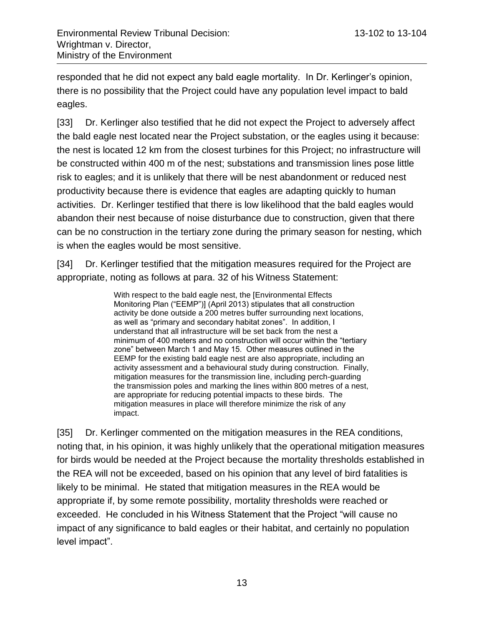responded that he did not expect any bald eagle mortality. In Dr. Kerlinger's opinion, there is no possibility that the Project could have any population level impact to bald eagles.

[33] Dr. Kerlinger also testified that he did not expect the Project to adversely affect the bald eagle nest located near the Project substation, or the eagles using it because: the nest is located 12 km from the closest turbines for this Project; no infrastructure will be constructed within 400 m of the nest; substations and transmission lines pose little risk to eagles; and it is unlikely that there will be nest abandonment or reduced nest productivity because there is evidence that eagles are adapting quickly to human activities. Dr. Kerlinger testified that there is low likelihood that the bald eagles would abandon their nest because of noise disturbance due to construction, given that there can be no construction in the tertiary zone during the primary season for nesting, which is when the eagles would be most sensitive.

[34] Dr. Kerlinger testified that the mitigation measures required for the Project are appropriate, noting as follows at para. 32 of his Witness Statement:

> With respect to the bald eagle nest, the [Environmental Effects Monitoring Plan ("EEMP")] (April 2013) stipulates that all construction activity be done outside a 200 metres buffer surrounding next locations, as well as "primary and secondary habitat zones". In addition, I understand that all infrastructure will be set back from the nest a minimum of 400 meters and no construction will occur within the "tertiary zone" between March 1 and May 15. Other measures outlined in the EEMP for the existing bald eagle nest are also appropriate, including an activity assessment and a behavioural study during construction. Finally, mitigation measures for the transmission line, including perch-guarding the transmission poles and marking the lines within 800 metres of a nest, are appropriate for reducing potential impacts to these birds. The mitigation measures in place will therefore minimize the risk of any impact.

[35] Dr. Kerlinger commented on the mitigation measures in the REA conditions, noting that, in his opinion, it was highly unlikely that the operational mitigation measures for birds would be needed at the Project because the mortality thresholds established in the REA will not be exceeded, based on his opinion that any level of bird fatalities is likely to be minimal. He stated that mitigation measures in the REA would be appropriate if, by some remote possibility, mortality thresholds were reached or exceeded. He concluded in his Witness Statement that the Project "will cause no impact of any significance to bald eagles or their habitat, and certainly no population level impact".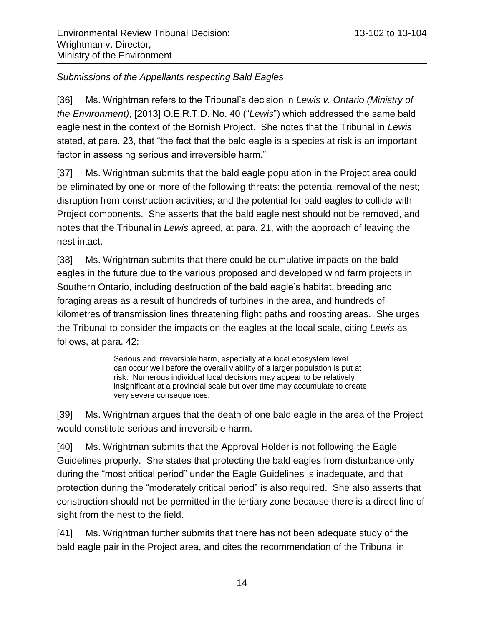## <span id="page-13-0"></span>*Submissions of the Appellants respecting Bald Eagles*

[36] Ms. Wrightman refers to the Tribunal's decision in *Lewis v. Ontario (Ministry of the Environment)*, [2013] O.E.R.T.D. No. 40 ("*Lewis*") which addressed the same bald eagle nest in the context of the Bornish Project. She notes that the Tribunal in *Lewis* stated, at para. 23, that "the fact that the bald eagle is a species at risk is an important factor in assessing serious and irreversible harm."

[37] Ms. Wrightman submits that the bald eagle population in the Project area could be eliminated by one or more of the following threats: the potential removal of the nest; disruption from construction activities; and the potential for bald eagles to collide with Project components. She asserts that the bald eagle nest should not be removed, and notes that the Tribunal in *Lewis* agreed, at para. 21, with the approach of leaving the nest intact.

[38] Ms. Wrightman submits that there could be cumulative impacts on the bald eagles in the future due to the various proposed and developed wind farm projects in Southern Ontario, including destruction of the bald eagle's habitat, breeding and foraging areas as a result of hundreds of turbines in the area, and hundreds of kilometres of transmission lines threatening flight paths and roosting areas. She urges the Tribunal to consider the impacts on the eagles at the local scale, citing *Lewis* as follows, at para. 42:

> Serious and irreversible harm, especially at a local ecosystem level … can occur well before the overall viability of a larger population is put at risk. Numerous individual local decisions may appear to be relatively insignificant at a provincial scale but over time may accumulate to create very severe consequences.

[39] Ms. Wrightman argues that the death of one bald eagle in the area of the Project would constitute serious and irreversible harm.

[40] Ms. Wrightman submits that the Approval Holder is not following the Eagle Guidelines properly. She states that protecting the bald eagles from disturbance only during the "most critical period" under the Eagle Guidelines is inadequate, and that protection during the "moderately critical period" is also required. She also asserts that construction should not be permitted in the tertiary zone because there is a direct line of sight from the nest to the field.

[41] Ms. Wrightman further submits that there has not been adequate study of the bald eagle pair in the Project area, and cites the recommendation of the Tribunal in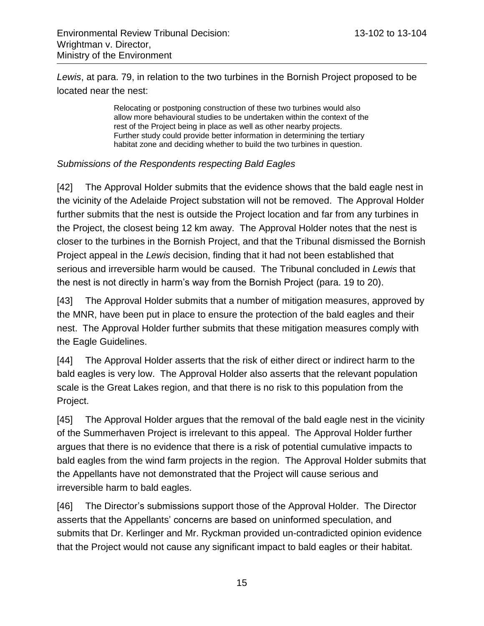*Lewis*, at para. 79, in relation to the two turbines in the Bornish Project proposed to be located near the nest:

> Relocating or postponing construction of these two turbines would also allow more behavioural studies to be undertaken within the context of the rest of the Project being in place as well as other nearby projects. Further study could provide better information in determining the tertiary habitat zone and deciding whether to build the two turbines in question.

#### <span id="page-14-0"></span>*Submissions of the Respondents respecting Bald Eagles*

[42] The Approval Holder submits that the evidence shows that the bald eagle nest in the vicinity of the Adelaide Project substation will not be removed. The Approval Holder further submits that the nest is outside the Project location and far from any turbines in the Project, the closest being 12 km away. The Approval Holder notes that the nest is closer to the turbines in the Bornish Project, and that the Tribunal dismissed the Bornish Project appeal in the *Lewis* decision, finding that it had not been established that serious and irreversible harm would be caused. The Tribunal concluded in *Lewis* that the nest is not directly in harm's way from the Bornish Project (para. 19 to 20).

[43] The Approval Holder submits that a number of mitigation measures, approved by the MNR, have been put in place to ensure the protection of the bald eagles and their nest. The Approval Holder further submits that these mitigation measures comply with the Eagle Guidelines.

[44] The Approval Holder asserts that the risk of either direct or indirect harm to the bald eagles is very low. The Approval Holder also asserts that the relevant population scale is the Great Lakes region, and that there is no risk to this population from the Project.

[45] The Approval Holder argues that the removal of the bald eagle nest in the vicinity of the Summerhaven Project is irrelevant to this appeal. The Approval Holder further argues that there is no evidence that there is a risk of potential cumulative impacts to bald eagles from the wind farm projects in the region. The Approval Holder submits that the Appellants have not demonstrated that the Project will cause serious and irreversible harm to bald eagles.

[46] The Director's submissions support those of the Approval Holder. The Director asserts that the Appellants' concerns are based on uninformed speculation, and submits that Dr. Kerlinger and Mr. Ryckman provided un-contradicted opinion evidence that the Project would not cause any significant impact to bald eagles or their habitat.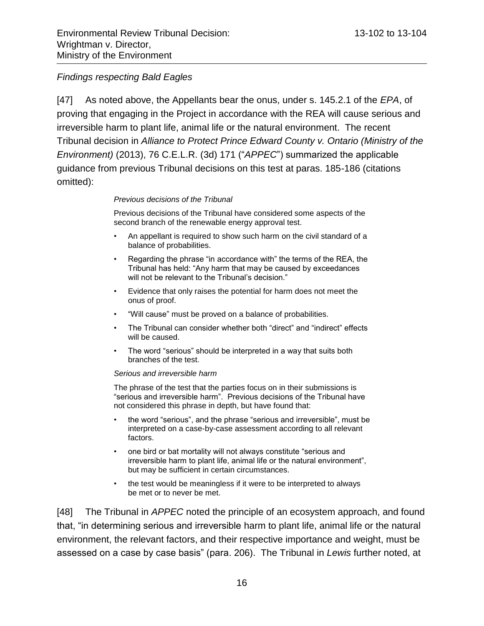#### <span id="page-15-0"></span>*Findings respecting Bald Eagles*

[47] As noted above, the Appellants bear the onus, under s. 145.2.1 of the *EPA*, of proving that engaging in the Project in accordance with the REA will cause serious and irreversible harm to plant life, animal life or the natural environment. The recent Tribunal decision in *Alliance to Protect Prince Edward County v. Ontario (Ministry of the Environment)* (2013), 76 C.E.L.R. (3d) 171 ("*APPEC*") summarized the applicable guidance from previous Tribunal decisions on this test at paras. 185-186 (citations omitted):

#### *Previous decisions of the Tribunal*

Previous decisions of the Tribunal have considered some aspects of the second branch of the renewable energy approval test.

- An appellant is required to show such harm on the civil standard of a balance of probabilities.
- Regarding the phrase "in accordance with" the terms of the REA, the Tribunal has held: "Any harm that may be caused by exceedances will not be relevant to the Tribunal's decision."
- Evidence that only raises the potential for harm does not meet the onus of proof.
- "Will cause" must be proved on a balance of probabilities.
- The Tribunal can consider whether both "direct" and "indirect" effects will be caused.
- The word "serious" should be interpreted in a way that suits both branches of the test.

#### *Serious and irreversible harm*

The phrase of the test that the parties focus on in their submissions is "serious and irreversible harm". Previous decisions of the Tribunal have not considered this phrase in depth, but have found that:

- the word "serious", and the phrase "serious and irreversible", must be interpreted on a case-by-case assessment according to all relevant factors.
- one bird or bat mortality will not always constitute "serious and irreversible harm to plant life, animal life or the natural environment", but may be sufficient in certain circumstances.
- the test would be meaningless if it were to be interpreted to always be met or to never be met.

[48] The Tribunal in *APPEC* noted the principle of an ecosystem approach, and found that, "in determining serious and irreversible harm to plant life, animal life or the natural environment, the relevant factors, and their respective importance and weight, must be assessed on a case by case basis" (para. 206). The Tribunal in *Lewis* further noted, at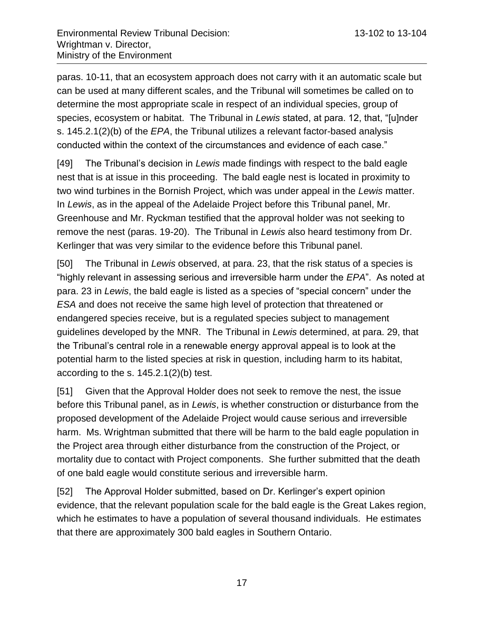paras. 10-11, that an ecosystem approach does not carry with it an automatic scale but can be used at many different scales, and the Tribunal will sometimes be called on to determine the most appropriate scale in respect of an individual species, group of species, ecosystem or habitat. The Tribunal in *Lewis* stated, at para. 12, that, "[u]nder s. 145.2.1(2)(b) of the *EPA*, the Tribunal utilizes a relevant factor-based analysis conducted within the context of the circumstances and evidence of each case."

[49] The Tribunal's decision in *Lewis* made findings with respect to the bald eagle nest that is at issue in this proceeding. The bald eagle nest is located in proximity to two wind turbines in the Bornish Project, which was under appeal in the *Lewis* matter. In *Lewis*, as in the appeal of the Adelaide Project before this Tribunal panel, Mr. Greenhouse and Mr. Ryckman testified that the approval holder was not seeking to remove the nest (paras. 19-20). The Tribunal in *Lewis* also heard testimony from Dr. Kerlinger that was very similar to the evidence before this Tribunal panel.

[50] The Tribunal in *Lewis* observed, at para. 23, that the risk status of a species is "highly relevant in assessing serious and irreversible harm under the *EPA*". As noted at para. 23 in *Lewis*, the bald eagle is listed as a species of "special concern" under the *ESA* and does not receive the same high level of protection that threatened or endangered species receive, but is a regulated species subject to management guidelines developed by the MNR. The Tribunal in *Lewis* determined, at para. 29, that the Tribunal's central role in a renewable energy approval appeal is to look at the potential harm to the listed species at risk in question, including harm to its habitat, according to the s. 145.2.1(2)(b) test.

[51] Given that the Approval Holder does not seek to remove the nest, the issue before this Tribunal panel, as in *Lewis*, is whether construction or disturbance from the proposed development of the Adelaide Project would cause serious and irreversible harm. Ms. Wrightman submitted that there will be harm to the bald eagle population in the Project area through either disturbance from the construction of the Project, or mortality due to contact with Project components. She further submitted that the death of one bald eagle would constitute serious and irreversible harm.

[52] The Approval Holder submitted, based on Dr. Kerlinger's expert opinion evidence, that the relevant population scale for the bald eagle is the Great Lakes region, which he estimates to have a population of several thousand individuals. He estimates that there are approximately 300 bald eagles in Southern Ontario.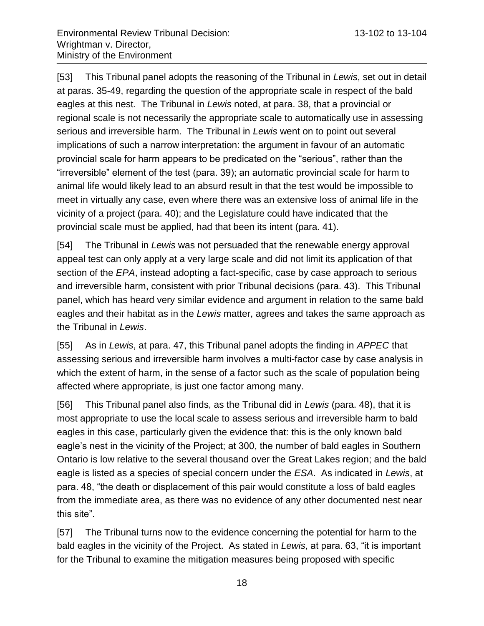[53] This Tribunal panel adopts the reasoning of the Tribunal in *Lewis*, set out in detail at paras. 35-49, regarding the question of the appropriate scale in respect of the bald eagles at this nest. The Tribunal in *Lewis* noted, at para. 38, that a provincial or regional scale is not necessarily the appropriate scale to automatically use in assessing serious and irreversible harm. The Tribunal in *Lewis* went on to point out several implications of such a narrow interpretation: the argument in favour of an automatic provincial scale for harm appears to be predicated on the "serious", rather than the "irreversible" element of the test (para. 39); an automatic provincial scale for harm to animal life would likely lead to an absurd result in that the test would be impossible to meet in virtually any case, even where there was an extensive loss of animal life in the vicinity of a project (para. 40); and the Legislature could have indicated that the provincial scale must be applied, had that been its intent (para. 41).

[54] The Tribunal in *Lewis* was not persuaded that the renewable energy approval appeal test can only apply at a very large scale and did not limit its application of that section of the *EPA*, instead adopting a fact-specific, case by case approach to serious and irreversible harm, consistent with prior Tribunal decisions (para. 43). This Tribunal panel, which has heard very similar evidence and argument in relation to the same bald eagles and their habitat as in the *Lewis* matter, agrees and takes the same approach as the Tribunal in *Lewis*.

[55] As in *Lewis*, at para. 47, this Tribunal panel adopts the finding in *APPEC* that assessing serious and irreversible harm involves a multi-factor case by case analysis in which the extent of harm, in the sense of a factor such as the scale of population being affected where appropriate, is just one factor among many.

[56] This Tribunal panel also finds, as the Tribunal did in *Lewis* (para. 48), that it is most appropriate to use the local scale to assess serious and irreversible harm to bald eagles in this case, particularly given the evidence that: this is the only known bald eagle's nest in the vicinity of the Project; at 300, the number of bald eagles in Southern Ontario is low relative to the several thousand over the Great Lakes region; and the bald eagle is listed as a species of special concern under the *ESA*. As indicated in *Lewis*, at para. 48, "the death or displacement of this pair would constitute a loss of bald eagles from the immediate area, as there was no evidence of any other documented nest near this site".

[57] The Tribunal turns now to the evidence concerning the potential for harm to the bald eagles in the vicinity of the Project. As stated in *Lewis*, at para. 63, "it is important for the Tribunal to examine the mitigation measures being proposed with specific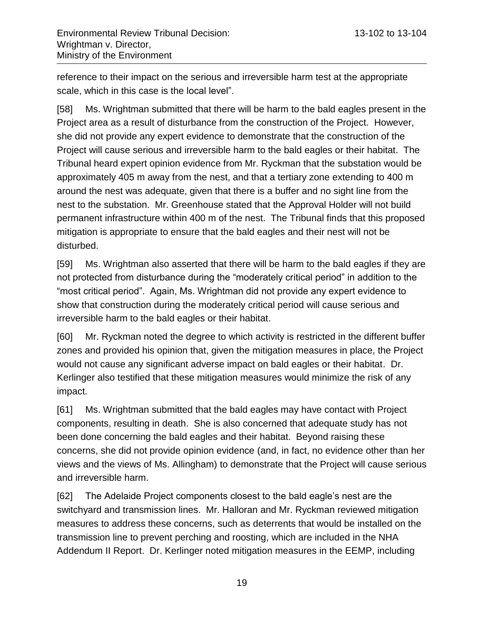reference to their impact on the serious and irreversible harm test at the appropriate scale, which in this case is the local level".

[58] Ms. Wrightman submitted that there will be harm to the bald eagles present in the Project area as a result of disturbance from the construction of the Project. However, she did not provide any expert evidence to demonstrate that the construction of the Project will cause serious and irreversible harm to the bald eagles or their habitat. The Tribunal heard expert opinion evidence from Mr. Ryckman that the substation would be approximately 405 m away from the nest, and that a tertiary zone extending to 400 m around the nest was adequate, given that there is a buffer and no sight line from the nest to the substation. Mr. Greenhouse stated that the Approval Holder will not build permanent infrastructure within 400 m of the nest. The Tribunal finds that this proposed mitigation is appropriate to ensure that the bald eagles and their nest will not be disturbed.

[59] Ms. Wrightman also asserted that there will be harm to the bald eagles if they are not protected from disturbance during the "moderately critical period" in addition to the "most critical period". Again, Ms. Wrightman did not provide any expert evidence to show that construction during the moderately critical period will cause serious and irreversible harm to the bald eagles or their habitat.

[60] Mr. Ryckman noted the degree to which activity is restricted in the different buffer zones and provided his opinion that, given the mitigation measures in place, the Project would not cause any significant adverse impact on bald eagles or their habitat. Dr. Kerlinger also testified that these mitigation measures would minimize the risk of any impact.

[61] Ms. Wrightman submitted that the bald eagles may have contact with Project components, resulting in death. She is also concerned that adequate study has not been done concerning the bald eagles and their habitat. Beyond raising these concerns, she did not provide opinion evidence (and, in fact, no evidence other than her views and the views of Ms. Allingham) to demonstrate that the Project will cause serious and irreversible harm.

[62] The Adelaide Project components closest to the bald eagle's nest are the switchyard and transmission lines. Mr. Halloran and Mr. Ryckman reviewed mitigation measures to address these concerns, such as deterrents that would be installed on the transmission line to prevent perching and roosting, which are included in the NHA Addendum II Report. Dr. Kerlinger noted mitigation measures in the EEMP, including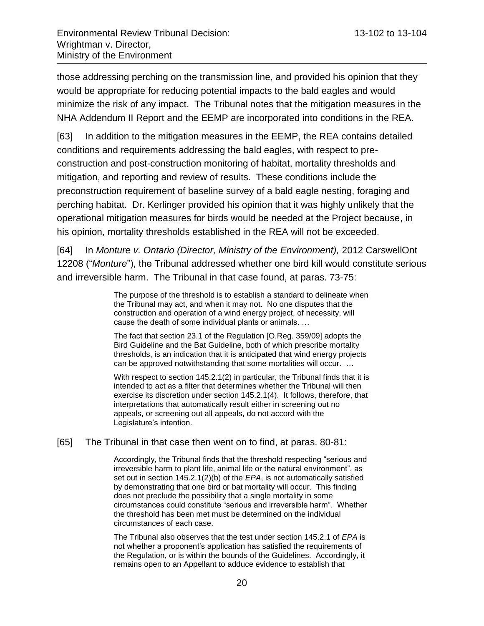those addressing perching on the transmission line, and provided his opinion that they would be appropriate for reducing potential impacts to the bald eagles and would minimize the risk of any impact. The Tribunal notes that the mitigation measures in the NHA Addendum II Report and the EEMP are incorporated into conditions in the REA.

[63] In addition to the mitigation measures in the EEMP, the REA contains detailed conditions and requirements addressing the bald eagles, with respect to preconstruction and post-construction monitoring of habitat, mortality thresholds and mitigation, and reporting and review of results. These conditions include the preconstruction requirement of baseline survey of a bald eagle nesting, foraging and perching habitat. Dr. Kerlinger provided his opinion that it was highly unlikely that the operational mitigation measures for birds would be needed at the Project because, in his opinion, mortality thresholds established in the REA will not be exceeded.

[64] In *Monture v. Ontario (Director, Ministry of the Environment),* 2012 CarswellOnt 12208 ("*Monture*"), the Tribunal addressed whether one bird kill would constitute serious and irreversible harm. The Tribunal in that case found, at paras. 73-75:

> The purpose of the threshold is to establish a standard to delineate when the Tribunal may act, and when it may not. No one disputes that the construction and operation of a wind energy project, of necessity, will cause the death of some individual plants or animals. …

> The fact that section 23.1 of the Regulation [O.Reg. 359/09] adopts the Bird Guideline and the Bat Guideline, both of which prescribe mortality thresholds, is an indication that it is anticipated that wind energy projects can be approved notwithstanding that some mortalities will occur. …

> With respect to section 145.2.1(2) in particular, the Tribunal finds that it is intended to act as a filter that determines whether the Tribunal will then exercise its discretion under section 145.2.1(4). It follows, therefore, that interpretations that automatically result either in screening out no appeals, or screening out all appeals, do not accord with the Legislature's intention.

[65] The Tribunal in that case then went on to find, at paras. 80-81:

Accordingly, the Tribunal finds that the threshold respecting "serious and irreversible harm to plant life, animal life or the natural environment", as set out in section 145.2.1(2)(b) of the *EPA*, is not automatically satisfied by demonstrating that one bird or bat mortality will occur. This finding does not preclude the possibility that a single mortality in some circumstances could constitute "serious and irreversible harm". Whether the threshold has been met must be determined on the individual circumstances of each case.

The Tribunal also observes that the test under section 145.2.1 of *EPA* is not whether a proponent's application has satisfied the requirements of the Regulation, or is within the bounds of the Guidelines. Accordingly, it remains open to an Appellant to adduce evidence to establish that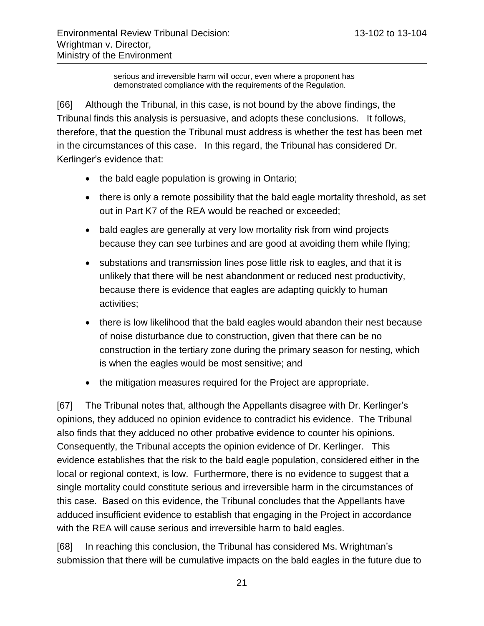serious and irreversible harm will occur, even where a proponent has demonstrated compliance with the requirements of the Regulation.

[66] Although the Tribunal, in this case, is not bound by the above findings, the Tribunal finds this analysis is persuasive, and adopts these conclusions. It follows, therefore, that the question the Tribunal must address is whether the test has been met in the circumstances of this case. In this regard, the Tribunal has considered Dr. Kerlinger's evidence that:

- the bald eagle population is growing in Ontario;
- there is only a remote possibility that the bald eagle mortality threshold, as set out in Part K7 of the REA would be reached or exceeded;
- bald eagles are generally at very low mortality risk from wind projects because they can see turbines and are good at avoiding them while flying;
- substations and transmission lines pose little risk to eagles, and that it is unlikely that there will be nest abandonment or reduced nest productivity, because there is evidence that eagles are adapting quickly to human activities;
- there is low likelihood that the bald eagles would abandon their nest because of noise disturbance due to construction, given that there can be no construction in the tertiary zone during the primary season for nesting, which is when the eagles would be most sensitive; and
- the mitigation measures required for the Project are appropriate.

[67] The Tribunal notes that, although the Appellants disagree with Dr. Kerlinger's opinions, they adduced no opinion evidence to contradict his evidence. The Tribunal also finds that they adduced no other probative evidence to counter his opinions. Consequently, the Tribunal accepts the opinion evidence of Dr. Kerlinger. This evidence establishes that the risk to the bald eagle population, considered either in the local or regional context, is low. Furthermore, there is no evidence to suggest that a single mortality could constitute serious and irreversible harm in the circumstances of this case. Based on this evidence, the Tribunal concludes that the Appellants have adduced insufficient evidence to establish that engaging in the Project in accordance with the REA will cause serious and irreversible harm to bald eagles.

[68] In reaching this conclusion, the Tribunal has considered Ms. Wrightman's submission that there will be cumulative impacts on the bald eagles in the future due to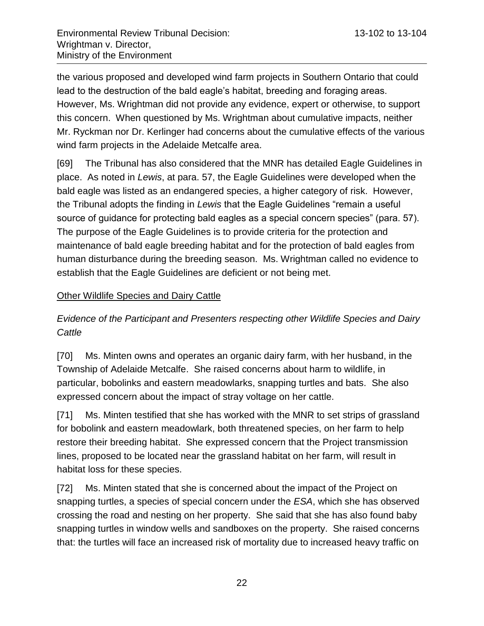the various proposed and developed wind farm projects in Southern Ontario that could lead to the destruction of the bald eagle's habitat, breeding and foraging areas. However, Ms. Wrightman did not provide any evidence, expert or otherwise, to support this concern. When questioned by Ms. Wrightman about cumulative impacts, neither Mr. Ryckman nor Dr. Kerlinger had concerns about the cumulative effects of the various wind farm projects in the Adelaide Metcalfe area.

[69] The Tribunal has also considered that the MNR has detailed Eagle Guidelines in place. As noted in *Lewis*, at para. 57, the Eagle Guidelines were developed when the bald eagle was listed as an endangered species, a higher category of risk. However, the Tribunal adopts the finding in *Lewis* that the Eagle Guidelines "remain a useful source of guidance for protecting bald eagles as a special concern species" (para. 57). The purpose of the Eagle Guidelines is to provide criteria for the protection and maintenance of bald eagle breeding habitat and for the protection of bald eagles from human disturbance during the breeding season. Ms. Wrightman called no evidence to establish that the Eagle Guidelines are deficient or not being met.

## <span id="page-21-0"></span>Other Wildlife Species and Dairy Cattle

<span id="page-21-1"></span>*Evidence of the Participant and Presenters respecting other Wildlife Species and Dairy Cattle*

[70] Ms. Minten owns and operates an organic dairy farm, with her husband, in the Township of Adelaide Metcalfe. She raised concerns about harm to wildlife, in particular, bobolinks and eastern meadowlarks, snapping turtles and bats. She also expressed concern about the impact of stray voltage on her cattle.

[71] Ms. Minten testified that she has worked with the MNR to set strips of grassland for bobolink and eastern meadowlark, both threatened species, on her farm to help restore their breeding habitat. She expressed concern that the Project transmission lines, proposed to be located near the grassland habitat on her farm, will result in habitat loss for these species.

[72] Ms. Minten stated that she is concerned about the impact of the Project on snapping turtles, a species of special concern under the *ESA*, which she has observed crossing the road and nesting on her property. She said that she has also found baby snapping turtles in window wells and sandboxes on the property. She raised concerns that: the turtles will face an increased risk of mortality due to increased heavy traffic on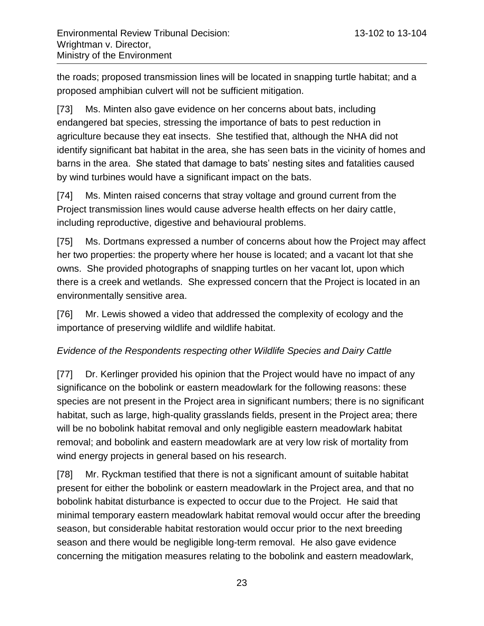the roads; proposed transmission lines will be located in snapping turtle habitat; and a proposed amphibian culvert will not be sufficient mitigation.

[73] Ms. Minten also gave evidence on her concerns about bats, including endangered bat species, stressing the importance of bats to pest reduction in agriculture because they eat insects. She testified that, although the NHA did not identify significant bat habitat in the area, she has seen bats in the vicinity of homes and barns in the area. She stated that damage to bats' nesting sites and fatalities caused by wind turbines would have a significant impact on the bats.

[74] Ms. Minten raised concerns that stray voltage and ground current from the Project transmission lines would cause adverse health effects on her dairy cattle, including reproductive, digestive and behavioural problems.

[75] Ms. Dortmans expressed a number of concerns about how the Project may affect her two properties: the property where her house is located; and a vacant lot that she owns. She provided photographs of snapping turtles on her vacant lot, upon which there is a creek and wetlands. She expressed concern that the Project is located in an environmentally sensitive area.

[76] Mr. Lewis showed a video that addressed the complexity of ecology and the importance of preserving wildlife and wildlife habitat.

### <span id="page-22-0"></span>*Evidence of the Respondents respecting other Wildlife Species and Dairy Cattle*

[77] Dr. Kerlinger provided his opinion that the Project would have no impact of any significance on the bobolink or eastern meadowlark for the following reasons: these species are not present in the Project area in significant numbers; there is no significant habitat, such as large, high-quality grasslands fields, present in the Project area; there will be no bobolink habitat removal and only negligible eastern meadowlark habitat removal; and bobolink and eastern meadowlark are at very low risk of mortality from wind energy projects in general based on his research.

[78] Mr. Ryckman testified that there is not a significant amount of suitable habitat present for either the bobolink or eastern meadowlark in the Project area, and that no bobolink habitat disturbance is expected to occur due to the Project. He said that minimal temporary eastern meadowlark habitat removal would occur after the breeding season, but considerable habitat restoration would occur prior to the next breeding season and there would be negligible long-term removal. He also gave evidence concerning the mitigation measures relating to the bobolink and eastern meadowlark,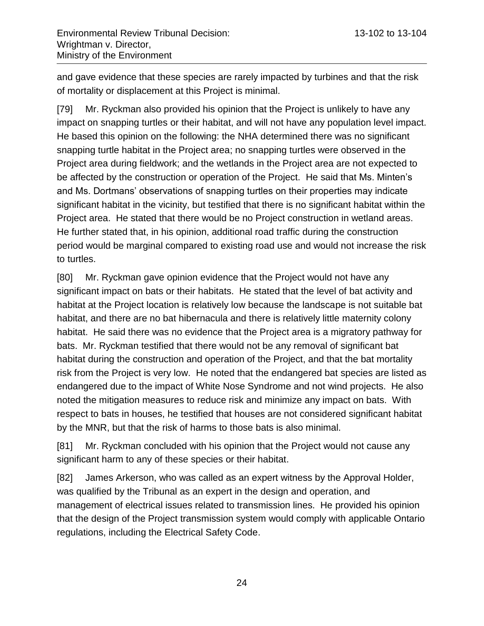and gave evidence that these species are rarely impacted by turbines and that the risk of mortality or displacement at this Project is minimal.

[79] Mr. Ryckman also provided his opinion that the Project is unlikely to have any impact on snapping turtles or their habitat, and will not have any population level impact. He based this opinion on the following: the NHA determined there was no significant snapping turtle habitat in the Project area; no snapping turtles were observed in the Project area during fieldwork; and the wetlands in the Project area are not expected to be affected by the construction or operation of the Project. He said that Ms. Minten's and Ms. Dortmans' observations of snapping turtles on their properties may indicate significant habitat in the vicinity, but testified that there is no significant habitat within the Project area. He stated that there would be no Project construction in wetland areas. He further stated that, in his opinion, additional road traffic during the construction period would be marginal compared to existing road use and would not increase the risk to turtles.

[80] Mr. Ryckman gave opinion evidence that the Project would not have any significant impact on bats or their habitats. He stated that the level of bat activity and habitat at the Project location is relatively low because the landscape is not suitable bat habitat, and there are no bat hibernacula and there is relatively little maternity colony habitat. He said there was no evidence that the Project area is a migratory pathway for bats. Mr. Ryckman testified that there would not be any removal of significant bat habitat during the construction and operation of the Project, and that the bat mortality risk from the Project is very low. He noted that the endangered bat species are listed as endangered due to the impact of White Nose Syndrome and not wind projects. He also noted the mitigation measures to reduce risk and minimize any impact on bats. With respect to bats in houses, he testified that houses are not considered significant habitat by the MNR, but that the risk of harms to those bats is also minimal.

[81] Mr. Ryckman concluded with his opinion that the Project would not cause any significant harm to any of these species or their habitat.

[82] James Arkerson, who was called as an expert witness by the Approval Holder, was qualified by the Tribunal as an expert in the design and operation, and management of electrical issues related to transmission lines. He provided his opinion that the design of the Project transmission system would comply with applicable Ontario regulations, including the Electrical Safety Code.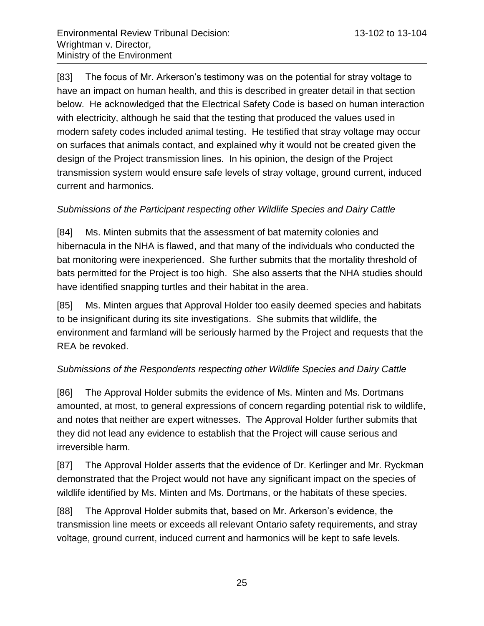[83] The focus of Mr. Arkerson's testimony was on the potential for stray voltage to have an impact on human health, and this is described in greater detail in that section below. He acknowledged that the Electrical Safety Code is based on human interaction with electricity, although he said that the testing that produced the values used in modern safety codes included animal testing. He testified that stray voltage may occur on surfaces that animals contact, and explained why it would not be created given the design of the Project transmission lines. In his opinion, the design of the Project transmission system would ensure safe levels of stray voltage, ground current, induced current and harmonics.

#### <span id="page-24-0"></span>*Submissions of the Participant respecting other Wildlife Species and Dairy Cattle*

[84] Ms. Minten submits that the assessment of bat maternity colonies and hibernacula in the NHA is flawed, and that many of the individuals who conducted the bat monitoring were inexperienced. She further submits that the mortality threshold of bats permitted for the Project is too high. She also asserts that the NHA studies should have identified snapping turtles and their habitat in the area.

[85] Ms. Minten argues that Approval Holder too easily deemed species and habitats to be insignificant during its site investigations. She submits that wildlife, the environment and farmland will be seriously harmed by the Project and requests that the REA be revoked.

### <span id="page-24-1"></span>*Submissions of the Respondents respecting other Wildlife Species and Dairy Cattle*

[86] The Approval Holder submits the evidence of Ms. Minten and Ms. Dortmans amounted, at most, to general expressions of concern regarding potential risk to wildlife, and notes that neither are expert witnesses. The Approval Holder further submits that they did not lead any evidence to establish that the Project will cause serious and irreversible harm.

[87] The Approval Holder asserts that the evidence of Dr. Kerlinger and Mr. Ryckman demonstrated that the Project would not have any significant impact on the species of wildlife identified by Ms. Minten and Ms. Dortmans, or the habitats of these species.

[88] The Approval Holder submits that, based on Mr. Arkerson's evidence, the transmission line meets or exceeds all relevant Ontario safety requirements, and stray voltage, ground current, induced current and harmonics will be kept to safe levels.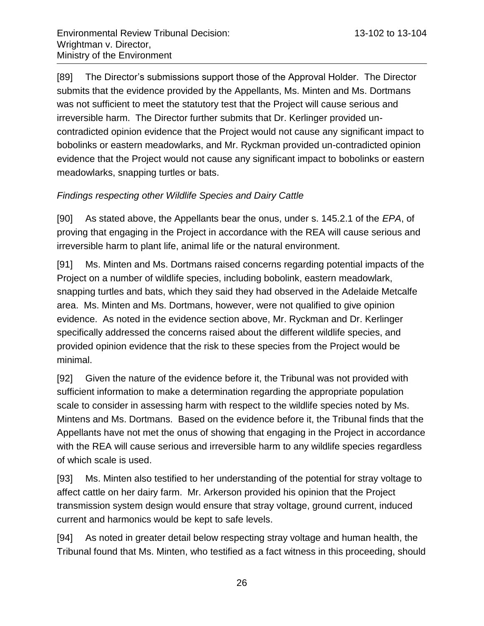[89] The Director's submissions support those of the Approval Holder. The Director submits that the evidence provided by the Appellants, Ms. Minten and Ms. Dortmans was not sufficient to meet the statutory test that the Project will cause serious and irreversible harm. The Director further submits that Dr. Kerlinger provided uncontradicted opinion evidence that the Project would not cause any significant impact to bobolinks or eastern meadowlarks, and Mr. Ryckman provided un-contradicted opinion evidence that the Project would not cause any significant impact to bobolinks or eastern meadowlarks, snapping turtles or bats.

## <span id="page-25-0"></span>*Findings respecting other Wildlife Species and Dairy Cattle*

[90] As stated above, the Appellants bear the onus, under s. 145.2.1 of the *EPA*, of proving that engaging in the Project in accordance with the REA will cause serious and irreversible harm to plant life, animal life or the natural environment.

[91] Ms. Minten and Ms. Dortmans raised concerns regarding potential impacts of the Project on a number of wildlife species, including bobolink, eastern meadowlark, snapping turtles and bats, which they said they had observed in the Adelaide Metcalfe area. Ms. Minten and Ms. Dortmans, however, were not qualified to give opinion evidence. As noted in the evidence section above, Mr. Ryckman and Dr. Kerlinger specifically addressed the concerns raised about the different wildlife species, and provided opinion evidence that the risk to these species from the Project would be minimal.

[92] Given the nature of the evidence before it, the Tribunal was not provided with sufficient information to make a determination regarding the appropriate population scale to consider in assessing harm with respect to the wildlife species noted by Ms. Mintens and Ms. Dortmans. Based on the evidence before it, the Tribunal finds that the Appellants have not met the onus of showing that engaging in the Project in accordance with the REA will cause serious and irreversible harm to any wildlife species regardless of which scale is used.

[93] Ms. Minten also testified to her understanding of the potential for stray voltage to affect cattle on her dairy farm. Mr. Arkerson provided his opinion that the Project transmission system design would ensure that stray voltage, ground current, induced current and harmonics would be kept to safe levels.

[94] As noted in greater detail below respecting stray voltage and human health, the Tribunal found that Ms. Minten, who testified as a fact witness in this proceeding, should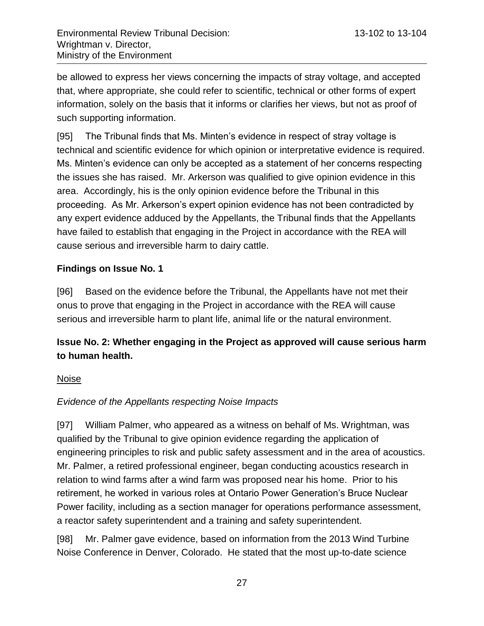be allowed to express her views concerning the impacts of stray voltage, and accepted that, where appropriate, she could refer to scientific, technical or other forms of expert information, solely on the basis that it informs or clarifies her views, but not as proof of such supporting information.

[95] The Tribunal finds that Ms. Minten's evidence in respect of stray voltage is technical and scientific evidence for which opinion or interpretative evidence is required. Ms. Minten's evidence can only be accepted as a statement of her concerns respecting the issues she has raised. Mr. Arkerson was qualified to give opinion evidence in this area. Accordingly, his is the only opinion evidence before the Tribunal in this proceeding. As Mr. Arkerson's expert opinion evidence has not been contradicted by any expert evidence adduced by the Appellants, the Tribunal finds that the Appellants have failed to establish that engaging in the Project in accordance with the REA will cause serious and irreversible harm to dairy cattle.

### <span id="page-26-0"></span>**Findings on Issue No. 1**

[96] Based on the evidence before the Tribunal, the Appellants have not met their onus to prove that engaging in the Project in accordance with the REA will cause serious and irreversible harm to plant life, animal life or the natural environment.

# <span id="page-26-1"></span>**Issue No. 2: Whether engaging in the Project as approved will cause serious harm to human health.**

### <span id="page-26-2"></span>Noise

## <span id="page-26-3"></span>*Evidence of the Appellants respecting Noise Impacts*

[97] William Palmer, who appeared as a witness on behalf of Ms. Wrightman, was qualified by the Tribunal to give opinion evidence regarding the application of engineering principles to risk and public safety assessment and in the area of acoustics. Mr. Palmer, a retired professional engineer, began conducting acoustics research in relation to wind farms after a wind farm was proposed near his home. Prior to his retirement, he worked in various roles at Ontario Power Generation's Bruce Nuclear Power facility, including as a section manager for operations performance assessment, a reactor safety superintendent and a training and safety superintendent.

[98] Mr. Palmer gave evidence, based on information from the 2013 Wind Turbine Noise Conference in Denver, Colorado. He stated that the most up-to-date science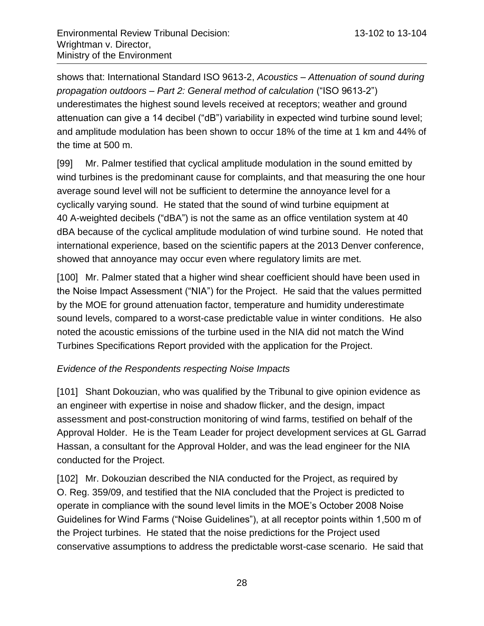shows that: International Standard ISO 9613-2, *Acoustics – Attenuation of sound during propagation outdoors – Part 2: General method of calculation* ("ISO 9613-2") underestimates the highest sound levels received at receptors; weather and ground attenuation can give a 14 decibel ("dB") variability in expected wind turbine sound level; and amplitude modulation has been shown to occur 18% of the time at 1 km and 44% of the time at 500 m.

[99] Mr. Palmer testified that cyclical amplitude modulation in the sound emitted by wind turbines is the predominant cause for complaints, and that measuring the one hour average sound level will not be sufficient to determine the annoyance level for a cyclically varying sound. He stated that the sound of wind turbine equipment at 40 A-weighted decibels ("dBA") is not the same as an office ventilation system at 40 dBA because of the cyclical amplitude modulation of wind turbine sound. He noted that international experience, based on the scientific papers at the 2013 Denver conference, showed that annoyance may occur even where regulatory limits are met.

[100] Mr. Palmer stated that a higher wind shear coefficient should have been used in the Noise Impact Assessment ("NIA") for the Project. He said that the values permitted by the MOE for ground attenuation factor, temperature and humidity underestimate sound levels, compared to a worst-case predictable value in winter conditions. He also noted the acoustic emissions of the turbine used in the NIA did not match the Wind Turbines Specifications Report provided with the application for the Project.

### <span id="page-27-0"></span>*Evidence of the Respondents respecting Noise Impacts*

[101] Shant Dokouzian, who was qualified by the Tribunal to give opinion evidence as an engineer with expertise in noise and shadow flicker, and the design, impact assessment and post-construction monitoring of wind farms, testified on behalf of the Approval Holder. He is the Team Leader for project development services at GL Garrad Hassan, a consultant for the Approval Holder, and was the lead engineer for the NIA conducted for the Project.

[102] Mr. Dokouzian described the NIA conducted for the Project, as required by O. Reg. 359/09, and testified that the NIA concluded that the Project is predicted to operate in compliance with the sound level limits in the MOE's October 2008 Noise Guidelines for Wind Farms ("Noise Guidelines"), at all receptor points within 1,500 m of the Project turbines. He stated that the noise predictions for the Project used conservative assumptions to address the predictable worst-case scenario. He said that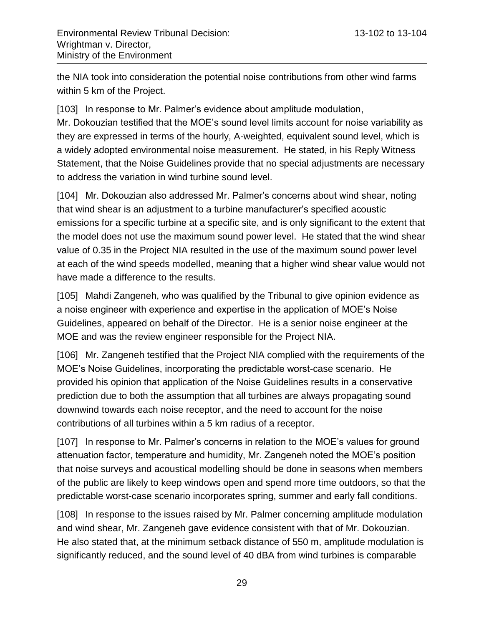the NIA took into consideration the potential noise contributions from other wind farms within 5 km of the Project.

[103] In response to Mr. Palmer's evidence about amplitude modulation, Mr. Dokouzian testified that the MOE's sound level limits account for noise variability as they are expressed in terms of the hourly, A-weighted, equivalent sound level, which is a widely adopted environmental noise measurement. He stated, in his Reply Witness Statement, that the Noise Guidelines provide that no special adjustments are necessary to address the variation in wind turbine sound level.

[104] Mr. Dokouzian also addressed Mr. Palmer's concerns about wind shear, noting that wind shear is an adjustment to a turbine manufacturer's specified acoustic emissions for a specific turbine at a specific site, and is only significant to the extent that the model does not use the maximum sound power level. He stated that the wind shear value of 0.35 in the Project NIA resulted in the use of the maximum sound power level at each of the wind speeds modelled, meaning that a higher wind shear value would not have made a difference to the results.

[105] Mahdi Zangeneh, who was qualified by the Tribunal to give opinion evidence as a noise engineer with experience and expertise in the application of MOE's Noise Guidelines, appeared on behalf of the Director. He is a senior noise engineer at the MOE and was the review engineer responsible for the Project NIA.

[106] Mr. Zangeneh testified that the Project NIA complied with the requirements of the MOE's Noise Guidelines, incorporating the predictable worst-case scenario. He provided his opinion that application of the Noise Guidelines results in a conservative prediction due to both the assumption that all turbines are always propagating sound downwind towards each noise receptor, and the need to account for the noise contributions of all turbines within a 5 km radius of a receptor.

[107] In response to Mr. Palmer's concerns in relation to the MOE's values for ground attenuation factor, temperature and humidity, Mr. Zangeneh noted the MOE's position that noise surveys and acoustical modelling should be done in seasons when members of the public are likely to keep windows open and spend more time outdoors, so that the predictable worst-case scenario incorporates spring, summer and early fall conditions.

[108] In response to the issues raised by Mr. Palmer concerning amplitude modulation and wind shear, Mr. Zangeneh gave evidence consistent with that of Mr. Dokouzian. He also stated that, at the minimum setback distance of 550 m, amplitude modulation is significantly reduced, and the sound level of 40 dBA from wind turbines is comparable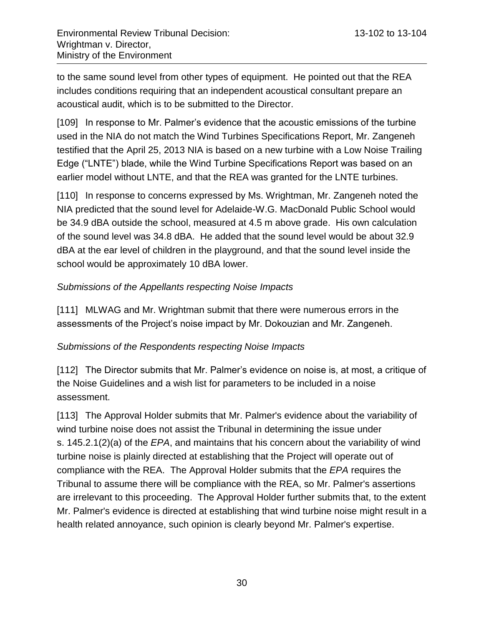to the same sound level from other types of equipment. He pointed out that the REA includes conditions requiring that an independent acoustical consultant prepare an acoustical audit, which is to be submitted to the Director.

[109] In response to Mr. Palmer's evidence that the acoustic emissions of the turbine used in the NIA do not match the Wind Turbines Specifications Report, Mr. Zangeneh testified that the April 25, 2013 NIA is based on a new turbine with a Low Noise Trailing Edge ("LNTE") blade, while the Wind Turbine Specifications Report was based on an earlier model without LNTE, and that the REA was granted for the LNTE turbines.

[110] In response to concerns expressed by Ms. Wrightman, Mr. Zangeneh noted the NIA predicted that the sound level for Adelaide-W.G. MacDonald Public School would be 34.9 dBA outside the school, measured at 4.5 m above grade. His own calculation of the sound level was 34.8 dBA. He added that the sound level would be about 32.9 dBA at the ear level of children in the playground, and that the sound level inside the school would be approximately 10 dBA lower.

#### <span id="page-29-0"></span>*Submissions of the Appellants respecting Noise Impacts*

[111] MLWAG and Mr. Wrightman submit that there were numerous errors in the assessments of the Project's noise impact by Mr. Dokouzian and Mr. Zangeneh.

#### <span id="page-29-1"></span>*Submissions of the Respondents respecting Noise Impacts*

[112] The Director submits that Mr. Palmer's evidence on noise is, at most, a critique of the Noise Guidelines and a wish list for parameters to be included in a noise assessment.

[113] The Approval Holder submits that Mr. Palmer's evidence about the variability of wind turbine noise does not assist the Tribunal in determining the issue under s. 145.2.1(2)(a) of the *EPA*, and maintains that his concern about the variability of wind turbine noise is plainly directed at establishing that the Project will operate out of compliance with the REA. The Approval Holder submits that the *EPA* requires the Tribunal to assume there will be compliance with the REA, so Mr. Palmer's assertions are irrelevant to this proceeding. The Approval Holder further submits that, to the extent Mr. Palmer's evidence is directed at establishing that wind turbine noise might result in a health related annoyance, such opinion is clearly beyond Mr. Palmer's expertise.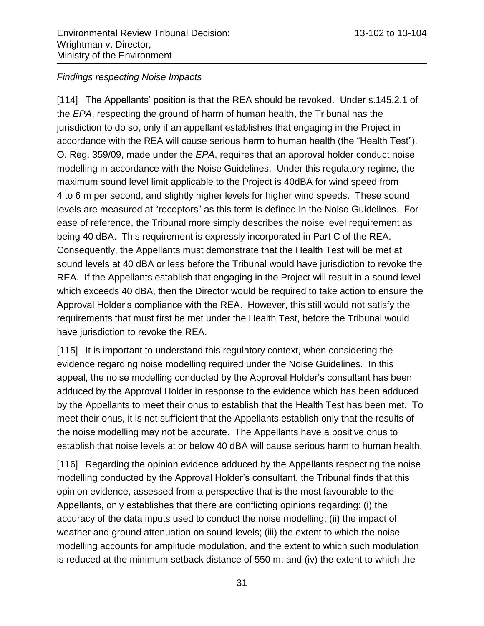#### <span id="page-30-0"></span>*Findings respecting Noise Impacts*

[114] The Appellants' position is that the REA should be revoked. Under s.145.2.1 of the *EPA*, respecting the ground of harm of human health, the Tribunal has the jurisdiction to do so, only if an appellant establishes that engaging in the Project in accordance with the REA will cause serious harm to human health (the "Health Test"). O. Reg. 359/09, made under the *EPA*, requires that an approval holder conduct noise modelling in accordance with the Noise Guidelines. Under this regulatory regime, the maximum sound level limit applicable to the Project is 40dBA for wind speed from 4 to 6 m per second, and slightly higher levels for higher wind speeds. These sound levels are measured at "receptors" as this term is defined in the Noise Guidelines. For ease of reference, the Tribunal more simply describes the noise level requirement as being 40 dBA. This requirement is expressly incorporated in Part C of the REA. Consequently, the Appellants must demonstrate that the Health Test will be met at sound levels at 40 dBA or less before the Tribunal would have jurisdiction to revoke the REA. If the Appellants establish that engaging in the Project will result in a sound level which exceeds 40 dBA, then the Director would be required to take action to ensure the Approval Holder's compliance with the REA. However, this still would not satisfy the requirements that must first be met under the Health Test, before the Tribunal would have jurisdiction to revoke the REA.

[115] It is important to understand this regulatory context, when considering the evidence regarding noise modelling required under the Noise Guidelines. In this appeal, the noise modelling conducted by the Approval Holder's consultant has been adduced by the Approval Holder in response to the evidence which has been adduced by the Appellants to meet their onus to establish that the Health Test has been met. To meet their onus, it is not sufficient that the Appellants establish only that the results of the noise modelling may not be accurate. The Appellants have a positive onus to establish that noise levels at or below 40 dBA will cause serious harm to human health.

[116] Regarding the opinion evidence adduced by the Appellants respecting the noise modelling conducted by the Approval Holder's consultant, the Tribunal finds that this opinion evidence, assessed from a perspective that is the most favourable to the Appellants, only establishes that there are conflicting opinions regarding: (i) the accuracy of the data inputs used to conduct the noise modelling; (ii) the impact of weather and ground attenuation on sound levels; (iii) the extent to which the noise modelling accounts for amplitude modulation, and the extent to which such modulation is reduced at the minimum setback distance of 550 m; and (iv) the extent to which the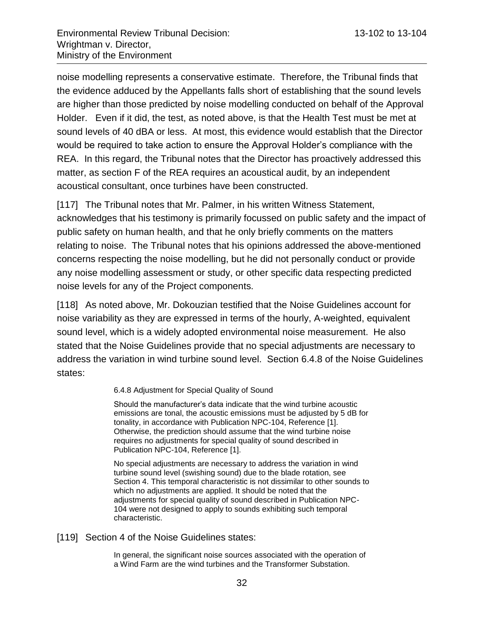noise modelling represents a conservative estimate. Therefore, the Tribunal finds that the evidence adduced by the Appellants falls short of establishing that the sound levels are higher than those predicted by noise modelling conducted on behalf of the Approval Holder. Even if it did, the test, as noted above, is that the Health Test must be met at sound levels of 40 dBA or less. At most, this evidence would establish that the Director would be required to take action to ensure the Approval Holder's compliance with the REA. In this regard, the Tribunal notes that the Director has proactively addressed this matter, as section F of the REA requires an acoustical audit, by an independent acoustical consultant, once turbines have been constructed.

[117] The Tribunal notes that Mr. Palmer, in his written Witness Statement, acknowledges that his testimony is primarily focussed on public safety and the impact of public safety on human health, and that he only briefly comments on the matters relating to noise. The Tribunal notes that his opinions addressed the above-mentioned concerns respecting the noise modelling, but he did not personally conduct or provide any noise modelling assessment or study, or other specific data respecting predicted noise levels for any of the Project components.

[118] As noted above, Mr. Dokouzian testified that the Noise Guidelines account for noise variability as they are expressed in terms of the hourly, A-weighted, equivalent sound level, which is a widely adopted environmental noise measurement. He also stated that the Noise Guidelines provide that no special adjustments are necessary to address the variation in wind turbine sound level. Section 6.4.8 of the Noise Guidelines states:

6.4.8 Adjustment for Special Quality of Sound

Should the manufacturer's data indicate that the wind turbine acoustic emissions are tonal, the acoustic emissions must be adjusted by 5 dB for tonality, in accordance with Publication NPC-104, Reference [1]. Otherwise, the prediction should assume that the wind turbine noise requires no adjustments for special quality of sound described in Publication NPC-104, Reference [1].

No special adjustments are necessary to address the variation in wind turbine sound level (swishing sound) due to the blade rotation, see Section 4. This temporal characteristic is not dissimilar to other sounds to which no adjustments are applied. It should be noted that the adjustments for special quality of sound described in Publication NPC-104 were not designed to apply to sounds exhibiting such temporal characteristic.

[119] Section 4 of the Noise Guidelines states:

In general, the significant noise sources associated with the operation of a Wind Farm are the wind turbines and the Transformer Substation.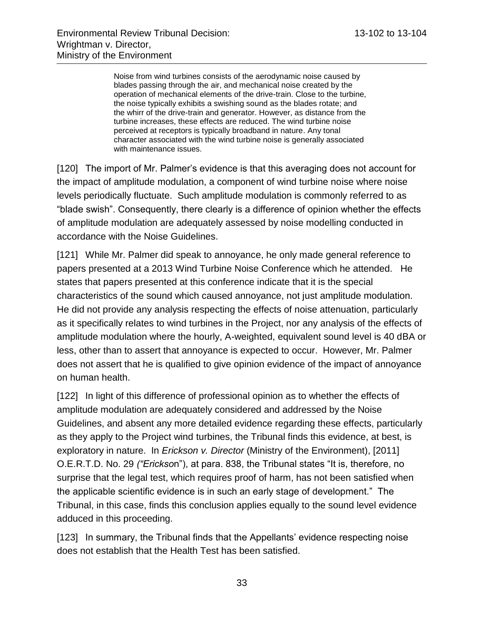Noise from wind turbines consists of the aerodynamic noise caused by blades passing through the air, and mechanical noise created by the operation of mechanical elements of the drive-train. Close to the turbine, the noise typically exhibits a swishing sound as the blades rotate; and the whirr of the drive-train and generator. However, as distance from the turbine increases, these effects are reduced. The wind turbine noise perceived at receptors is typically broadband in nature. Any tonal character associated with the wind turbine noise is generally associated with maintenance issues.

[120] The import of Mr. Palmer's evidence is that this averaging does not account for the impact of amplitude modulation, a component of wind turbine noise where noise levels periodically fluctuate. Such amplitude modulation is commonly referred to as "blade swish". Consequently, there clearly is a difference of opinion whether the effects of amplitude modulation are adequately assessed by noise modelling conducted in accordance with the Noise Guidelines.

[121] While Mr. Palmer did speak to annoyance, he only made general reference to papers presented at a 2013 Wind Turbine Noise Conference which he attended. He states that papers presented at this conference indicate that it is the special characteristics of the sound which caused annoyance, not just amplitude modulation. He did not provide any analysis respecting the effects of noise attenuation, particularly as it specifically relates to wind turbines in the Project, nor any analysis of the effects of amplitude modulation where the hourly, A-weighted, equivalent sound level is 40 dBA or less, other than to assert that annoyance is expected to occur. However, Mr. Palmer does not assert that he is qualified to give opinion evidence of the impact of annoyance on human health.

[122] In light of this difference of professional opinion as to whether the effects of amplitude modulation are adequately considered and addressed by the Noise Guidelines, and absent any more detailed evidence regarding these effects, particularly as they apply to the Project wind turbines, the Tribunal finds this evidence, at best, is exploratory in nature. In *Erickson v. Director* (Ministry of the Environment), [2011] O.E.R.T.D. No. 29 *("Erickso*n"), at para. 838, the Tribunal states "It is, therefore, no surprise that the legal test, which requires proof of harm, has not been satisfied when the applicable scientific evidence is in such an early stage of development." The Tribunal, in this case, finds this conclusion applies equally to the sound level evidence adduced in this proceeding.

[123] In summary, the Tribunal finds that the Appellants' evidence respecting noise does not establish that the Health Test has been satisfied.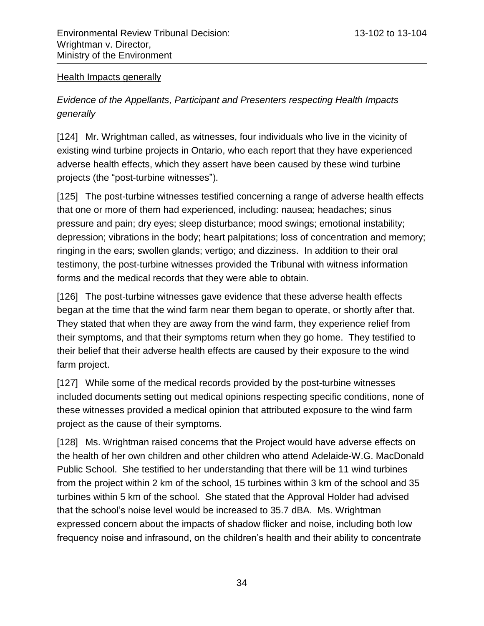#### <span id="page-33-0"></span>Health Impacts generally

## <span id="page-33-1"></span>*Evidence of the Appellants, Participant and Presenters respecting Health Impacts generally*

[124] Mr. Wrightman called, as witnesses, four individuals who live in the vicinity of existing wind turbine projects in Ontario, who each report that they have experienced adverse health effects, which they assert have been caused by these wind turbine projects (the "post-turbine witnesses").

[125] The post-turbine witnesses testified concerning a range of adverse health effects that one or more of them had experienced, including: nausea; headaches; sinus pressure and pain; dry eyes; sleep disturbance; mood swings; emotional instability; depression; vibrations in the body; heart palpitations; loss of concentration and memory; ringing in the ears; swollen glands; vertigo; and dizziness. In addition to their oral testimony, the post-turbine witnesses provided the Tribunal with witness information forms and the medical records that they were able to obtain.

[126] The post-turbine witnesses gave evidence that these adverse health effects began at the time that the wind farm near them began to operate, or shortly after that. They stated that when they are away from the wind farm, they experience relief from their symptoms, and that their symptoms return when they go home. They testified to their belief that their adverse health effects are caused by their exposure to the wind farm project.

[127] While some of the medical records provided by the post-turbine witnesses included documents setting out medical opinions respecting specific conditions, none of these witnesses provided a medical opinion that attributed exposure to the wind farm project as the cause of their symptoms.

[128] Ms. Wrightman raised concerns that the Project would have adverse effects on the health of her own children and other children who attend Adelaide-W.G. MacDonald Public School. She testified to her understanding that there will be 11 wind turbines from the project within 2 km of the school, 15 turbines within 3 km of the school and 35 turbines within 5 km of the school. She stated that the Approval Holder had advised that the school's noise level would be increased to 35.7 dBA. Ms. Wrightman expressed concern about the impacts of shadow flicker and noise, including both low frequency noise and infrasound, on the children's health and their ability to concentrate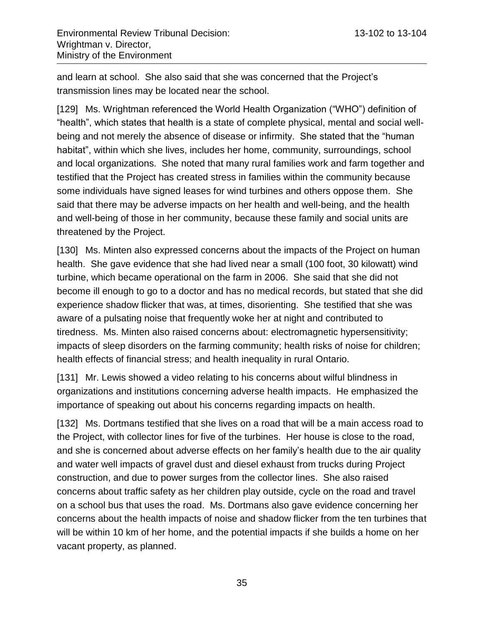and learn at school. She also said that she was concerned that the Project's transmission lines may be located near the school.

[129] Ms. Wrightman referenced the World Health Organization ("WHO") definition of "health", which states that health is a state of complete physical, mental and social wellbeing and not merely the absence of disease or infirmity. She stated that the "human habitat", within which she lives, includes her home, community, surroundings, school and local organizations. She noted that many rural families work and farm together and testified that the Project has created stress in families within the community because some individuals have signed leases for wind turbines and others oppose them. She said that there may be adverse impacts on her health and well-being, and the health and well-being of those in her community, because these family and social units are threatened by the Project.

[130] Ms. Minten also expressed concerns about the impacts of the Project on human health. She gave evidence that she had lived near a small (100 foot, 30 kilowatt) wind turbine, which became operational on the farm in 2006. She said that she did not become ill enough to go to a doctor and has no medical records, but stated that she did experience shadow flicker that was, at times, disorienting. She testified that she was aware of a pulsating noise that frequently woke her at night and contributed to tiredness. Ms. Minten also raised concerns about: electromagnetic hypersensitivity; impacts of sleep disorders on the farming community; health risks of noise for children; health effects of financial stress; and health inequality in rural Ontario.

[131] Mr. Lewis showed a video relating to his concerns about wilful blindness in organizations and institutions concerning adverse health impacts. He emphasized the importance of speaking out about his concerns regarding impacts on health.

[132] Ms. Dortmans testified that she lives on a road that will be a main access road to the Project, with collector lines for five of the turbines. Her house is close to the road, and she is concerned about adverse effects on her family's health due to the air quality and water well impacts of gravel dust and diesel exhaust from trucks during Project construction, and due to power surges from the collector lines. She also raised concerns about traffic safety as her children play outside, cycle on the road and travel on a school bus that uses the road. Ms. Dortmans also gave evidence concerning her concerns about the health impacts of noise and shadow flicker from the ten turbines that will be within 10 km of her home, and the potential impacts if she builds a home on her vacant property, as planned.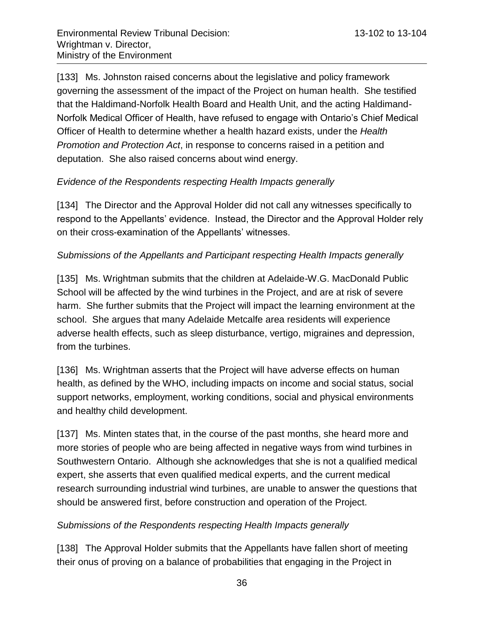[133] Ms. Johnston raised concerns about the legislative and policy framework governing the assessment of the impact of the Project on human health. She testified that the Haldimand-Norfolk Health Board and Health Unit, and the acting Haldimand-Norfolk Medical Officer of Health, have refused to engage with Ontario's Chief Medical Officer of Health to determine whether a health hazard exists, under the *Health Promotion and Protection Act*, in response to concerns raised in a petition and deputation. She also raised concerns about wind energy.

### <span id="page-35-0"></span>*Evidence of the Respondents respecting Health Impacts generally*

[134] The Director and the Approval Holder did not call any witnesses specifically to respond to the Appellants' evidence. Instead, the Director and the Approval Holder rely on their cross-examination of the Appellants' witnesses.

#### <span id="page-35-1"></span>*Submissions of the Appellants and Participant respecting Health Impacts generally*

[135] Ms. Wrightman submits that the children at Adelaide-W.G. MacDonald Public School will be affected by the wind turbines in the Project, and are at risk of severe harm. She further submits that the Project will impact the learning environment at the school. She argues that many Adelaide Metcalfe area residents will experience adverse health effects, such as sleep disturbance, vertigo, migraines and depression, from the turbines.

[136] Ms. Wrightman asserts that the Project will have adverse effects on human health, as defined by the WHO, including impacts on income and social status, social support networks, employment, working conditions, social and physical environments and healthy child development.

[137] Ms. Minten states that, in the course of the past months, she heard more and more stories of people who are being affected in negative ways from wind turbines in Southwestern Ontario. Although she acknowledges that she is not a qualified medical expert, she asserts that even qualified medical experts, and the current medical research surrounding industrial wind turbines, are unable to answer the questions that should be answered first, before construction and operation of the Project.

#### <span id="page-35-2"></span>*Submissions of the Respondents respecting Health Impacts generally*

[138] The Approval Holder submits that the Appellants have fallen short of meeting their onus of proving on a balance of probabilities that engaging in the Project in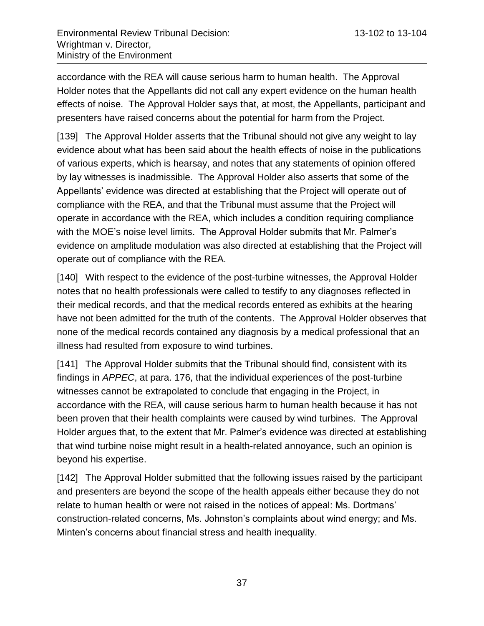accordance with the REA will cause serious harm to human health. The Approval Holder notes that the Appellants did not call any expert evidence on the human health effects of noise. The Approval Holder says that, at most, the Appellants, participant and presenters have raised concerns about the potential for harm from the Project.

[139] The Approval Holder asserts that the Tribunal should not give any weight to lay evidence about what has been said about the health effects of noise in the publications of various experts, which is hearsay, and notes that any statements of opinion offered by lay witnesses is inadmissible. The Approval Holder also asserts that some of the Appellants' evidence was directed at establishing that the Project will operate out of compliance with the REA, and that the Tribunal must assume that the Project will operate in accordance with the REA, which includes a condition requiring compliance with the MOE's noise level limits. The Approval Holder submits that Mr. Palmer's evidence on amplitude modulation was also directed at establishing that the Project will operate out of compliance with the REA.

[140] With respect to the evidence of the post-turbine witnesses, the Approval Holder notes that no health professionals were called to testify to any diagnoses reflected in their medical records, and that the medical records entered as exhibits at the hearing have not been admitted for the truth of the contents. The Approval Holder observes that none of the medical records contained any diagnosis by a medical professional that an illness had resulted from exposure to wind turbines.

[141] The Approval Holder submits that the Tribunal should find, consistent with its findings in *APPEC*, at para. 176, that the individual experiences of the post-turbine witnesses cannot be extrapolated to conclude that engaging in the Project, in accordance with the REA, will cause serious harm to human health because it has not been proven that their health complaints were caused by wind turbines. The Approval Holder argues that, to the extent that Mr. Palmer's evidence was directed at establishing that wind turbine noise might result in a health-related annoyance, such an opinion is beyond his expertise.

[142] The Approval Holder submitted that the following issues raised by the participant and presenters are beyond the scope of the health appeals either because they do not relate to human health or were not raised in the notices of appeal: Ms. Dortmans' construction-related concerns, Ms. Johnston's complaints about wind energy; and Ms. Minten's concerns about financial stress and health inequality.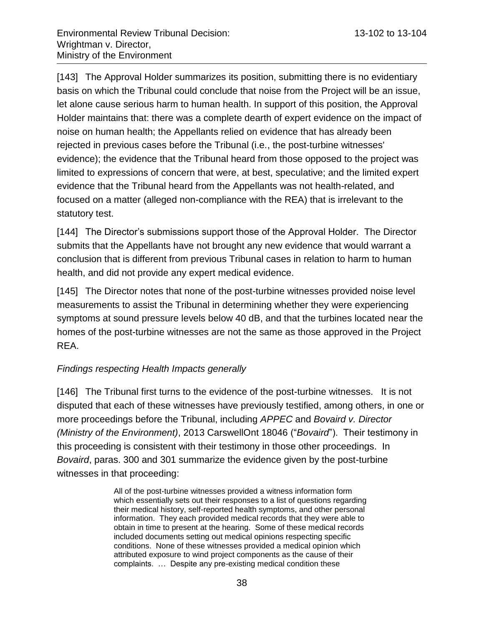[143] The Approval Holder summarizes its position, submitting there is no evidentiary basis on which the Tribunal could conclude that noise from the Project will be an issue, let alone cause serious harm to human health. In support of this position, the Approval Holder maintains that: there was a complete dearth of expert evidence on the impact of noise on human health; the Appellants relied on evidence that has already been rejected in previous cases before the Tribunal (i.e., the post-turbine witnesses' evidence); the evidence that the Tribunal heard from those opposed to the project was limited to expressions of concern that were, at best, speculative; and the limited expert evidence that the Tribunal heard from the Appellants was not health-related, and focused on a matter (alleged non-compliance with the REA) that is irrelevant to the statutory test.

[144] The Director's submissions support those of the Approval Holder. The Director submits that the Appellants have not brought any new evidence that would warrant a conclusion that is different from previous Tribunal cases in relation to harm to human health, and did not provide any expert medical evidence.

[145] The Director notes that none of the post-turbine witnesses provided noise level measurements to assist the Tribunal in determining whether they were experiencing symptoms at sound pressure levels below 40 dB, and that the turbines located near the homes of the post-turbine witnesses are not the same as those approved in the Project REA.

#### *Findings respecting Health Impacts generally*

[146] The Tribunal first turns to the evidence of the post-turbine witnesses. It is not disputed that each of these witnesses have previously testified, among others, in one or more proceedings before the Tribunal, including *APPEC* and *Bovaird v. Director (Ministry of the Environment)*, 2013 CarswellOnt 18046 ("*Bovaird*"). Their testimony in this proceeding is consistent with their testimony in those other proceedings. In *Bovaird*, paras. 300 and 301 summarize the evidence given by the post-turbine witnesses in that proceeding:

> All of the post-turbine witnesses provided a witness information form which essentially sets out their responses to a list of questions regarding their medical history, self-reported health symptoms, and other personal information. They each provided medical records that they were able to obtain in time to present at the hearing. Some of these medical records included documents setting out medical opinions respecting specific conditions. None of these witnesses provided a medical opinion which attributed exposure to wind project components as the cause of their complaints. … Despite any pre-existing medical condition these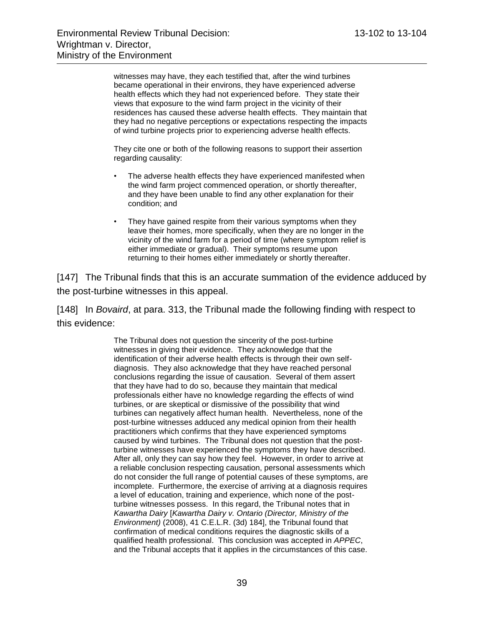witnesses may have, they each testified that, after the wind turbines became operational in their environs, they have experienced adverse health effects which they had not experienced before. They state their views that exposure to the wind farm project in the vicinity of their residences has caused these adverse health effects. They maintain that they had no negative perceptions or expectations respecting the impacts of wind turbine projects prior to experiencing adverse health effects.

They cite one or both of the following reasons to support their assertion regarding causality:

- The adverse health effects they have experienced manifested when the wind farm project commenced operation, or shortly thereafter, and they have been unable to find any other explanation for their condition; and
- They have gained respite from their various symptoms when they leave their homes, more specifically, when they are no longer in the vicinity of the wind farm for a period of time (where symptom relief is either immediate or gradual). Their symptoms resume upon returning to their homes either immediately or shortly thereafter.

[147] The Tribunal finds that this is an accurate summation of the evidence adduced by the post-turbine witnesses in this appeal.

[148] In *Bovaird*, at para. 313, the Tribunal made the following finding with respect to this evidence:

> The Tribunal does not question the sincerity of the post-turbine witnesses in giving their evidence. They acknowledge that the identification of their adverse health effects is through their own selfdiagnosis. They also acknowledge that they have reached personal conclusions regarding the issue of causation. Several of them assert that they have had to do so, because they maintain that medical professionals either have no knowledge regarding the effects of wind turbines, or are skeptical or dismissive of the possibility that wind turbines can negatively affect human health. Nevertheless, none of the post-turbine witnesses adduced any medical opinion from their health practitioners which confirms that they have experienced symptoms caused by wind turbines. The Tribunal does not question that the postturbine witnesses have experienced the symptoms they have described. After all, only they can say how they feel. However, in order to arrive at a reliable conclusion respecting causation, personal assessments which do not consider the full range of potential causes of these symptoms, are incomplete. Furthermore, the exercise of arriving at a diagnosis requires a level of education, training and experience, which none of the postturbine witnesses possess. In this regard, the Tribunal notes that in *Kawartha Dairy* [*Kawartha Dairy v. Ontario (Director, Ministry of the Environment)* (2008), 41 C.E.L.R. (3d) 184], the Tribunal found that confirmation of medical conditions requires the diagnostic skills of a qualified health professional. This conclusion was accepted in *APPEC*, and the Tribunal accepts that it applies in the circumstances of this case.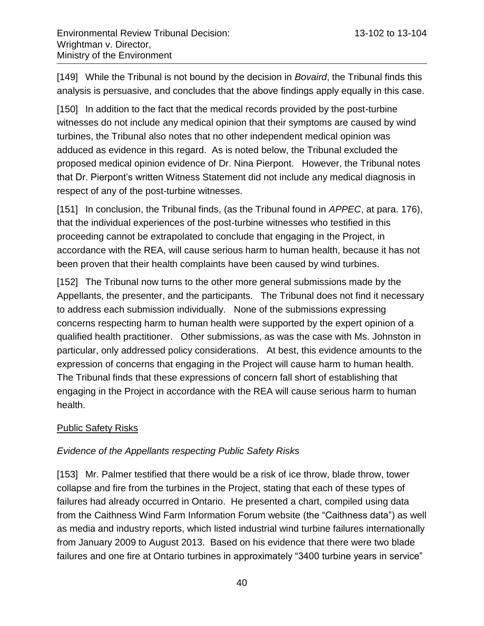[149] While the Tribunal is not bound by the decision in *Bovaird*, the Tribunal finds this analysis is persuasive, and concludes that the above findings apply equally in this case.

[150] In addition to the fact that the medical records provided by the post-turbine witnesses do not include any medical opinion that their symptoms are caused by wind turbines, the Tribunal also notes that no other independent medical opinion was adduced as evidence in this regard. As is noted below, the Tribunal excluded the proposed medical opinion evidence of Dr. Nina Pierpont. However, the Tribunal notes that Dr. Pierpont's written Witness Statement did not include any medical diagnosis in respect of any of the post-turbine witnesses.

[151] In conclusion, the Tribunal finds, (as the Tribunal found in *APPEC*, at para. 176), that the individual experiences of the post-turbine witnesses who testified in this proceeding cannot be extrapolated to conclude that engaging in the Project, in accordance with the REA, will cause serious harm to human health, because it has not been proven that their health complaints have been caused by wind turbines.

[152] The Tribunal now turns to the other more general submissions made by the Appellants, the presenter, and the participants. The Tribunal does not find it necessary to address each submission individually. None of the submissions expressing concerns respecting harm to human health were supported by the expert opinion of a qualified health practitioner. Other submissions, as was the case with Ms. Johnston in particular, only addressed policy considerations. At best, this evidence amounts to the expression of concerns that engaging in the Project will cause harm to human health. The Tribunal finds that these expressions of concern fall short of establishing that engaging in the Project in accordance with the REA will cause serious harm to human health.

# Public Safety Risks

# *Evidence of the Appellants respecting Public Safety Risks*

[153] Mr. Palmer testified that there would be a risk of ice throw, blade throw, tower collapse and fire from the turbines in the Project, stating that each of these types of failures had already occurred in Ontario. He presented a chart, compiled using data from the Caithness Wind Farm Information Forum website (the "Caithness data") as well as media and industry reports, which listed industrial wind turbine failures internationally from January 2009 to August 2013. Based on his evidence that there were two blade failures and one fire at Ontario turbines in approximately "3400 turbine years in service"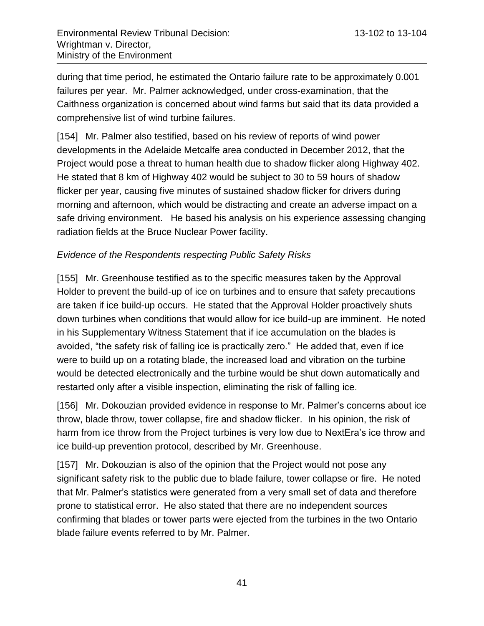during that time period, he estimated the Ontario failure rate to be approximately 0.001 failures per year. Mr. Palmer acknowledged, under cross-examination, that the Caithness organization is concerned about wind farms but said that its data provided a comprehensive list of wind turbine failures.

[154] Mr. Palmer also testified, based on his review of reports of wind power developments in the Adelaide Metcalfe area conducted in December 2012, that the Project would pose a threat to human health due to shadow flicker along Highway 402. He stated that 8 km of Highway 402 would be subject to 30 to 59 hours of shadow flicker per year, causing five minutes of sustained shadow flicker for drivers during morning and afternoon, which would be distracting and create an adverse impact on a safe driving environment. He based his analysis on his experience assessing changing radiation fields at the Bruce Nuclear Power facility.

### *Evidence of the Respondents respecting Public Safety Risks*

[155] Mr. Greenhouse testified as to the specific measures taken by the Approval Holder to prevent the build-up of ice on turbines and to ensure that safety precautions are taken if ice build-up occurs. He stated that the Approval Holder proactively shuts down turbines when conditions that would allow for ice build-up are imminent. He noted in his Supplementary Witness Statement that if ice accumulation on the blades is avoided, "the safety risk of falling ice is practically zero." He added that, even if ice were to build up on a rotating blade, the increased load and vibration on the turbine would be detected electronically and the turbine would be shut down automatically and restarted only after a visible inspection, eliminating the risk of falling ice.

[156] Mr. Dokouzian provided evidence in response to Mr. Palmer's concerns about ice throw, blade throw, tower collapse, fire and shadow flicker. In his opinion, the risk of harm from ice throw from the Project turbines is very low due to NextEra's ice throw and ice build-up prevention protocol, described by Mr. Greenhouse.

[157] Mr. Dokouzian is also of the opinion that the Project would not pose any significant safety risk to the public due to blade failure, tower collapse or fire. He noted that Mr. Palmer's statistics were generated from a very small set of data and therefore prone to statistical error. He also stated that there are no independent sources confirming that blades or tower parts were ejected from the turbines in the two Ontario blade failure events referred to by Mr. Palmer.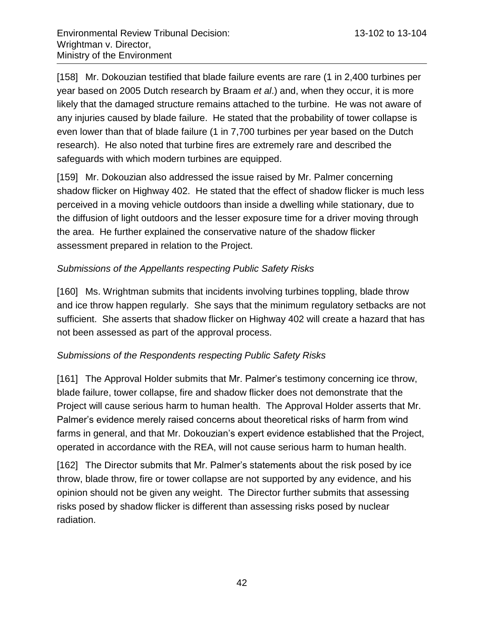[158] Mr. Dokouzian testified that blade failure events are rare (1 in 2,400 turbines per year based on 2005 Dutch research by Braam *et al*.) and, when they occur, it is more likely that the damaged structure remains attached to the turbine. He was not aware of any injuries caused by blade failure. He stated that the probability of tower collapse is even lower than that of blade failure (1 in 7,700 turbines per year based on the Dutch research). He also noted that turbine fires are extremely rare and described the safeguards with which modern turbines are equipped.

[159] Mr. Dokouzian also addressed the issue raised by Mr. Palmer concerning shadow flicker on Highway 402. He stated that the effect of shadow flicker is much less perceived in a moving vehicle outdoors than inside a dwelling while stationary, due to the diffusion of light outdoors and the lesser exposure time for a driver moving through the area. He further explained the conservative nature of the shadow flicker assessment prepared in relation to the Project.

# *Submissions of the Appellants respecting Public Safety Risks*

[160] Ms. Wrightman submits that incidents involving turbines toppling, blade throw and ice throw happen regularly. She says that the minimum regulatory setbacks are not sufficient. She asserts that shadow flicker on Highway 402 will create a hazard that has not been assessed as part of the approval process.

# *Submissions of the Respondents respecting Public Safety Risks*

[161] The Approval Holder submits that Mr. Palmer's testimony concerning ice throw, blade failure, tower collapse, fire and shadow flicker does not demonstrate that the Project will cause serious harm to human health. The Approval Holder asserts that Mr. Palmer's evidence merely raised concerns about theoretical risks of harm from wind farms in general, and that Mr. Dokouzian's expert evidence established that the Project, operated in accordance with the REA, will not cause serious harm to human health.

[162] The Director submits that Mr. Palmer's statements about the risk posed by ice throw, blade throw, fire or tower collapse are not supported by any evidence, and his opinion should not be given any weight. The Director further submits that assessing risks posed by shadow flicker is different than assessing risks posed by nuclear radiation.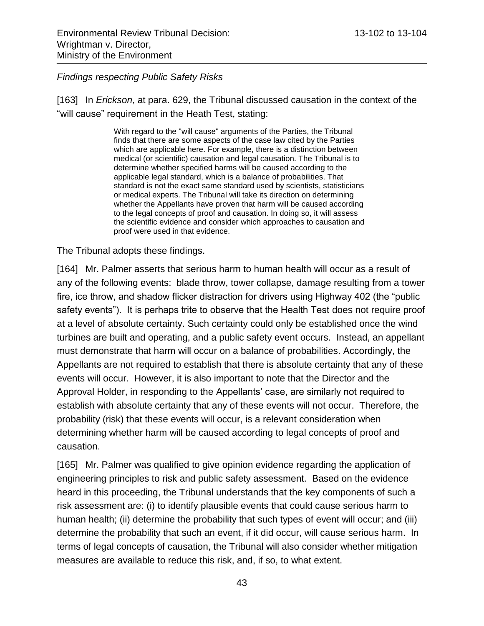#### *Findings respecting Public Safety Risks*

[163] In *Erickson*, at para. 629, the Tribunal discussed causation in the context of the "will cause" requirement in the Heath Test, stating:

> With regard to the "will cause" arguments of the Parties, the Tribunal finds that there are some aspects of the case law cited by the Parties which are applicable here. For example, there is a distinction between medical (or scientific) causation and legal causation. The Tribunal is to determine whether specified harms will be caused according to the applicable legal standard, which is a balance of probabilities. That standard is not the exact same standard used by scientists, statisticians or medical experts. The Tribunal will take its direction on determining whether the Appellants have proven that harm will be caused according to the legal concepts of proof and causation. In doing so, it will assess the scientific evidence and consider which approaches to causation and proof were used in that evidence.

The Tribunal adopts these findings.

[164] Mr. Palmer asserts that serious harm to human health will occur as a result of any of the following events: blade throw, tower collapse, damage resulting from a tower fire, ice throw, and shadow flicker distraction for drivers using Highway 402 (the "public safety events"). It is perhaps trite to observe that the Health Test does not require proof at a level of absolute certainty. Such certainty could only be established once the wind turbines are built and operating, and a public safety event occurs. Instead, an appellant must demonstrate that harm will occur on a balance of probabilities. Accordingly, the Appellants are not required to establish that there is absolute certainty that any of these events will occur. However, it is also important to note that the Director and the Approval Holder, in responding to the Appellants' case, are similarly not required to establish with absolute certainty that any of these events will not occur. Therefore, the probability (risk) that these events will occur, is a relevant consideration when determining whether harm will be caused according to legal concepts of proof and causation.

[165] Mr. Palmer was qualified to give opinion evidence regarding the application of engineering principles to risk and public safety assessment. Based on the evidence heard in this proceeding, the Tribunal understands that the key components of such a risk assessment are: (i) to identify plausible events that could cause serious harm to human health; (ii) determine the probability that such types of event will occur; and (iii) determine the probability that such an event, if it did occur, will cause serious harm. In terms of legal concepts of causation, the Tribunal will also consider whether mitigation measures are available to reduce this risk, and, if so, to what extent.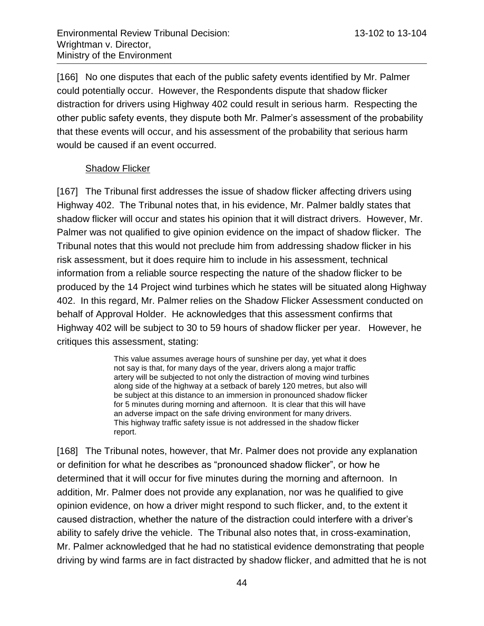[166] No one disputes that each of the public safety events identified by Mr. Palmer could potentially occur. However, the Respondents dispute that shadow flicker distraction for drivers using Highway 402 could result in serious harm. Respecting the other public safety events, they dispute both Mr. Palmer's assessment of the probability that these events will occur, and his assessment of the probability that serious harm would be caused if an event occurred.

# Shadow Flicker

[167] The Tribunal first addresses the issue of shadow flicker affecting drivers using Highway 402. The Tribunal notes that, in his evidence, Mr. Palmer baldly states that shadow flicker will occur and states his opinion that it will distract drivers. However, Mr. Palmer was not qualified to give opinion evidence on the impact of shadow flicker. The Tribunal notes that this would not preclude him from addressing shadow flicker in his risk assessment, but it does require him to include in his assessment, technical information from a reliable source respecting the nature of the shadow flicker to be produced by the 14 Project wind turbines which he states will be situated along Highway 402. In this regard, Mr. Palmer relies on the Shadow Flicker Assessment conducted on behalf of Approval Holder. He acknowledges that this assessment confirms that Highway 402 will be subject to 30 to 59 hours of shadow flicker per year. However, he critiques this assessment, stating:

> This value assumes average hours of sunshine per day, yet what it does not say is that, for many days of the year, drivers along a major traffic artery will be subjected to not only the distraction of moving wind turbines along side of the highway at a setback of barely 120 metres, but also will be subject at this distance to an immersion in pronounced shadow flicker for 5 minutes during morning and afternoon. It is clear that this will have an adverse impact on the safe driving environment for many drivers. This highway traffic safety issue is not addressed in the shadow flicker report.

[168] The Tribunal notes, however, that Mr. Palmer does not provide any explanation or definition for what he describes as "pronounced shadow flicker", or how he determined that it will occur for five minutes during the morning and afternoon. In addition, Mr. Palmer does not provide any explanation, nor was he qualified to give opinion evidence, on how a driver might respond to such flicker, and, to the extent it caused distraction, whether the nature of the distraction could interfere with a driver's ability to safely drive the vehicle. The Tribunal also notes that, in cross-examination, Mr. Palmer acknowledged that he had no statistical evidence demonstrating that people driving by wind farms are in fact distracted by shadow flicker, and admitted that he is not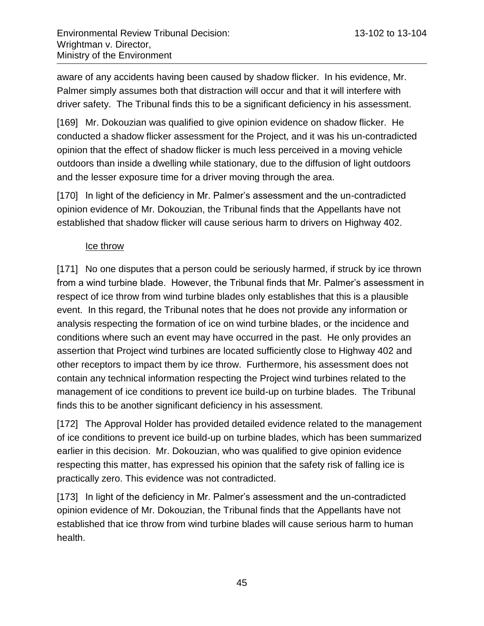aware of any accidents having been caused by shadow flicker. In his evidence, Mr. Palmer simply assumes both that distraction will occur and that it will interfere with driver safety. The Tribunal finds this to be a significant deficiency in his assessment.

[169] Mr. Dokouzian was qualified to give opinion evidence on shadow flicker. He conducted a shadow flicker assessment for the Project, and it was his un-contradicted opinion that the effect of shadow flicker is much less perceived in a moving vehicle outdoors than inside a dwelling while stationary, due to the diffusion of light outdoors and the lesser exposure time for a driver moving through the area.

[170] In light of the deficiency in Mr. Palmer's assessment and the un-contradicted opinion evidence of Mr. Dokouzian, the Tribunal finds that the Appellants have not established that shadow flicker will cause serious harm to drivers on Highway 402.

### Ice throw

[171] No one disputes that a person could be seriously harmed, if struck by ice thrown from a wind turbine blade. However, the Tribunal finds that Mr. Palmer's assessment in respect of ice throw from wind turbine blades only establishes that this is a plausible event. In this regard, the Tribunal notes that he does not provide any information or analysis respecting the formation of ice on wind turbine blades, or the incidence and conditions where such an event may have occurred in the past. He only provides an assertion that Project wind turbines are located sufficiently close to Highway 402 and other receptors to impact them by ice throw. Furthermore, his assessment does not contain any technical information respecting the Project wind turbines related to the management of ice conditions to prevent ice build-up on turbine blades. The Tribunal finds this to be another significant deficiency in his assessment.

[172] The Approval Holder has provided detailed evidence related to the management of ice conditions to prevent ice build-up on turbine blades, which has been summarized earlier in this decision. Mr. Dokouzian, who was qualified to give opinion evidence respecting this matter, has expressed his opinion that the safety risk of falling ice is practically zero. This evidence was not contradicted.

[173] In light of the deficiency in Mr. Palmer's assessment and the un-contradicted opinion evidence of Mr. Dokouzian, the Tribunal finds that the Appellants have not established that ice throw from wind turbine blades will cause serious harm to human health.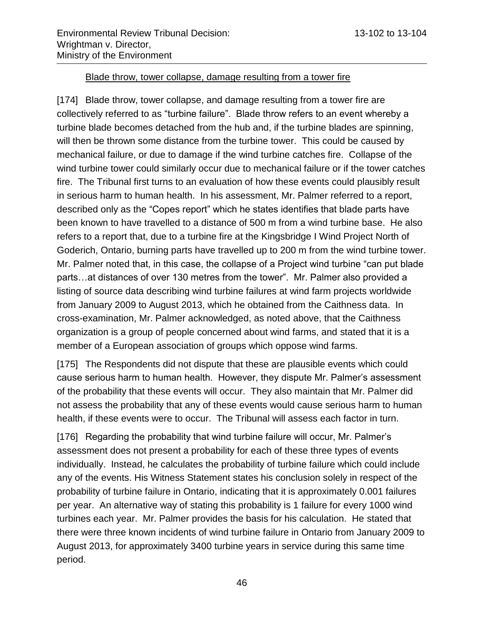#### Blade throw, tower collapse, damage resulting from a tower fire

[174] Blade throw, tower collapse, and damage resulting from a tower fire are collectively referred to as "turbine failure". Blade throw refers to an event whereby a turbine blade becomes detached from the hub and, if the turbine blades are spinning, will then be thrown some distance from the turbine tower. This could be caused by mechanical failure, or due to damage if the wind turbine catches fire. Collapse of the wind turbine tower could similarly occur due to mechanical failure or if the tower catches fire. The Tribunal first turns to an evaluation of how these events could plausibly result in serious harm to human health. In his assessment, Mr. Palmer referred to a report, described only as the "Copes report" which he states identifies that blade parts have been known to have travelled to a distance of 500 m from a wind turbine base. He also refers to a report that, due to a turbine fire at the Kingsbridge I Wind Project North of Goderich, Ontario, burning parts have travelled up to 200 m from the wind turbine tower. Mr. Palmer noted that, in this case, the collapse of a Project wind turbine "can put blade parts…at distances of over 130 metres from the tower". Mr. Palmer also provided a listing of source data describing wind turbine failures at wind farm projects worldwide from January 2009 to August 2013, which he obtained from the Caithness data. In cross-examination, Mr. Palmer acknowledged, as noted above, that the Caithness organization is a group of people concerned about wind farms, and stated that it is a member of a European association of groups which oppose wind farms.

[175] The Respondents did not dispute that these are plausible events which could cause serious harm to human health. However, they dispute Mr. Palmer's assessment of the probability that these events will occur. They also maintain that Mr. Palmer did not assess the probability that any of these events would cause serious harm to human health, if these events were to occur. The Tribunal will assess each factor in turn.

[176] Regarding the probability that wind turbine failure will occur, Mr. Palmer's assessment does not present a probability for each of these three types of events individually. Instead, he calculates the probability of turbine failure which could include any of the events. His Witness Statement states his conclusion solely in respect of the probability of turbine failure in Ontario, indicating that it is approximately 0.001 failures per year. An alternative way of stating this probability is 1 failure for every 1000 wind turbines each year. Mr. Palmer provides the basis for his calculation. He stated that there were three known incidents of wind turbine failure in Ontario from January 2009 to August 2013, for approximately 3400 turbine years in service during this same time period.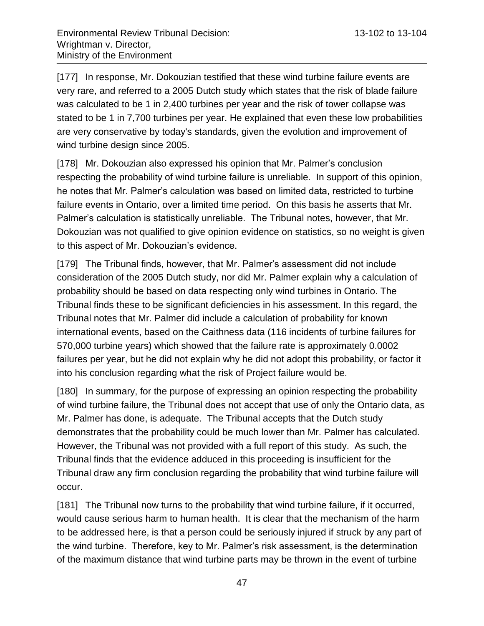[177] In response, Mr. Dokouzian testified that these wind turbine failure events are very rare, and referred to a 2005 Dutch study which states that the risk of blade failure was calculated to be 1 in 2,400 turbines per year and the risk of tower collapse was stated to be 1 in 7,700 turbines per year. He explained that even these low probabilities are very conservative by today's standards, given the evolution and improvement of wind turbine design since 2005.

[178] Mr. Dokouzian also expressed his opinion that Mr. Palmer's conclusion respecting the probability of wind turbine failure is unreliable. In support of this opinion, he notes that Mr. Palmer's calculation was based on limited data, restricted to turbine failure events in Ontario, over a limited time period. On this basis he asserts that Mr. Palmer's calculation is statistically unreliable. The Tribunal notes, however, that Mr. Dokouzian was not qualified to give opinion evidence on statistics, so no weight is given to this aspect of Mr. Dokouzian's evidence.

[179] The Tribunal finds, however, that Mr. Palmer's assessment did not include consideration of the 2005 Dutch study, nor did Mr. Palmer explain why a calculation of probability should be based on data respecting only wind turbines in Ontario. The Tribunal finds these to be significant deficiencies in his assessment. In this regard, the Tribunal notes that Mr. Palmer did include a calculation of probability for known international events, based on the Caithness data (116 incidents of turbine failures for 570,000 turbine years) which showed that the failure rate is approximately 0.0002 failures per year, but he did not explain why he did not adopt this probability, or factor it into his conclusion regarding what the risk of Project failure would be.

[180] In summary, for the purpose of expressing an opinion respecting the probability of wind turbine failure, the Tribunal does not accept that use of only the Ontario data, as Mr. Palmer has done, is adequate. The Tribunal accepts that the Dutch study demonstrates that the probability could be much lower than Mr. Palmer has calculated. However, the Tribunal was not provided with a full report of this study. As such, the Tribunal finds that the evidence adduced in this proceeding is insufficient for the Tribunal draw any firm conclusion regarding the probability that wind turbine failure will occur.

[181] The Tribunal now turns to the probability that wind turbine failure, if it occurred, would cause serious harm to human health. It is clear that the mechanism of the harm to be addressed here, is that a person could be seriously injured if struck by any part of the wind turbine. Therefore, key to Mr. Palmer's risk assessment, is the determination of the maximum distance that wind turbine parts may be thrown in the event of turbine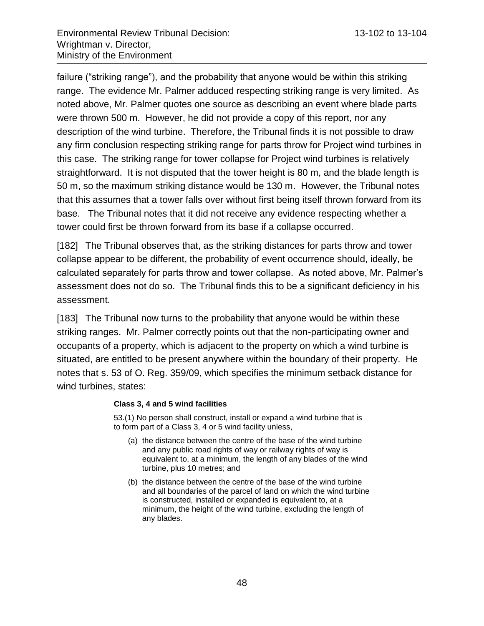failure ("striking range"), and the probability that anyone would be within this striking range. The evidence Mr. Palmer adduced respecting striking range is very limited. As noted above, Mr. Palmer quotes one source as describing an event where blade parts were thrown 500 m. However, he did not provide a copy of this report, nor any description of the wind turbine. Therefore, the Tribunal finds it is not possible to draw any firm conclusion respecting striking range for parts throw for Project wind turbines in this case. The striking range for tower collapse for Project wind turbines is relatively straightforward. It is not disputed that the tower height is 80 m, and the blade length is 50 m, so the maximum striking distance would be 130 m. However, the Tribunal notes that this assumes that a tower falls over without first being itself thrown forward from its base. The Tribunal notes that it did not receive any evidence respecting whether a tower could first be thrown forward from its base if a collapse occurred.

[182] The Tribunal observes that, as the striking distances for parts throw and tower collapse appear to be different, the probability of event occurrence should, ideally, be calculated separately for parts throw and tower collapse. As noted above, Mr. Palmer's assessment does not do so. The Tribunal finds this to be a significant deficiency in his assessment.

[183] The Tribunal now turns to the probability that anyone would be within these striking ranges. Mr. Palmer correctly points out that the non-participating owner and occupants of a property, which is adjacent to the property on which a wind turbine is situated, are entitled to be present anywhere within the boundary of their property. He notes that s. 53 of O. Reg. 359/09, which specifies the minimum setback distance for wind turbines, states:

#### **Class 3, 4 and 5 wind facilities**

53.(1) No person shall construct, install or expand a wind turbine that is to form part of a Class 3, 4 or 5 wind facility unless,

- (a) the distance between the centre of the base of the wind turbine and any public road rights of way or railway rights of way is equivalent to, at a minimum, the length of any blades of the wind turbine, plus 10 metres; and
- (b) the distance between the centre of the base of the wind turbine and all boundaries of the parcel of land on which the wind turbine is constructed, installed or expanded is equivalent to, at a minimum, the height of the wind turbine, excluding the length of any blades.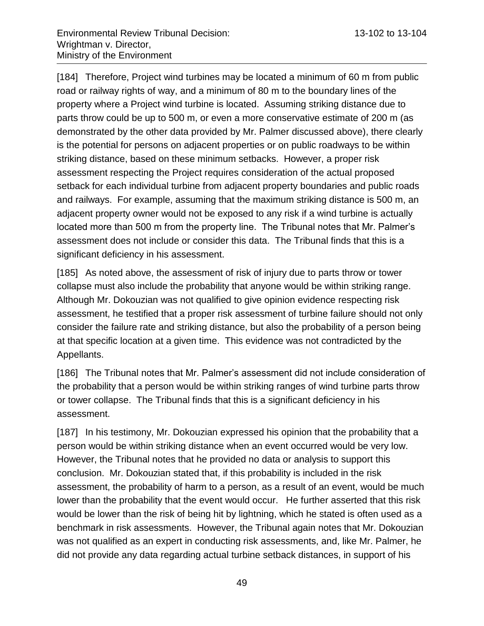[184] Therefore, Project wind turbines may be located a minimum of 60 m from public road or railway rights of way, and a minimum of 80 m to the boundary lines of the property where a Project wind turbine is located. Assuming striking distance due to parts throw could be up to 500 m, or even a more conservative estimate of 200 m (as demonstrated by the other data provided by Mr. Palmer discussed above), there clearly is the potential for persons on adjacent properties or on public roadways to be within striking distance, based on these minimum setbacks. However, a proper risk assessment respecting the Project requires consideration of the actual proposed setback for each individual turbine from adjacent property boundaries and public roads and railways. For example, assuming that the maximum striking distance is 500 m, an adjacent property owner would not be exposed to any risk if a wind turbine is actually located more than 500 m from the property line. The Tribunal notes that Mr. Palmer's assessment does not include or consider this data. The Tribunal finds that this is a significant deficiency in his assessment.

[185] As noted above, the assessment of risk of injury due to parts throw or tower collapse must also include the probability that anyone would be within striking range. Although Mr. Dokouzian was not qualified to give opinion evidence respecting risk assessment, he testified that a proper risk assessment of turbine failure should not only consider the failure rate and striking distance, but also the probability of a person being at that specific location at a given time. This evidence was not contradicted by the Appellants.

[186] The Tribunal notes that Mr. Palmer's assessment did not include consideration of the probability that a person would be within striking ranges of wind turbine parts throw or tower collapse. The Tribunal finds that this is a significant deficiency in his assessment.

[187] In his testimony, Mr. Dokouzian expressed his opinion that the probability that a person would be within striking distance when an event occurred would be very low. However, the Tribunal notes that he provided no data or analysis to support this conclusion. Mr. Dokouzian stated that, if this probability is included in the risk assessment, the probability of harm to a person, as a result of an event, would be much lower than the probability that the event would occur. He further asserted that this risk would be lower than the risk of being hit by lightning, which he stated is often used as a benchmark in risk assessments. However, the Tribunal again notes that Mr. Dokouzian was not qualified as an expert in conducting risk assessments, and, like Mr. Palmer, he did not provide any data regarding actual turbine setback distances, in support of his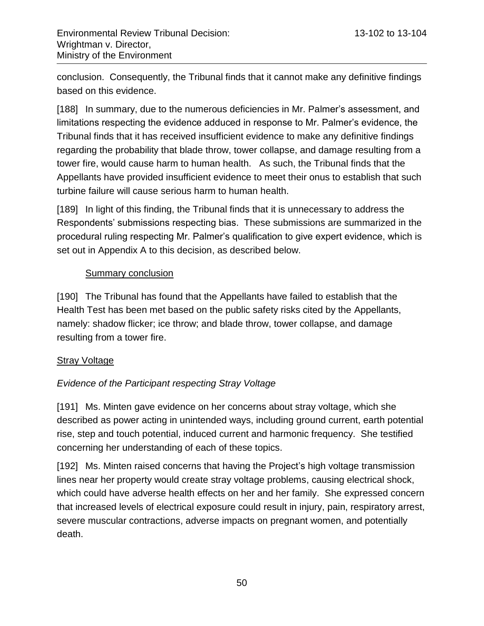conclusion. Consequently, the Tribunal finds that it cannot make any definitive findings based on this evidence.

[188] In summary, due to the numerous deficiencies in Mr. Palmer's assessment, and limitations respecting the evidence adduced in response to Mr. Palmer's evidence, the Tribunal finds that it has received insufficient evidence to make any definitive findings regarding the probability that blade throw, tower collapse, and damage resulting from a tower fire, would cause harm to human health. As such, the Tribunal finds that the Appellants have provided insufficient evidence to meet their onus to establish that such turbine failure will cause serious harm to human health.

[189] In light of this finding, the Tribunal finds that it is unnecessary to address the Respondents' submissions respecting bias. These submissions are summarized in the procedural ruling respecting Mr. Palmer's qualification to give expert evidence, which is set out in Appendix A to this decision, as described below.

# **Summary conclusion**

[190] The Tribunal has found that the Appellants have failed to establish that the Health Test has been met based on the public safety risks cited by the Appellants, namely: shadow flicker; ice throw; and blade throw, tower collapse, and damage resulting from a tower fire.

#### **Stray Voltage**

# *Evidence of the Participant respecting Stray Voltage*

[191] Ms. Minten gave evidence on her concerns about stray voltage, which she described as power acting in unintended ways, including ground current, earth potential rise, step and touch potential, induced current and harmonic frequency. She testified concerning her understanding of each of these topics.

[192] Ms. Minten raised concerns that having the Project's high voltage transmission lines near her property would create stray voltage problems, causing electrical shock, which could have adverse health effects on her and her family. She expressed concern that increased levels of electrical exposure could result in injury, pain, respiratory arrest, severe muscular contractions, adverse impacts on pregnant women, and potentially death.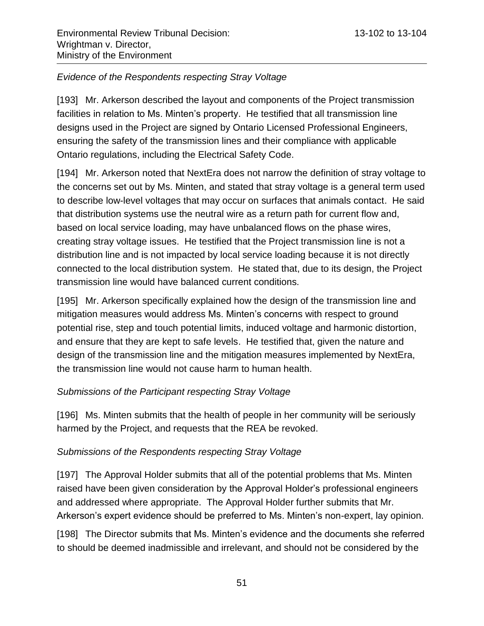# *Evidence of the Respondents respecting Stray Voltage*

[193] Mr. Arkerson described the layout and components of the Project transmission facilities in relation to Ms. Minten's property. He testified that all transmission line designs used in the Project are signed by Ontario Licensed Professional Engineers, ensuring the safety of the transmission lines and their compliance with applicable Ontario regulations, including the Electrical Safety Code.

[194] Mr. Arkerson noted that NextEra does not narrow the definition of stray voltage to the concerns set out by Ms. Minten, and stated that stray voltage is a general term used to describe low-level voltages that may occur on surfaces that animals contact. He said that distribution systems use the neutral wire as a return path for current flow and, based on local service loading, may have unbalanced flows on the phase wires, creating stray voltage issues. He testified that the Project transmission line is not a distribution line and is not impacted by local service loading because it is not directly connected to the local distribution system. He stated that, due to its design, the Project transmission line would have balanced current conditions.

[195] Mr. Arkerson specifically explained how the design of the transmission line and mitigation measures would address Ms. Minten's concerns with respect to ground potential rise, step and touch potential limits, induced voltage and harmonic distortion, and ensure that they are kept to safe levels. He testified that, given the nature and design of the transmission line and the mitigation measures implemented by NextEra, the transmission line would not cause harm to human health.

# *Submissions of the Participant respecting Stray Voltage*

[196] Ms. Minten submits that the health of people in her community will be seriously harmed by the Project, and requests that the REA be revoked.

# *Submissions of the Respondents respecting Stray Voltage*

[197] The Approval Holder submits that all of the potential problems that Ms. Minten raised have been given consideration by the Approval Holder's professional engineers and addressed where appropriate. The Approval Holder further submits that Mr. Arkerson's expert evidence should be preferred to Ms. Minten's non-expert, lay opinion.

[198] The Director submits that Ms. Minten's evidence and the documents she referred to should be deemed inadmissible and irrelevant, and should not be considered by the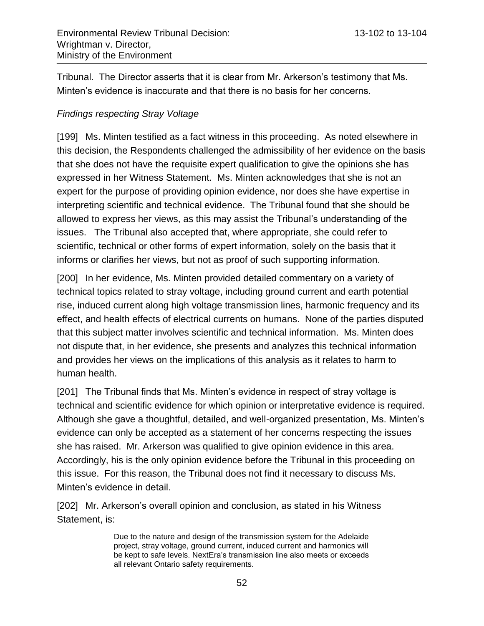Tribunal. The Director asserts that it is clear from Mr. Arkerson's testimony that Ms. Minten's evidence is inaccurate and that there is no basis for her concerns.

### *Findings respecting Stray Voltage*

[199] Ms. Minten testified as a fact witness in this proceeding. As noted elsewhere in this decision, the Respondents challenged the admissibility of her evidence on the basis that she does not have the requisite expert qualification to give the opinions she has expressed in her Witness Statement. Ms. Minten acknowledges that she is not an expert for the purpose of providing opinion evidence, nor does she have expertise in interpreting scientific and technical evidence. The Tribunal found that she should be allowed to express her views, as this may assist the Tribunal's understanding of the issues. The Tribunal also accepted that, where appropriate, she could refer to scientific, technical or other forms of expert information, solely on the basis that it informs or clarifies her views, but not as proof of such supporting information.

[200] In her evidence, Ms. Minten provided detailed commentary on a variety of technical topics related to stray voltage, including ground current and earth potential rise, induced current along high voltage transmission lines, harmonic frequency and its effect, and health effects of electrical currents on humans. None of the parties disputed that this subject matter involves scientific and technical information. Ms. Minten does not dispute that, in her evidence, she presents and analyzes this technical information and provides her views on the implications of this analysis as it relates to harm to human health.

[201] The Tribunal finds that Ms. Minten's evidence in respect of stray voltage is technical and scientific evidence for which opinion or interpretative evidence is required. Although she gave a thoughtful, detailed, and well-organized presentation, Ms. Minten's evidence can only be accepted as a statement of her concerns respecting the issues she has raised. Mr. Arkerson was qualified to give opinion evidence in this area. Accordingly, his is the only opinion evidence before the Tribunal in this proceeding on this issue. For this reason, the Tribunal does not find it necessary to discuss Ms. Minten's evidence in detail.

[202] Mr. Arkerson's overall opinion and conclusion, as stated in his Witness Statement, is:

> Due to the nature and design of the transmission system for the Adelaide project, stray voltage, ground current, induced current and harmonics will be kept to safe levels. NextEra's transmission line also meets or exceeds all relevant Ontario safety requirements.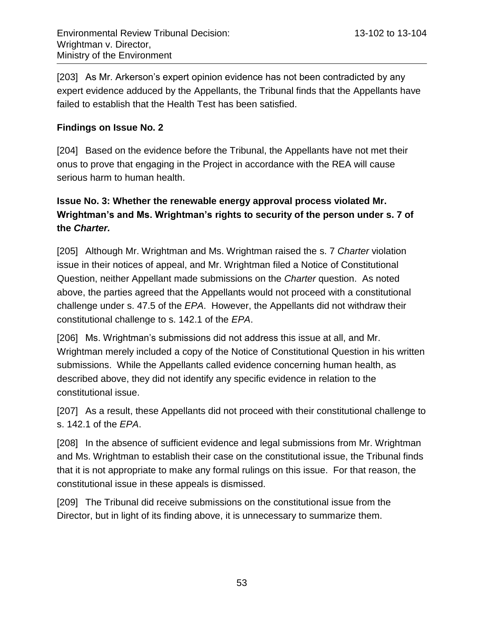[203] As Mr. Arkerson's expert opinion evidence has not been contradicted by any expert evidence adduced by the Appellants, the Tribunal finds that the Appellants have failed to establish that the Health Test has been satisfied.

### **Findings on Issue No. 2**

[204] Based on the evidence before the Tribunal, the Appellants have not met their onus to prove that engaging in the Project in accordance with the REA will cause serious harm to human health.

# **Issue No. 3: Whether the renewable energy approval process violated Mr. Wrightman's and Ms. Wrightman's rights to security of the person under s. 7 of the** *Charter.*

[205] Although Mr. Wrightman and Ms. Wrightman raised the s. 7 *Charter* violation issue in their notices of appeal, and Mr. Wrightman filed a Notice of Constitutional Question, neither Appellant made submissions on the *Charter* question. As noted above, the parties agreed that the Appellants would not proceed with a constitutional challenge under s. 47.5 of the *EPA*. However, the Appellants did not withdraw their constitutional challenge to s. 142.1 of the *EPA*.

[206] Ms. Wrightman's submissions did not address this issue at all, and Mr. Wrightman merely included a copy of the Notice of Constitutional Question in his written submissions. While the Appellants called evidence concerning human health, as described above, they did not identify any specific evidence in relation to the constitutional issue.

[207] As a result, these Appellants did not proceed with their constitutional challenge to s. 142.1 of the *EPA*.

[208] In the absence of sufficient evidence and legal submissions from Mr. Wrightman and Ms. Wrightman to establish their case on the constitutional issue, the Tribunal finds that it is not appropriate to make any formal rulings on this issue. For that reason, the constitutional issue in these appeals is dismissed.

[209] The Tribunal did receive submissions on the constitutional issue from the Director, but in light of its finding above, it is unnecessary to summarize them.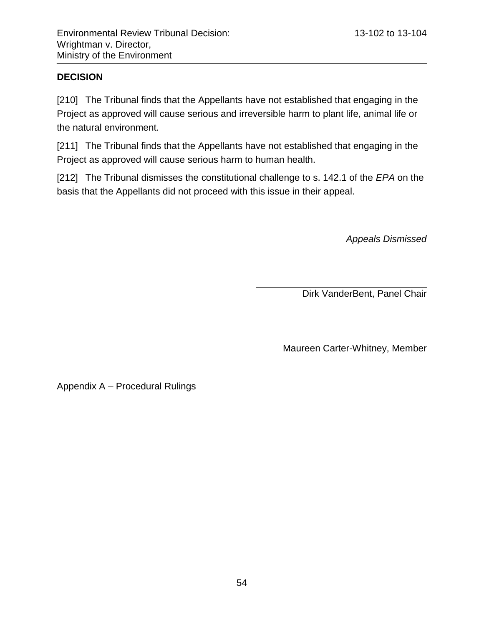# **DECISION**

[210] The Tribunal finds that the Appellants have not established that engaging in the Project as approved will cause serious and irreversible harm to plant life, animal life or the natural environment.

[211] The Tribunal finds that the Appellants have not established that engaging in the Project as approved will cause serious harm to human health.

[212] The Tribunal dismisses the constitutional challenge to s. 142.1 of the *EPA* on the basis that the Appellants did not proceed with this issue in their appeal.

*Appeals Dismissed*

Dirk VanderBent, Panel Chair

Maureen Carter-Whitney, Member

Appendix A – Procedural Rulings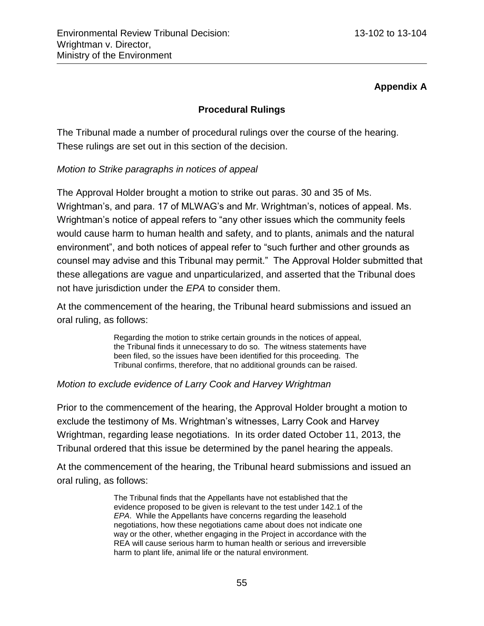# **Appendix A**

# **Procedural Rulings**

The Tribunal made a number of procedural rulings over the course of the hearing. These rulings are set out in this section of the decision.

# *Motion to Strike paragraphs in notices of appeal*

The Approval Holder brought a motion to strike out paras. 30 and 35 of Ms. Wrightman's, and para. 17 of MLWAG's and Mr. Wrightman's, notices of appeal. Ms. Wrightman's notice of appeal refers to "any other issues which the community feels would cause harm to human health and safety, and to plants, animals and the natural environment", and both notices of appeal refer to "such further and other grounds as counsel may advise and this Tribunal may permit." The Approval Holder submitted that these allegations are vague and unparticularized, and asserted that the Tribunal does not have jurisdiction under the *EPA* to consider them.

At the commencement of the hearing, the Tribunal heard submissions and issued an oral ruling, as follows:

> Regarding the motion to strike certain grounds in the notices of appeal, the Tribunal finds it unnecessary to do so. The witness statements have been filed, so the issues have been identified for this proceeding. The Tribunal confirms, therefore, that no additional grounds can be raised.

#### *Motion to exclude evidence of Larry Cook and Harvey Wrightman*

Prior to the commencement of the hearing, the Approval Holder brought a motion to exclude the testimony of Ms. Wrightman's witnesses, Larry Cook and Harvey Wrightman, regarding lease negotiations. In its order dated October 11, 2013, the Tribunal ordered that this issue be determined by the panel hearing the appeals.

At the commencement of the hearing, the Tribunal heard submissions and issued an oral ruling, as follows:

> The Tribunal finds that the Appellants have not established that the evidence proposed to be given is relevant to the test under 142.1 of the *EPA*. While the Appellants have concerns regarding the leasehold negotiations, how these negotiations came about does not indicate one way or the other, whether engaging in the Project in accordance with the REA will cause serious harm to human health or serious and irreversible harm to plant life, animal life or the natural environment.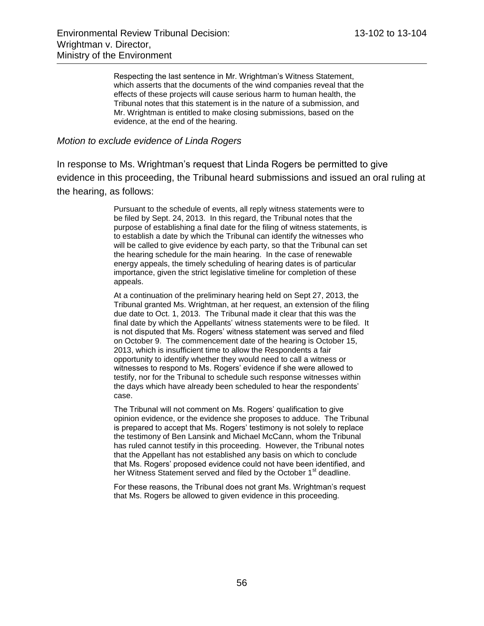Respecting the last sentence in Mr. Wrightman's Witness Statement, which asserts that the documents of the wind companies reveal that the effects of these projects will cause serious harm to human health, the Tribunal notes that this statement is in the nature of a submission, and Mr. Wrightman is entitled to make closing submissions, based on the evidence, at the end of the hearing.

#### *Motion to exclude evidence of Linda Rogers*

In response to Ms. Wrightman's request that Linda Rogers be permitted to give evidence in this proceeding, the Tribunal heard submissions and issued an oral ruling at the hearing, as follows:

> Pursuant to the schedule of events, all reply witness statements were to be filed by Sept. 24, 2013. In this regard, the Tribunal notes that the purpose of establishing a final date for the filing of witness statements, is to establish a date by which the Tribunal can identify the witnesses who will be called to give evidence by each party, so that the Tribunal can set the hearing schedule for the main hearing. In the case of renewable energy appeals, the timely scheduling of hearing dates is of particular importance, given the strict legislative timeline for completion of these appeals.

> At a continuation of the preliminary hearing held on Sept 27, 2013, the Tribunal granted Ms. Wrightman, at her request, an extension of the filing due date to Oct. 1, 2013. The Tribunal made it clear that this was the final date by which the Appellants' witness statements were to be filed. It is not disputed that Ms. Rogers' witness statement was served and filed on October 9. The commencement date of the hearing is October 15, 2013, which is insufficient time to allow the Respondents a fair opportunity to identify whether they would need to call a witness or witnesses to respond to Ms. Rogers' evidence if she were allowed to testify, nor for the Tribunal to schedule such response witnesses within the days which have already been scheduled to hear the respondents' case.

> The Tribunal will not comment on Ms. Rogers' qualification to give opinion evidence, or the evidence she proposes to adduce. The Tribunal is prepared to accept that Ms. Rogers' testimony is not solely to replace the testimony of Ben Lansink and Michael McCann, whom the Tribunal has ruled cannot testify in this proceeding. However, the Tribunal notes that the Appellant has not established any basis on which to conclude that Ms. Rogers' proposed evidence could not have been identified, and her Witness Statement served and filed by the October 1<sup>st</sup> deadline.

For these reasons, the Tribunal does not grant Ms. Wrightman's request that Ms. Rogers be allowed to given evidence in this proceeding.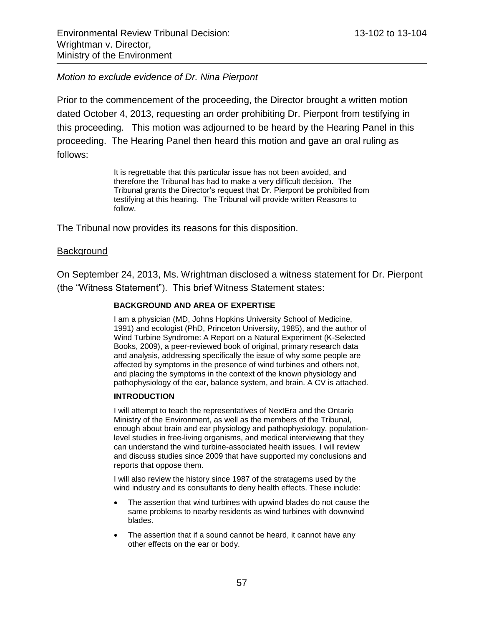#### *Motion to exclude evidence of Dr. Nina Pierpont*

Prior to the commencement of the proceeding, the Director brought a written motion dated October 4, 2013, requesting an order prohibiting Dr. Pierpont from testifying in this proceeding. This motion was adjourned to be heard by the Hearing Panel in this proceeding. The Hearing Panel then heard this motion and gave an oral ruling as follows:

> It is regrettable that this particular issue has not been avoided, and therefore the Tribunal has had to make a very difficult decision. The Tribunal grants the Director's request that Dr. Pierpont be prohibited from testifying at this hearing. The Tribunal will provide written Reasons to follow.

The Tribunal now provides its reasons for this disposition.

#### Background

On September 24, 2013, Ms. Wrightman disclosed a witness statement for Dr. Pierpont (the "Witness Statement"). This brief Witness Statement states:

#### **BACKGROUND AND AREA OF EXPERTISE**

I am a physician (MD, Johns Hopkins University School of Medicine, 1991) and ecologist (PhD, Princeton University, 1985), and the author of Wind Turbine Syndrome: A Report on a Natural Experiment (K-Selected Books, 2009), a peer-reviewed book of original, primary research data and analysis, addressing specifically the issue of why some people are affected by symptoms in the presence of wind turbines and others not, and placing the symptoms in the context of the known physiology and pathophysiology of the ear, balance system, and brain. A CV is attached.

#### **INTRODUCTION**

I will attempt to teach the representatives of NextEra and the Ontario Ministry of the Environment, as well as the members of the Tribunal, enough about brain and ear physiology and pathophysiology, populationlevel studies in free-living organisms, and medical interviewing that they can understand the wind turbine-associated health issues. I will review and discuss studies since 2009 that have supported my conclusions and reports that oppose them.

I will also review the history since 1987 of the stratagems used by the wind industry and its consultants to deny health effects. These include:

- The assertion that wind turbines with upwind blades do not cause the same problems to nearby residents as wind turbines with downwind blades.
- The assertion that if a sound cannot be heard, it cannot have any other effects on the ear or body.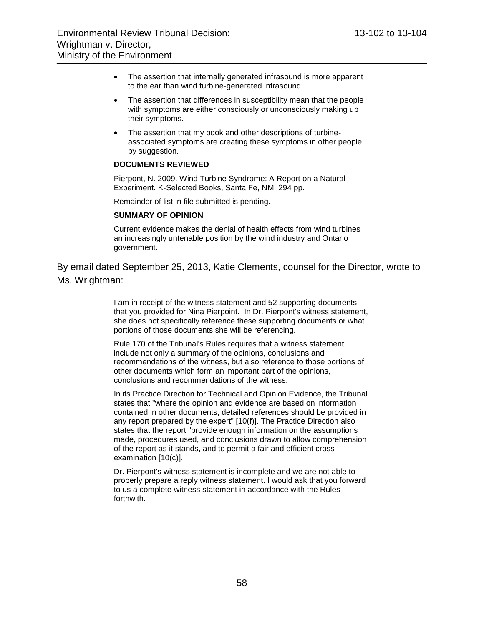- The assertion that internally generated infrasound is more apparent to the ear than wind turbine-generated infrasound.
- The assertion that differences in susceptibility mean that the people with symptoms are either consciously or unconsciously making up their symptoms.
- The assertion that my book and other descriptions of turbineassociated symptoms are creating these symptoms in other people by suggestion.

#### **DOCUMENTS REVIEWED**

Pierpont, N. 2009. Wind Turbine Syndrome: A Report on a Natural Experiment. K-Selected Books, Santa Fe, NM, 294 pp.

Remainder of list in file submitted is pending.

#### **SUMMARY OF OPINION**

Current evidence makes the denial of health effects from wind turbines an increasingly untenable position by the wind industry and Ontario government.

By email dated September 25, 2013, Katie Clements, counsel for the Director, wrote to Ms. Wrightman:

> I am in receipt of the witness statement and 52 supporting documents that you provided for Nina Pierpoint. In Dr. Pierpont's witness statement, she does not specifically reference these supporting documents or what portions of those documents she will be referencing.

Rule 170 of the Tribunal's Rules requires that a witness statement include not only a summary of the opinions, conclusions and recommendations of the witness, but also reference to those portions of other documents which form an important part of the opinions, conclusions and recommendations of the witness.

In its Practice Direction for Technical and Opinion Evidence, the Tribunal states that "where the opinion and evidence are based on information contained in other documents, detailed references should be provided in any report prepared by the expert" [10(f)]. The Practice Direction also states that the report "provide enough information on the assumptions made, procedures used, and conclusions drawn to allow comprehension of the report as it stands, and to permit a fair and efficient crossexamination [10(c)].

Dr. Pierpont's witness statement is incomplete and we are not able to properly prepare a reply witness statement. I would ask that you forward to us a complete witness statement in accordance with the Rules forthwith.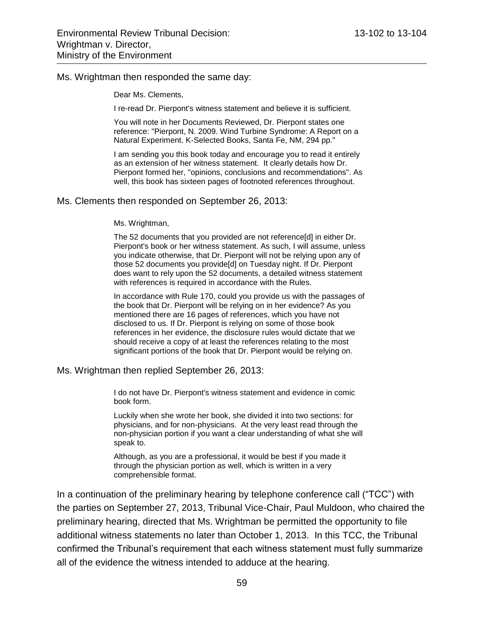#### Ms. Wrightman then responded the same day:

Dear Ms. Clements,

I re-read Dr. Pierpont's witness statement and believe it is sufficient.

You will note in her Documents Reviewed, Dr. Pierpont states one reference: "Pierpont, N. 2009. Wind Turbine Syndrome: A Report on a Natural Experiment. K-Selected Books, Santa Fe, NM, 294 pp."

I am sending you this book today and encourage you to read it entirely as an extension of her witness statement. It clearly details how Dr. Pierpont formed her, "opinions, conclusions and recommendations". As well, this book has sixteen pages of footnoted references throughout.

#### Ms. Clements then responded on September 26, 2013:

#### Ms. Wrightman,

The 52 documents that you provided are not reference[d] in either Dr. Pierpont's book or her witness statement. As such, I will assume, unless you indicate otherwise, that Dr. Pierpont will not be relying upon any of those 52 documents you provide[d] on Tuesday night. If Dr. Pierpont does want to rely upon the 52 documents, a detailed witness statement with references is required in accordance with the Rules.

In accordance with Rule 170, could you provide us with the passages of the book that Dr. Pierpont will be relying on in her evidence? As you mentioned there are 16 pages of references, which you have not disclosed to us. If Dr. Pierpont is relying on some of those book references in her evidence, the disclosure rules would dictate that we should receive a copy of at least the references relating to the most significant portions of the book that Dr. Pierpont would be relying on.

Ms. Wrightman then replied September 26, 2013:

I do not have Dr. Pierpont's witness statement and evidence in comic book form.

Luckily when she wrote her book, she divided it into two sections: for physicians, and for non-physicians. At the very least read through the non-physician portion if you want a clear understanding of what she will speak to.

Although, as you are a professional, it would be best if you made it through the physician portion as well, which is written in a very comprehensible format.

In a continuation of the preliminary hearing by telephone conference call ("TCC") with the parties on September 27, 2013, Tribunal Vice-Chair, Paul Muldoon, who chaired the preliminary hearing, directed that Ms. Wrightman be permitted the opportunity to file additional witness statements no later than October 1, 2013. In this TCC, the Tribunal confirmed the Tribunal's requirement that each witness statement must fully summarize all of the evidence the witness intended to adduce at the hearing.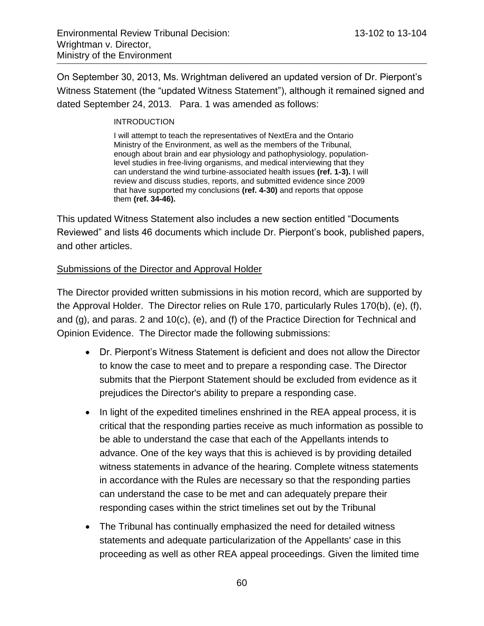On September 30, 2013, Ms. Wrightman delivered an updated version of Dr. Pierpont's Witness Statement (the "updated Witness Statement"), although it remained signed and dated September 24, 2013. Para. 1 was amended as follows:

#### **INTRODUCTION**

I will attempt to teach the representatives of NextEra and the Ontario Ministry of the Environment, as well as the members of the Tribunal, enough about brain and ear physiology and pathophysiology, populationlevel studies in free-living organisms, and medical interviewing that they can understand the wind turbine-associated health issues **(ref. 1-3).** I will review and discuss studies, reports, and submitted evidence since 2009 that have supported my conclusions **(ref. 4-30)** and reports that oppose them **(ref. 34-46).**

This updated Witness Statement also includes a new section entitled "Documents Reviewed" and lists 46 documents which include Dr. Pierpont's book, published papers, and other articles.

### Submissions of the Director and Approval Holder

The Director provided written submissions in his motion record, which are supported by the Approval Holder. The Director relies on Rule 170, particularly Rules 170(b), (e), (f), and (g), and paras. 2 and 10(c), (e), and (f) of the Practice Direction for Technical and Opinion Evidence. The Director made the following submissions:

- Dr. Pierpont's Witness Statement is deficient and does not allow the Director to know the case to meet and to prepare a responding case. The Director submits that the Pierpont Statement should be excluded from evidence as it prejudices the Director's ability to prepare a responding case.
- In light of the expedited timelines enshrined in the REA appeal process, it is critical that the responding parties receive as much information as possible to be able to understand the case that each of the Appellants intends to advance. One of the key ways that this is achieved is by providing detailed witness statements in advance of the hearing. Complete witness statements in accordance with the Rules are necessary so that the responding parties can understand the case to be met and can adequately prepare their responding cases within the strict timelines set out by the Tribunal
- The Tribunal has continually emphasized the need for detailed witness statements and adequate particularization of the Appellants' case in this proceeding as well as other REA appeal proceedings. Given the limited time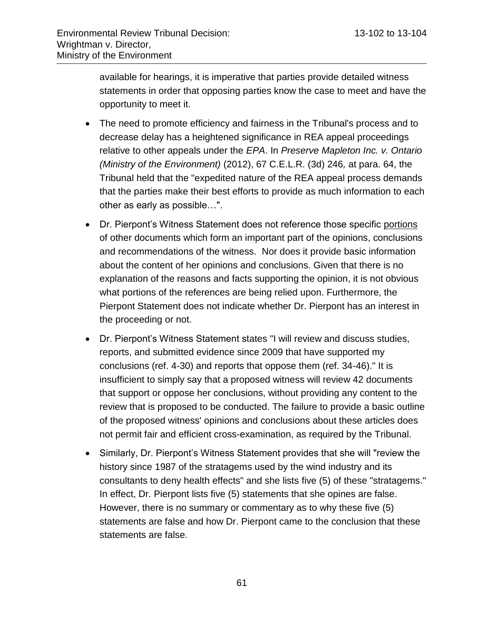available for hearings, it is imperative that parties provide detailed witness statements in order that opposing parties know the case to meet and have the opportunity to meet it.

- The need to promote efficiency and fairness in the Tribunal's process and to decrease delay has a heightened significance in REA appeal proceedings relative to other appeals under the *EPA*. In *Preserve Mapleton Inc. v. Ontario (Ministry of the Environment)* (2012), 67 C.E.L.R. (3d) 246*,* at para. 64, the Tribunal held that the "expedited nature of the REA appeal process demands that the parties make their best efforts to provide as much information to each other as early as possible…".
- Dr. Pierpont's Witness Statement does not reference those specific portions of other documents which form an important part of the opinions, conclusions and recommendations of the witness. Nor does it provide basic information about the content of her opinions and conclusions. Given that there is no explanation of the reasons and facts supporting the opinion, it is not obvious what portions of the references are being relied upon. Furthermore, the Pierpont Statement does not indicate whether Dr. Pierpont has an interest in the proceeding or not.
- Dr. Pierpont's Witness Statement states "I will review and discuss studies, reports, and submitted evidence since 2009 that have supported my conclusions (ref. 4-30) and reports that oppose them (ref. 34-46)." It is insufficient to simply say that a proposed witness will review 42 documents that support or oppose her conclusions, without providing any content to the review that is proposed to be conducted. The failure to provide a basic outline of the proposed witness' opinions and conclusions about these articles does not permit fair and efficient cross-examination, as required by the Tribunal.
- Similarly, Dr. Pierpont's Witness Statement provides that she will "review the history since 1987 of the stratagems used by the wind industry and its consultants to deny health effects" and she lists five (5) of these "stratagems." In effect, Dr. Pierpont lists five (5) statements that she opines are false. However, there is no summary or commentary as to why these five (5) statements are false and how Dr. Pierpont came to the conclusion that these statements are false.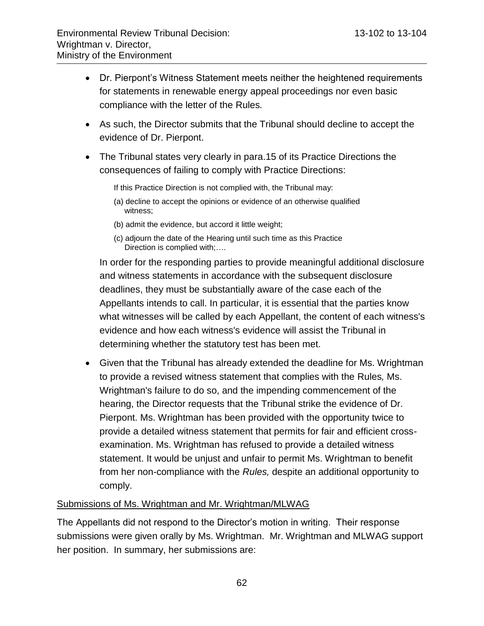- Dr. Pierpont's Witness Statement meets neither the heightened requirements for statements in renewable energy appeal proceedings nor even basic compliance with the letter of the Rules*.*
- As such, the Director submits that the Tribunal should decline to accept the evidence of Dr. Pierpont.
- The Tribunal states very clearly in para.15 of its Practice Directions the consequences of failing to comply with Practice Directions:

If this Practice Direction is not complied with, the Tribunal may:

- (a) decline to accept the opinions or evidence of an otherwise qualified witness;
- (b) admit the evidence, but accord it little weight;
- (c) adjourn the date of the Hearing until such time as this Practice Direction is complied with;….

In order for the responding parties to provide meaningful additional disclosure and witness statements in accordance with the subsequent disclosure deadlines, they must be substantially aware of the case each of the Appellants intends to call. In particular, it is essential that the parties know what witnesses will be called by each Appellant, the content of each witness's evidence and how each witness's evidence will assist the Tribunal in determining whether the statutory test has been met.

 Given that the Tribunal has already extended the deadline for Ms. Wrightman to provide a revised witness statement that complies with the Rules*,* Ms. Wrightman's failure to do so, and the impending commencement of the hearing, the Director requests that the Tribunal strike the evidence of Dr. Pierpont. Ms. Wrightman has been provided with the opportunity twice to provide a detailed witness statement that permits for fair and efficient crossexamination. Ms. Wrightman has refused to provide a detailed witness statement. It would be unjust and unfair to permit Ms. Wrightman to benefit from her non-compliance with the *Rules,* despite an additional opportunity to comply.

# Submissions of Ms. Wrightman and Mr. Wrightman/MLWAG

The Appellants did not respond to the Director's motion in writing. Their response submissions were given orally by Ms. Wrightman. Mr. Wrightman and MLWAG support her position. In summary, her submissions are: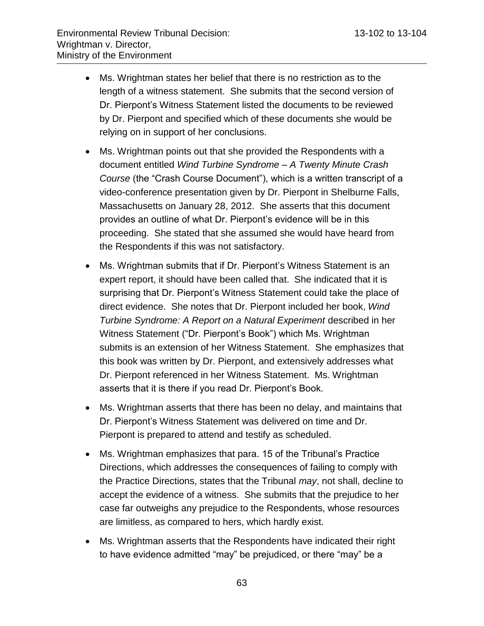- Ms. Wrightman states her belief that there is no restriction as to the length of a witness statement. She submits that the second version of Dr. Pierpont's Witness Statement listed the documents to be reviewed by Dr. Pierpont and specified which of these documents she would be relying on in support of her conclusions.
- Ms. Wrightman points out that she provided the Respondents with a document entitled *Wind Turbine Syndrome – A Twenty Minute Crash Course* (the "Crash Course Document"), which is a written transcript of a video-conference presentation given by Dr. Pierpont in Shelburne Falls, Massachusetts on January 28, 2012. She asserts that this document provides an outline of what Dr. Pierpont's evidence will be in this proceeding. She stated that she assumed she would have heard from the Respondents if this was not satisfactory.
- Ms. Wrightman submits that if Dr. Pierpont's Witness Statement is an expert report, it should have been called that. She indicated that it is surprising that Dr. Pierpont's Witness Statement could take the place of direct evidence. She notes that Dr. Pierpont included her book, *Wind Turbine Syndrome: A Report on a Natural Experiment* described in her Witness Statement ("Dr. Pierpont's Book") which Ms. Wrightman submits is an extension of her Witness Statement. She emphasizes that this book was written by Dr. Pierpont, and extensively addresses what Dr. Pierpont referenced in her Witness Statement. Ms. Wrightman asserts that it is there if you read Dr. Pierpont's Book.
- Ms. Wrightman asserts that there has been no delay, and maintains that Dr. Pierpont's Witness Statement was delivered on time and Dr. Pierpont is prepared to attend and testify as scheduled.
- Ms. Wrightman emphasizes that para. 15 of the Tribunal's Practice Directions, which addresses the consequences of failing to comply with the Practice Directions, states that the Tribunal *may*, not shall, decline to accept the evidence of a witness. She submits that the prejudice to her case far outweighs any prejudice to the Respondents, whose resources are limitless, as compared to hers, which hardly exist.
- Ms. Wrightman asserts that the Respondents have indicated their right to have evidence admitted "may" be prejudiced, or there "may" be a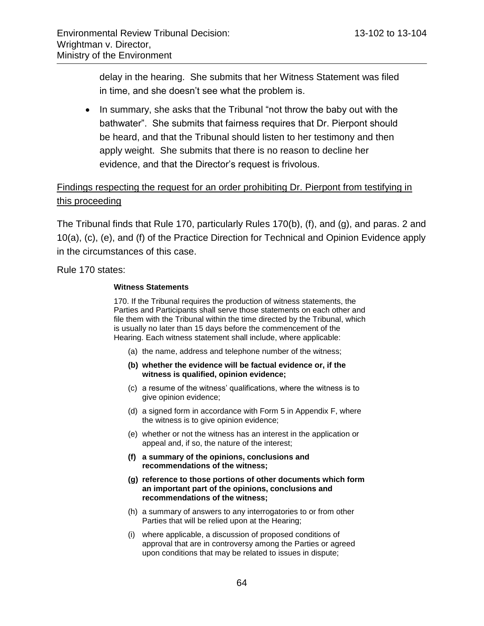delay in the hearing. She submits that her Witness Statement was filed in time, and she doesn't see what the problem is.

• In summary, she asks that the Tribunal "not throw the baby out with the bathwater". She submits that fairness requires that Dr. Pierpont should be heard, and that the Tribunal should listen to her testimony and then apply weight. She submits that there is no reason to decline her evidence, and that the Director's request is frivolous.

# Findings respecting the request for an order prohibiting Dr. Pierpont from testifying in this proceeding

The Tribunal finds that Rule 170, particularly Rules 170(b), (f), and (g), and paras. 2 and 10(a), (c), (e), and (f) of the Practice Direction for Technical and Opinion Evidence apply in the circumstances of this case.

Rule 170 states:

#### **Witness Statements**

170. If the Tribunal requires the production of witness statements, the Parties and Participants shall serve those statements on each other and file them with the Tribunal within the time directed by the Tribunal, which is usually no later than 15 days before the commencement of the Hearing. Each witness statement shall include, where applicable:

- (a) the name, address and telephone number of the witness;
- **(b) whether the evidence will be factual evidence or, if the witness is qualified, opinion evidence;**
- (c) a resume of the witness' qualifications, where the witness is to give opinion evidence;
- (d) a signed form in accordance with Form 5 in Appendix F, where the witness is to give opinion evidence;
- (e) whether or not the witness has an interest in the application or appeal and, if so, the nature of the interest;
- **(f) a summary of the opinions, conclusions and recommendations of the witness;**
- **(g) reference to those portions of other documents which form an important part of the opinions, conclusions and recommendations of the witness;**
- (h) a summary of answers to any interrogatories to or from other Parties that will be relied upon at the Hearing;
- (i) where applicable, a discussion of proposed conditions of approval that are in controversy among the Parties or agreed upon conditions that may be related to issues in dispute;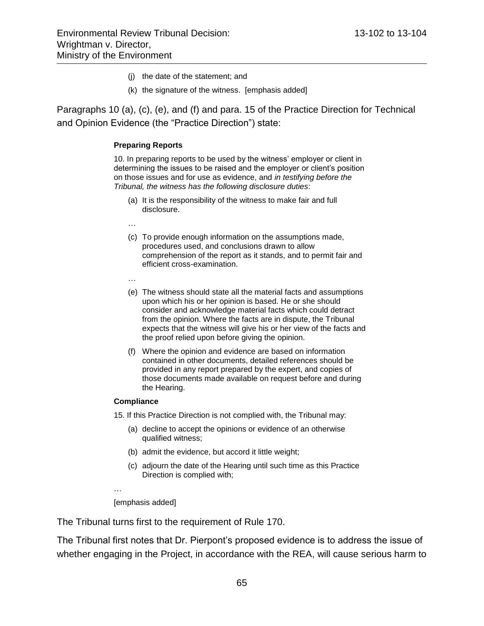- (j) the date of the statement; and
- (k) the signature of the witness. [emphasis added]

Paragraphs 10 (a), (c), (e), and (f) and para. 15 of the Practice Direction for Technical and Opinion Evidence (the "Practice Direction") state:

#### **Preparing Reports**

10. In preparing reports to be used by the witness' employer or client in determining the issues to be raised and the employer or client's position on those issues and for use as evidence, and *in testifying before the Tribunal, the witness has the following disclosure duties*:

- (a) It is the responsibility of the witness to make fair and full disclosure.
- …
- (c) To provide enough information on the assumptions made, procedures used, and conclusions drawn to allow comprehension of the report as it stands, and to permit fair and efficient cross-examination.
- …
- (e) The witness should state all the material facts and assumptions upon which his or her opinion is based. He or she should consider and acknowledge material facts which could detract from the opinion. Where the facts are in dispute, the Tribunal expects that the witness will give his or her view of the facts and the proof relied upon before giving the opinion.
- (f) Where the opinion and evidence are based on information contained in other documents, detailed references should be provided in any report prepared by the expert, and copies of those documents made available on request before and during the Hearing.

#### **Compliance**

15. If this Practice Direction is not complied with, the Tribunal may:

- (a) decline to accept the opinions or evidence of an otherwise qualified witness;
- (b) admit the evidence, but accord it little weight;
- (c) adjourn the date of the Hearing until such time as this Practice Direction is complied with;
- …

[emphasis added]

The Tribunal turns first to the requirement of Rule 170.

The Tribunal first notes that Dr. Pierpont's proposed evidence is to address the issue of whether engaging in the Project, in accordance with the REA, will cause serious harm to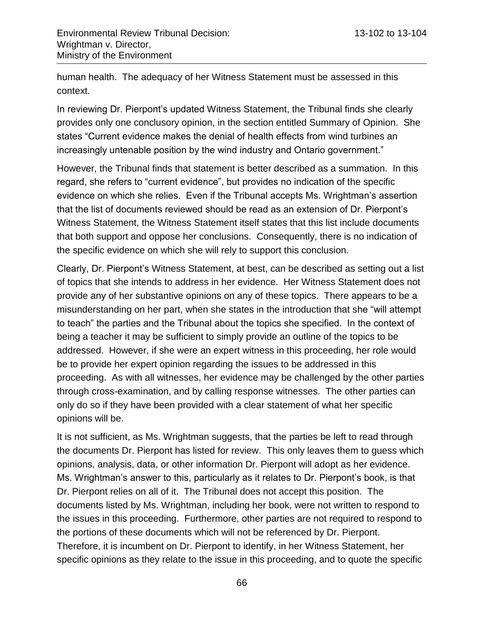human health. The adequacy of her Witness Statement must be assessed in this context.

In reviewing Dr. Pierpont's updated Witness Statement, the Tribunal finds she clearly provides only one conclusory opinion, in the section entitled Summary of Opinion. She states "Current evidence makes the denial of health effects from wind turbines an increasingly untenable position by the wind industry and Ontario government."

However, the Tribunal finds that statement is better described as a summation. In this regard, she refers to "current evidence", but provides no indication of the specific evidence on which she relies. Even if the Tribunal accepts Ms. Wrightman's assertion that the list of documents reviewed should be read as an extension of Dr. Pierpont's Witness Statement, the Witness Statement itself states that this list include documents that both support and oppose her conclusions. Consequently, there is no indication of the specific evidence on which she will rely to support this conclusion.

Clearly, Dr. Pierpont's Witness Statement, at best, can be described as setting out a list of topics that she intends to address in her evidence. Her Witness Statement does not provide any of her substantive opinions on any of these topics. There appears to be a misunderstanding on her part, when she states in the introduction that she "will attempt to teach" the parties and the Tribunal about the topics she specified. In the context of being a teacher it may be sufficient to simply provide an outline of the topics to be addressed. However, if she were an expert witness in this proceeding, her role would be to provide her expert opinion regarding the issues to be addressed in this proceeding. As with all witnesses, her evidence may be challenged by the other parties through cross-examination, and by calling response witnesses. The other parties can only do so if they have been provided with a clear statement of what her specific opinions will be.

It is not sufficient, as Ms. Wrightman suggests, that the parties be left to read through the documents Dr. Pierpont has listed for review. This only leaves them to guess which opinions, analysis, data, or other information Dr. Pierpont will adopt as her evidence. Ms. Wrightman's answer to this, particularly as it relates to Dr. Pierpont's book, is that Dr. Pierpont relies on all of it. The Tribunal does not accept this position. The documents listed by Ms. Wrightman, including her book, were not written to respond to the issues in this proceeding. Furthermore, other parties are not required to respond to the portions of these documents which will not be referenced by Dr. Pierpont. Therefore, it is incumbent on Dr. Pierpont to identify, in her Witness Statement, her specific opinions as they relate to the issue in this proceeding, and to quote the specific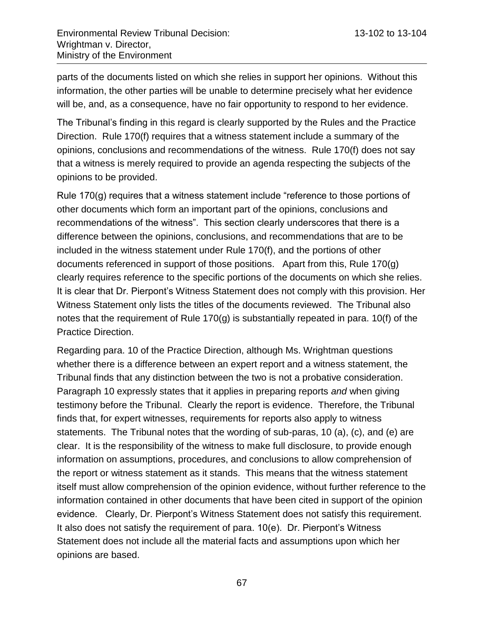parts of the documents listed on which she relies in support her opinions. Without this information, the other parties will be unable to determine precisely what her evidence will be, and, as a consequence, have no fair opportunity to respond to her evidence.

The Tribunal's finding in this regard is clearly supported by the Rules and the Practice Direction. Rule 170(f) requires that a witness statement include a summary of the opinions, conclusions and recommendations of the witness. Rule 170(f) does not say that a witness is merely required to provide an agenda respecting the subjects of the opinions to be provided.

Rule 170(g) requires that a witness statement include "reference to those portions of other documents which form an important part of the opinions, conclusions and recommendations of the witness". This section clearly underscores that there is a difference between the opinions, conclusions, and recommendations that are to be included in the witness statement under Rule 170(f), and the portions of other documents referenced in support of those positions. Apart from this, Rule 170(g) clearly requires reference to the specific portions of the documents on which she relies. It is clear that Dr. Pierpont's Witness Statement does not comply with this provision. Her Witness Statement only lists the titles of the documents reviewed. The Tribunal also notes that the requirement of Rule 170(g) is substantially repeated in para. 10(f) of the Practice Direction.

Regarding para. 10 of the Practice Direction, although Ms. Wrightman questions whether there is a difference between an expert report and a witness statement, the Tribunal finds that any distinction between the two is not a probative consideration. Paragraph 10 expressly states that it applies in preparing reports *and* when giving testimony before the Tribunal. Clearly the report is evidence. Therefore, the Tribunal finds that, for expert witnesses, requirements for reports also apply to witness statements. The Tribunal notes that the wording of sub-paras, 10 (a), (c), and (e) are clear. It is the responsibility of the witness to make full disclosure, to provide enough information on assumptions, procedures, and conclusions to allow comprehension of the report or witness statement as it stands. This means that the witness statement itself must allow comprehension of the opinion evidence, without further reference to the information contained in other documents that have been cited in support of the opinion evidence. Clearly, Dr. Pierpont's Witness Statement does not satisfy this requirement. It also does not satisfy the requirement of para. 10(e). Dr. Pierpont's Witness Statement does not include all the material facts and assumptions upon which her opinions are based.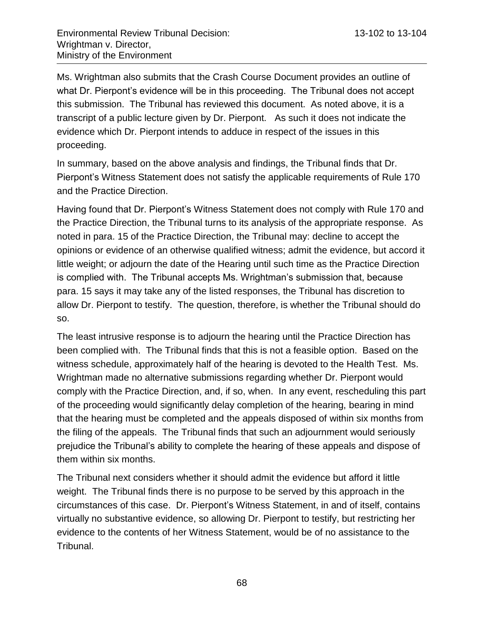Ms. Wrightman also submits that the Crash Course Document provides an outline of what Dr. Pierpont's evidence will be in this proceeding. The Tribunal does not accept this submission. The Tribunal has reviewed this document. As noted above, it is a transcript of a public lecture given by Dr. Pierpont. As such it does not indicate the evidence which Dr. Pierpont intends to adduce in respect of the issues in this proceeding.

In summary, based on the above analysis and findings, the Tribunal finds that Dr. Pierpont's Witness Statement does not satisfy the applicable requirements of Rule 170 and the Practice Direction.

Having found that Dr. Pierpont's Witness Statement does not comply with Rule 170 and the Practice Direction, the Tribunal turns to its analysis of the appropriate response. As noted in para. 15 of the Practice Direction, the Tribunal may: decline to accept the opinions or evidence of an otherwise qualified witness; admit the evidence, but accord it little weight; or adjourn the date of the Hearing until such time as the Practice Direction is complied with. The Tribunal accepts Ms. Wrightman's submission that, because para. 15 says it may take any of the listed responses, the Tribunal has discretion to allow Dr. Pierpont to testify. The question, therefore, is whether the Tribunal should do so.

The least intrusive response is to adjourn the hearing until the Practice Direction has been complied with. The Tribunal finds that this is not a feasible option. Based on the witness schedule, approximately half of the hearing is devoted to the Health Test. Ms. Wrightman made no alternative submissions regarding whether Dr. Pierpont would comply with the Practice Direction, and, if so, when. In any event, rescheduling this part of the proceeding would significantly delay completion of the hearing, bearing in mind that the hearing must be completed and the appeals disposed of within six months from the filing of the appeals. The Tribunal finds that such an adjournment would seriously prejudice the Tribunal's ability to complete the hearing of these appeals and dispose of them within six months.

The Tribunal next considers whether it should admit the evidence but afford it little weight. The Tribunal finds there is no purpose to be served by this approach in the circumstances of this case. Dr. Pierpont's Witness Statement, in and of itself, contains virtually no substantive evidence, so allowing Dr. Pierpont to testify, but restricting her evidence to the contents of her Witness Statement, would be of no assistance to the Tribunal.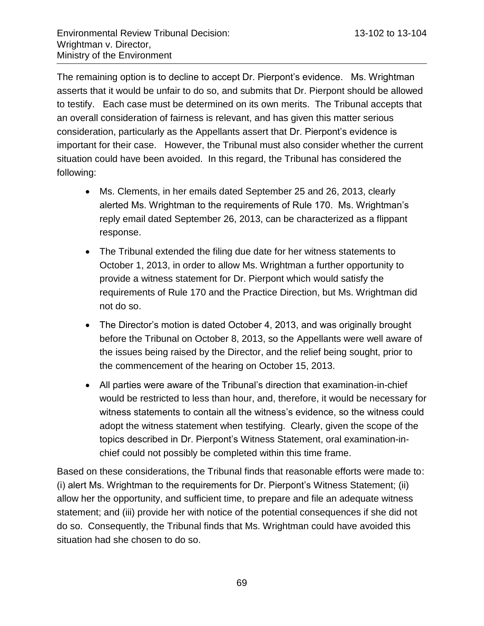The remaining option is to decline to accept Dr. Pierpont's evidence. Ms. Wrightman asserts that it would be unfair to do so, and submits that Dr. Pierpont should be allowed to testify. Each case must be determined on its own merits. The Tribunal accepts that an overall consideration of fairness is relevant, and has given this matter serious consideration, particularly as the Appellants assert that Dr. Pierpont's evidence is important for their case. However, the Tribunal must also consider whether the current situation could have been avoided. In this regard, the Tribunal has considered the following:

- Ms. Clements, in her emails dated September 25 and 26, 2013, clearly alerted Ms. Wrightman to the requirements of Rule 170. Ms. Wrightman's reply email dated September 26, 2013, can be characterized as a flippant response.
- The Tribunal extended the filing due date for her witness statements to October 1, 2013, in order to allow Ms. Wrightman a further opportunity to provide a witness statement for Dr. Pierpont which would satisfy the requirements of Rule 170 and the Practice Direction, but Ms. Wrightman did not do so.
- The Director's motion is dated October 4, 2013, and was originally brought before the Tribunal on October 8, 2013, so the Appellants were well aware of the issues being raised by the Director, and the relief being sought, prior to the commencement of the hearing on October 15, 2013.
- All parties were aware of the Tribunal's direction that examination-in-chief would be restricted to less than hour, and, therefore, it would be necessary for witness statements to contain all the witness's evidence, so the witness could adopt the witness statement when testifying. Clearly, given the scope of the topics described in Dr. Pierpont's Witness Statement, oral examination-inchief could not possibly be completed within this time frame.

Based on these considerations, the Tribunal finds that reasonable efforts were made to: (i) alert Ms. Wrightman to the requirements for Dr. Pierpont's Witness Statement; (ii) allow her the opportunity, and sufficient time, to prepare and file an adequate witness statement; and (iii) provide her with notice of the potential consequences if she did not do so. Consequently, the Tribunal finds that Ms. Wrightman could have avoided this situation had she chosen to do so.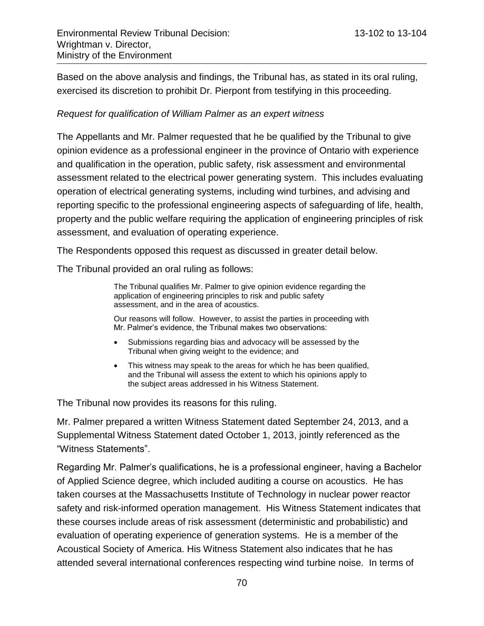Based on the above analysis and findings, the Tribunal has, as stated in its oral ruling, exercised its discretion to prohibit Dr. Pierpont from testifying in this proceeding.

### *Request for qualification of William Palmer as an expert witness*

The Appellants and Mr. Palmer requested that he be qualified by the Tribunal to give opinion evidence as a professional engineer in the province of Ontario with experience and qualification in the operation, public safety, risk assessment and environmental assessment related to the electrical power generating system. This includes evaluating operation of electrical generating systems, including wind turbines, and advising and reporting specific to the professional engineering aspects of safeguarding of life, health, property and the public welfare requiring the application of engineering principles of risk assessment, and evaluation of operating experience.

The Respondents opposed this request as discussed in greater detail below.

The Tribunal provided an oral ruling as follows:

The Tribunal qualifies Mr. Palmer to give opinion evidence regarding the application of engineering principles to risk and public safety assessment, and in the area of acoustics.

Our reasons will follow. However, to assist the parties in proceeding with Mr. Palmer's evidence, the Tribunal makes two observations:

- Submissions regarding bias and advocacy will be assessed by the Tribunal when giving weight to the evidence; and
- This witness may speak to the areas for which he has been qualified, and the Tribunal will assess the extent to which his opinions apply to the subject areas addressed in his Witness Statement.

The Tribunal now provides its reasons for this ruling.

Mr. Palmer prepared a written Witness Statement dated September 24, 2013, and a Supplemental Witness Statement dated October 1, 2013, jointly referenced as the "Witness Statements".

Regarding Mr. Palmer's qualifications, he is a professional engineer, having a Bachelor of Applied Science degree, which included auditing a course on acoustics. He has taken courses at the Massachusetts Institute of Technology in nuclear power reactor safety and risk-informed operation management. His Witness Statement indicates that these courses include areas of risk assessment (deterministic and probabilistic) and evaluation of operating experience of generation systems. He is a member of the Acoustical Society of America. His Witness Statement also indicates that he has attended several international conferences respecting wind turbine noise. In terms of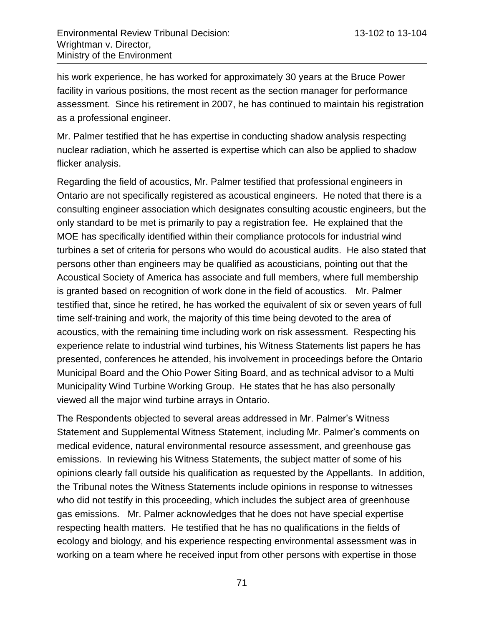his work experience, he has worked for approximately 30 years at the Bruce Power facility in various positions, the most recent as the section manager for performance assessment. Since his retirement in 2007, he has continued to maintain his registration as a professional engineer.

Mr. Palmer testified that he has expertise in conducting shadow analysis respecting nuclear radiation, which he asserted is expertise which can also be applied to shadow flicker analysis.

Regarding the field of acoustics, Mr. Palmer testified that professional engineers in Ontario are not specifically registered as acoustical engineers. He noted that there is a consulting engineer association which designates consulting acoustic engineers, but the only standard to be met is primarily to pay a registration fee. He explained that the MOE has specifically identified within their compliance protocols for industrial wind turbines a set of criteria for persons who would do acoustical audits. He also stated that persons other than engineers may be qualified as acousticians, pointing out that the Acoustical Society of America has associate and full members, where full membership is granted based on recognition of work done in the field of acoustics. Mr. Palmer testified that, since he retired, he has worked the equivalent of six or seven years of full time self-training and work, the majority of this time being devoted to the area of acoustics, with the remaining time including work on risk assessment. Respecting his experience relate to industrial wind turbines, his Witness Statements list papers he has presented, conferences he attended, his involvement in proceedings before the Ontario Municipal Board and the Ohio Power Siting Board, and as technical advisor to a Multi Municipality Wind Turbine Working Group. He states that he has also personally viewed all the major wind turbine arrays in Ontario.

The Respondents objected to several areas addressed in Mr. Palmer's Witness Statement and Supplemental Witness Statement, including Mr. Palmer's comments on medical evidence, natural environmental resource assessment, and greenhouse gas emissions. In reviewing his Witness Statements, the subject matter of some of his opinions clearly fall outside his qualification as requested by the Appellants. In addition, the Tribunal notes the Witness Statements include opinions in response to witnesses who did not testify in this proceeding, which includes the subject area of greenhouse gas emissions. Mr. Palmer acknowledges that he does not have special expertise respecting health matters. He testified that he has no qualifications in the fields of ecology and biology, and his experience respecting environmental assessment was in working on a team where he received input from other persons with expertise in those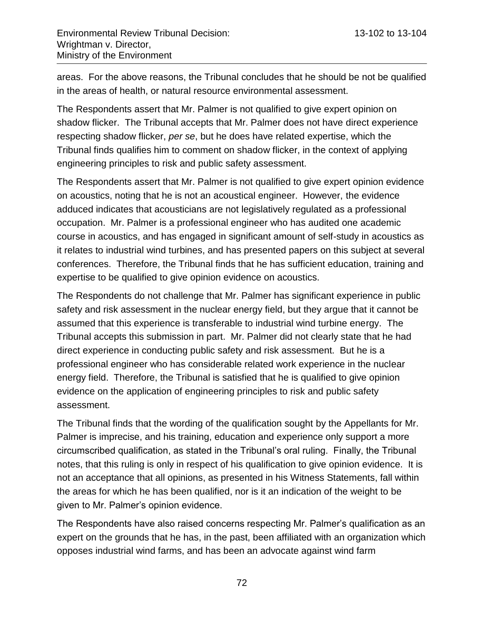areas. For the above reasons, the Tribunal concludes that he should be not be qualified in the areas of health, or natural resource environmental assessment.

The Respondents assert that Mr. Palmer is not qualified to give expert opinion on shadow flicker. The Tribunal accepts that Mr. Palmer does not have direct experience respecting shadow flicker, *per se*, but he does have related expertise, which the Tribunal finds qualifies him to comment on shadow flicker, in the context of applying engineering principles to risk and public safety assessment.

The Respondents assert that Mr. Palmer is not qualified to give expert opinion evidence on acoustics, noting that he is not an acoustical engineer. However, the evidence adduced indicates that acousticians are not legislatively regulated as a professional occupation. Mr. Palmer is a professional engineer who has audited one academic course in acoustics, and has engaged in significant amount of self-study in acoustics as it relates to industrial wind turbines, and has presented papers on this subject at several conferences. Therefore, the Tribunal finds that he has sufficient education, training and expertise to be qualified to give opinion evidence on acoustics.

The Respondents do not challenge that Mr. Palmer has significant experience in public safety and risk assessment in the nuclear energy field, but they argue that it cannot be assumed that this experience is transferable to industrial wind turbine energy. The Tribunal accepts this submission in part. Mr. Palmer did not clearly state that he had direct experience in conducting public safety and risk assessment. But he is a professional engineer who has considerable related work experience in the nuclear energy field. Therefore, the Tribunal is satisfied that he is qualified to give opinion evidence on the application of engineering principles to risk and public safety assessment.

The Tribunal finds that the wording of the qualification sought by the Appellants for Mr. Palmer is imprecise, and his training, education and experience only support a more circumscribed qualification, as stated in the Tribunal's oral ruling. Finally, the Tribunal notes, that this ruling is only in respect of his qualification to give opinion evidence. It is not an acceptance that all opinions, as presented in his Witness Statements, fall within the areas for which he has been qualified, nor is it an indication of the weight to be given to Mr. Palmer's opinion evidence.

The Respondents have also raised concerns respecting Mr. Palmer's qualification as an expert on the grounds that he has, in the past, been affiliated with an organization which opposes industrial wind farms, and has been an advocate against wind farm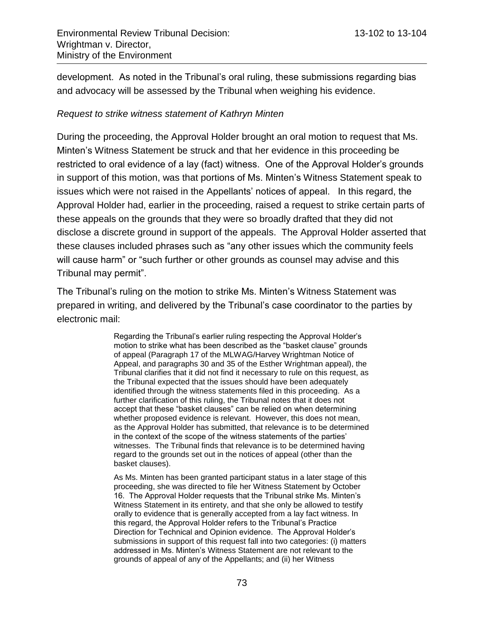development. As noted in the Tribunal's oral ruling, these submissions regarding bias and advocacy will be assessed by the Tribunal when weighing his evidence.

## *Request to strike witness statement of Kathryn Minten*

During the proceeding, the Approval Holder brought an oral motion to request that Ms. Minten's Witness Statement be struck and that her evidence in this proceeding be restricted to oral evidence of a lay (fact) witness. One of the Approval Holder's grounds in support of this motion, was that portions of Ms. Minten's Witness Statement speak to issues which were not raised in the Appellants' notices of appeal. In this regard, the Approval Holder had, earlier in the proceeding, raised a request to strike certain parts of these appeals on the grounds that they were so broadly drafted that they did not disclose a discrete ground in support of the appeals. The Approval Holder asserted that these clauses included phrases such as "any other issues which the community feels will cause harm" or "such further or other grounds as counsel may advise and this Tribunal may permit".

The Tribunal's ruling on the motion to strike Ms. Minten's Witness Statement was prepared in writing, and delivered by the Tribunal's case coordinator to the parties by electronic mail:

> Regarding the Tribunal's earlier ruling respecting the Approval Holder's motion to strike what has been described as the "basket clause" grounds of appeal (Paragraph 17 of the MLWAG/Harvey Wrightman Notice of Appeal, and paragraphs 30 and 35 of the Esther Wrightman appeal), the Tribunal clarifies that it did not find it necessary to rule on this request, as the Tribunal expected that the issues should have been adequately identified through the witness statements filed in this proceeding. As a further clarification of this ruling, the Tribunal notes that it does not accept that these "basket clauses" can be relied on when determining whether proposed evidence is relevant. However, this does not mean, as the Approval Holder has submitted, that relevance is to be determined in the context of the scope of the witness statements of the parties' witnesses. The Tribunal finds that relevance is to be determined having regard to the grounds set out in the notices of appeal (other than the basket clauses).

> As Ms. Minten has been granted participant status in a later stage of this proceeding, she was directed to file her Witness Statement by October 16. The Approval Holder requests that the Tribunal strike Ms. Minten's Witness Statement in its entirety, and that she only be allowed to testify orally to evidence that is generally accepted from a lay fact witness. In this regard, the Approval Holder refers to the Tribunal's Practice Direction for Technical and Opinion evidence. The Approval Holder's submissions in support of this request fall into two categories: (i) matters addressed in Ms. Minten's Witness Statement are not relevant to the grounds of appeal of any of the Appellants; and (ii) her Witness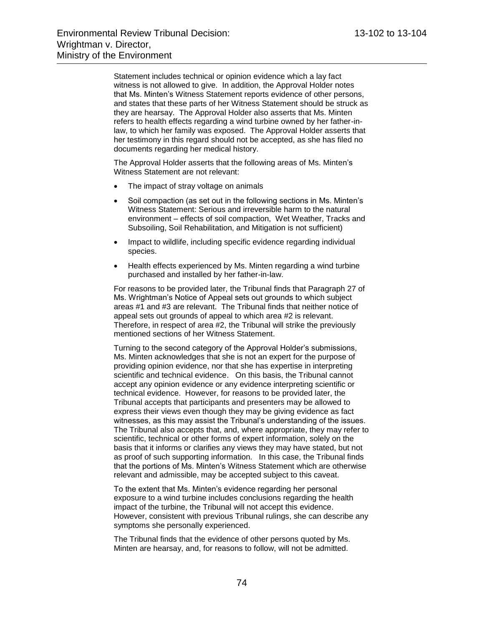Statement includes technical or opinion evidence which a lay fact witness is not allowed to give. In addition, the Approval Holder notes that Ms. Minten's Witness Statement reports evidence of other persons, and states that these parts of her Witness Statement should be struck as they are hearsay. The Approval Holder also asserts that Ms. Minten refers to health effects regarding a wind turbine owned by her father-inlaw, to which her family was exposed. The Approval Holder asserts that her testimony in this regard should not be accepted, as she has filed no documents regarding her medical history.

The Approval Holder asserts that the following areas of Ms. Minten's Witness Statement are not relevant:

- The impact of stray voltage on animals
- Soil compaction (as set out in the following sections in Ms. Minten's Witness Statement: Serious and irreversible harm to the natural environment – effects of soil compaction, Wet Weather, Tracks and Subsoiling, Soil Rehabilitation, and Mitigation is not sufficient)
- Impact to wildlife, including specific evidence regarding individual species.
- Health effects experienced by Ms. Minten regarding a wind turbine purchased and installed by her father-in-law.

For reasons to be provided later, the Tribunal finds that Paragraph 27 of Ms. Wrightman's Notice of Appeal sets out grounds to which subject areas #1 and #3 are relevant. The Tribunal finds that neither notice of appeal sets out grounds of appeal to which area #2 is relevant. Therefore, in respect of area #2, the Tribunal will strike the previously mentioned sections of her Witness Statement.

Turning to the second category of the Approval Holder's submissions, Ms. Minten acknowledges that she is not an expert for the purpose of providing opinion evidence, nor that she has expertise in interpreting scientific and technical evidence. On this basis, the Tribunal cannot accept any opinion evidence or any evidence interpreting scientific or technical evidence. However, for reasons to be provided later, the Tribunal accepts that participants and presenters may be allowed to express their views even though they may be giving evidence as fact witnesses, as this may assist the Tribunal's understanding of the issues. The Tribunal also accepts that, and, where appropriate, they may refer to scientific, technical or other forms of expert information, solely on the basis that it informs or clarifies any views they may have stated, but not as proof of such supporting information. In this case, the Tribunal finds that the portions of Ms. Minten's Witness Statement which are otherwise relevant and admissible, may be accepted subject to this caveat.

To the extent that Ms. Minten's evidence regarding her personal exposure to a wind turbine includes conclusions regarding the health impact of the turbine, the Tribunal will not accept this evidence. However, consistent with previous Tribunal rulings, she can describe any symptoms she personally experienced.

The Tribunal finds that the evidence of other persons quoted by Ms. Minten are hearsay, and, for reasons to follow, will not be admitted.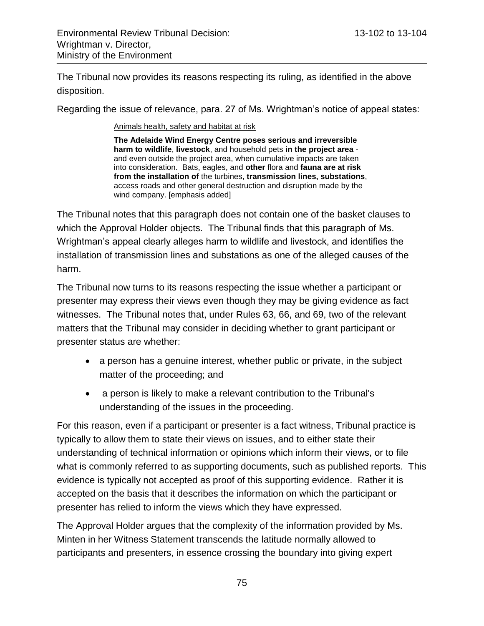The Tribunal now provides its reasons respecting its ruling, as identified in the above disposition.

Regarding the issue of relevance, para. 27 of Ms. Wrightman's notice of appeal states:

Animals health, safety and habitat at risk

**The Adelaide Wind Energy Centre poses serious and irreversible harm to wildlife**, **livestock**, and household pets **in the project area** and even outside the project area, when cumulative impacts are taken into consideration. Bats, eagles, and **other** flora and **fauna are at risk from the installation of** the turbines**, transmission lines, substations**, access roads and other general destruction and disruption made by the wind company. [emphasis added]

The Tribunal notes that this paragraph does not contain one of the basket clauses to which the Approval Holder objects. The Tribunal finds that this paragraph of Ms. Wrightman's appeal clearly alleges harm to wildlife and livestock, and identifies the installation of transmission lines and substations as one of the alleged causes of the harm.

The Tribunal now turns to its reasons respecting the issue whether a participant or presenter may express their views even though they may be giving evidence as fact witnesses. The Tribunal notes that, under Rules 63, 66, and 69, two of the relevant matters that the Tribunal may consider in deciding whether to grant participant or presenter status are whether:

- a person has a genuine interest, whether public or private, in the subject matter of the proceeding; and
- a person is likely to make a relevant contribution to the Tribunal's understanding of the issues in the proceeding.

For this reason, even if a participant or presenter is a fact witness, Tribunal practice is typically to allow them to state their views on issues, and to either state their understanding of technical information or opinions which inform their views, or to file what is commonly referred to as supporting documents, such as published reports. This evidence is typically not accepted as proof of this supporting evidence. Rather it is accepted on the basis that it describes the information on which the participant or presenter has relied to inform the views which they have expressed.

The Approval Holder argues that the complexity of the information provided by Ms. Minten in her Witness Statement transcends the latitude normally allowed to participants and presenters, in essence crossing the boundary into giving expert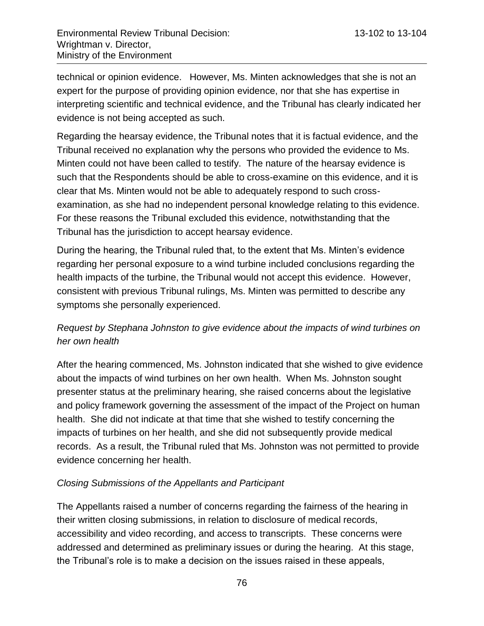technical or opinion evidence. However, Ms. Minten acknowledges that she is not an expert for the purpose of providing opinion evidence, nor that she has expertise in interpreting scientific and technical evidence, and the Tribunal has clearly indicated her evidence is not being accepted as such.

Regarding the hearsay evidence, the Tribunal notes that it is factual evidence, and the Tribunal received no explanation why the persons who provided the evidence to Ms. Minten could not have been called to testify. The nature of the hearsay evidence is such that the Respondents should be able to cross-examine on this evidence, and it is clear that Ms. Minten would not be able to adequately respond to such crossexamination, as she had no independent personal knowledge relating to this evidence. For these reasons the Tribunal excluded this evidence, notwithstanding that the Tribunal has the jurisdiction to accept hearsay evidence.

During the hearing, the Tribunal ruled that, to the extent that Ms. Minten's evidence regarding her personal exposure to a wind turbine included conclusions regarding the health impacts of the turbine, the Tribunal would not accept this evidence. However, consistent with previous Tribunal rulings, Ms. Minten was permitted to describe any symptoms she personally experienced.

## *Request by Stephana Johnston to give evidence about the impacts of wind turbines on her own health*

After the hearing commenced, Ms. Johnston indicated that she wished to give evidence about the impacts of wind turbines on her own health. When Ms. Johnston sought presenter status at the preliminary hearing, she raised concerns about the legislative and policy framework governing the assessment of the impact of the Project on human health. She did not indicate at that time that she wished to testify concerning the impacts of turbines on her health, and she did not subsequently provide medical records. As a result, the Tribunal ruled that Ms. Johnston was not permitted to provide evidence concerning her health.

## *Closing Submissions of the Appellants and Participant*

The Appellants raised a number of concerns regarding the fairness of the hearing in their written closing submissions, in relation to disclosure of medical records, accessibility and video recording, and access to transcripts. These concerns were addressed and determined as preliminary issues or during the hearing. At this stage, the Tribunal's role is to make a decision on the issues raised in these appeals,